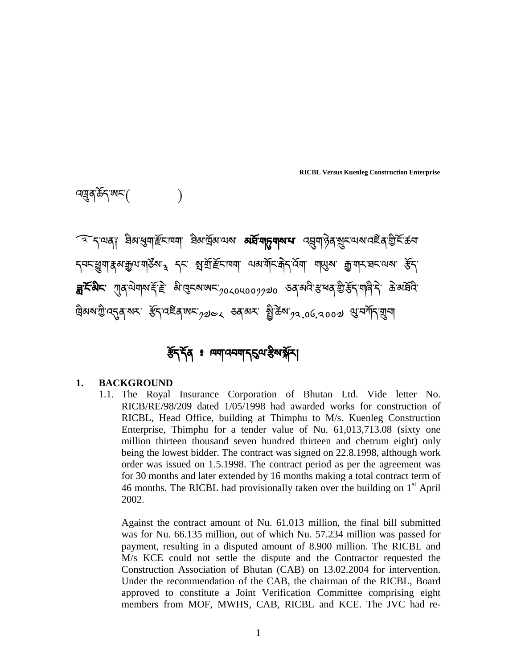বদ্রুবর্ক্টন'ঋ্ম'( )

ক নৃত্যৰাগ ইৰাস্থ্যাৰ্টমান্মা ইৰাৰ্টমাত্মৰ **অৰ্হ্মানূন্মৰম** ব্ৰম্নাষ্টৰৰ্মুমত্মৰাবেইৰ্ট্টেমিতা  $\tau$ বনস্তুশ $\tau$ র্মন্রূণমা $\chi$ ইন $\tau_{\rm a}$ ্দুন্দার্শ্রিইনাম্মা অন্যর্মনারীদ $\tau$ বিমা মাত্মেমা ব্রীমান্দারনামেন ক্রী  $\ddot{\phantom{a}}$  $\bar{\mathbf{a}}$ ें दिल्लैं में गुब $\alpha$ ये बाली और बैंग्लूटरूपुल्ल $\alpha$ ाउले उल्लेख के उल्लेख के स्वार्थि के बा ེ দ্রিঝমাস্ট্রান্ম্র্র্ম্ম ইন্বাইন্সাম <sub>(2)১</sub>১ জান্ম গ্রীক্রমা<sup>32</sup>াও.২০০১ প্রান্সানিয়ন

# ৰ্ষ্টবৰ্ণ ঃ ন্দ্ৰদানবদ্বাৰ ইন্সামী

## **1. BACKGROUND**

1.1. The Royal Insurance Corporation of Bhutan Ltd. Vide letter No. RICB/RE/98/209 dated 1/05/1998 had awarded works for construction of RICBL, Head Office, building at Thimphu to M/s. Kuenleg Construction Enterprise, Thimphu for a tender value of Nu. 61,013,713.08 (sixty one million thirteen thousand seven hundred thirteen and chetrum eight) only being the lowest bidder. The contract was signed on 22.8.1998, although work order was issued on 1.5.1998. The contract period as per the agreement was for 30 months and later extended by 16 months making a total contract term of 46 months. The RICBL had provisionally taken over the building on  $1<sup>st</sup>$  April 2002.

Against the contract amount of Nu. 61.013 million, the final bill submitted was for Nu. 66.135 million, out of which Nu. 57.234 million was passed for payment, resulting in a disputed amount of 8.900 million. The RICBL and M/s KCE could not settle the dispute and the Contractor requested the Construction Association of Bhutan (CAB) on 13.02.2004 for intervention. Under the recommendation of the CAB, the chairman of the RICBL, Board approved to constitute a Joint Verification Committee comprising eight members from MOF, MWHS, CAB, RICBL and KCE. The JVC had re-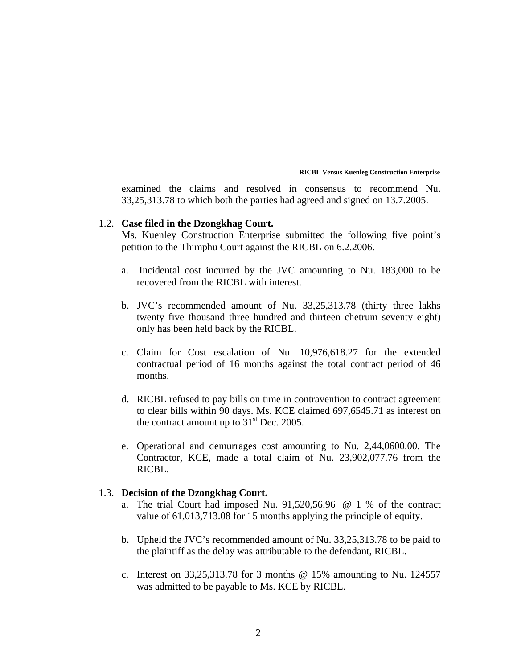examined the claims and resolved in consensus to recommend Nu. 33,25,313.78 to which both the parties had agreed and signed on 13.7.2005.

### 1.2. **Case filed in the Dzongkhag Court.**

Ms. Kuenley Construction Enterprise submitted the following five point's petition to the Thimphu Court against the RICBL on 6.2.2006.

- a. Incidental cost incurred by the JVC amounting to Nu. 183,000 to be recovered from the RICBL with interest.
- b. JVC's recommended amount of Nu. 33,25,313.78 (thirty three lakhs twenty five thousand three hundred and thirteen chetrum seventy eight) only has been held back by the RICBL.
- c. Claim for Cost escalation of Nu. 10,976,618.27 for the extended contractual period of 16 months against the total contract period of 46 months.
- d. RICBL refused to pay bills on time in contravention to contract agreement to clear bills within 90 days. Ms. KCE claimed 697,6545.71 as interest on the contract amount up to  $31<sup>st</sup>$  Dec. 2005.
- e. Operational and demurrages cost amounting to Nu. 2,44,0600.00. The Contractor, KCE, made a total claim of Nu. 23,902,077.76 from the RICBL.

## 1.3. **Decision of the Dzongkhag Court.**

- a. The trial Court had imposed Nu. 91,520,56.96 @ 1 % of the contract value of 61,013,713.08 for 15 months applying the principle of equity.
- b. Upheld the JVC's recommended amount of Nu. 33,25,313.78 to be paid to the plaintiff as the delay was attributable to the defendant, RICBL.
- c. Interest on 33,25,313.78 for 3 months @ 15% amounting to Nu. 124557 was admitted to be payable to Ms. KCE by RICBL.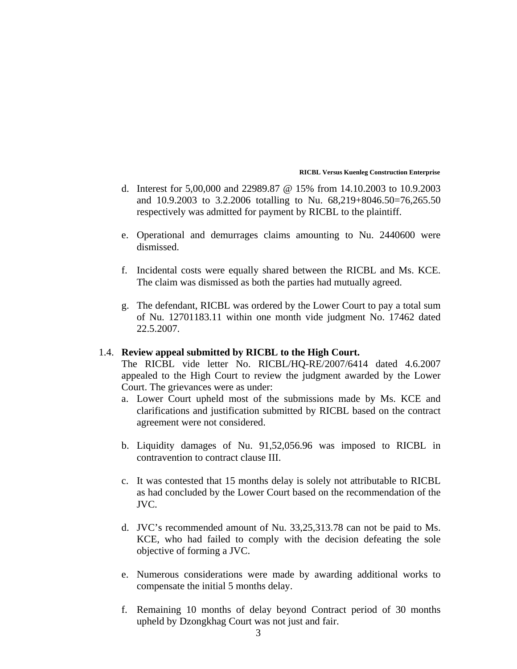- d. Interest for 5,00,000 and 22989.87 @ 15% from 14.10.2003 to 10.9.2003 and 10.9.2003 to 3.2.2006 totalling to Nu. 68,219+8046.50=76,265.50 respectively was admitted for payment by RICBL to the plaintiff.
- e. Operational and demurrages claims amounting to Nu. 2440600 were dismissed.
- f. Incidental costs were equally shared between the RICBL and Ms. KCE. The claim was dismissed as both the parties had mutually agreed.
- g. The defendant, RICBL was ordered by the Lower Court to pay a total sum of Nu. 12701183.11 within one month vide judgment No. 17462 dated 22.5.2007.

## 1.4. **Review appeal submitted by RICBL to the High Court.**

The RICBL vide letter No. RICBL/HQ-RE/2007/6414 dated 4.6.2007 appealed to the High Court to review the judgment awarded by the Lower Court. The grievances were as under:

- a. Lower Court upheld most of the submissions made by Ms. KCE and clarifications and justification submitted by RICBL based on the contract agreement were not considered.
- b. Liquidity damages of Nu. 91,52,056.96 was imposed to RICBL in contravention to contract clause III.
- c. It was contested that 15 months delay is solely not attributable to RICBL as had concluded by the Lower Court based on the recommendation of the JVC.
- d. JVC's recommended amount of Nu. 33,25,313.78 can not be paid to Ms. KCE, who had failed to comply with the decision defeating the sole objective of forming a JVC.
- e. Numerous considerations were made by awarding additional works to compensate the initial 5 months delay.
- f. Remaining 10 months of delay beyond Contract period of 30 months upheld by Dzongkhag Court was not just and fair.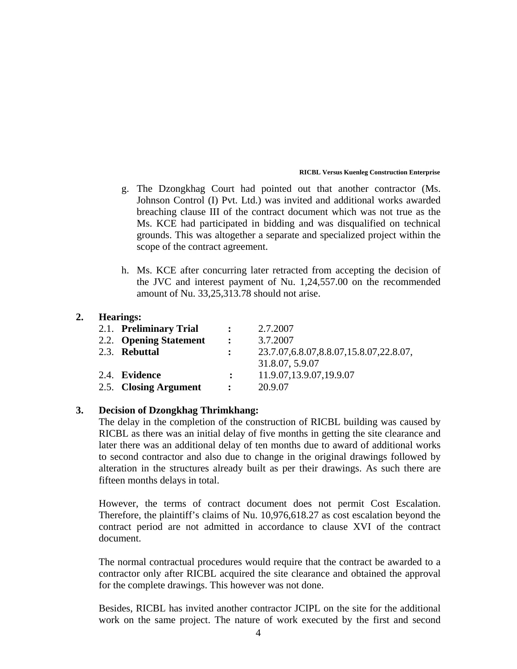- g. The Dzongkhag Court had pointed out that another contractor (Ms. Johnson Control (I) Pvt. Ltd.) was invited and additional works awarded breaching clause III of the contract document which was not true as the Ms. KCE had participated in bidding and was disqualified on technical grounds. This was altogether a separate and specialized project within the scope of the contract agreement.
- h. Ms. KCE after concurring later retracted from accepting the decision of the JVC and interest payment of Nu. 1,24,557.00 on the recommended amount of Nu. 33,25,313.78 should not arise.

## **2. Hearings:**

| 2.1. Preliminary Trial | $\mathbf{r}$ | 2.7.2007                                   |
|------------------------|--------------|--------------------------------------------|
| 2.2. Opening Statement | $\mathbf{r}$ | 3.7.2007                                   |
| 2.3. Rebuttal          | $\mathbf{L}$ | 23.7.07, 6.8.07, 8.8.07, 15.8.07, 22.8.07, |
|                        |              | 31.8.07, 5.9.07                            |
| 2.4. Evidence          |              | 11.9.07, 13.9.07, 19.9.07                  |
| 2.5. Closing Argument  | $\mathbf{r}$ | 20.9.07                                    |
|                        |              |                                            |

## **3. Decision of Dzongkhag Thrimkhang:**

The delay in the completion of the construction of RICBL building was caused by RICBL as there was an initial delay of five months in getting the site clearance and later there was an additional delay of ten months due to award of additional works to second contractor and also due to change in the original drawings followed by alteration in the structures already built as per their drawings. As such there are fifteen months delays in total.

However, the terms of contract document does not permit Cost Escalation. Therefore, the plaintiff's claims of Nu. 10,976,618.27 as cost escalation beyond the contract period are not admitted in accordance to clause XVI of the contract document.

The normal contractual procedures would require that the contract be awarded to a contractor only after RICBL acquired the site clearance and obtained the approval for the complete drawings. This however was not done.

Besides, RICBL has invited another contractor JCIPL on the site for the additional work on the same project. The nature of work executed by the first and second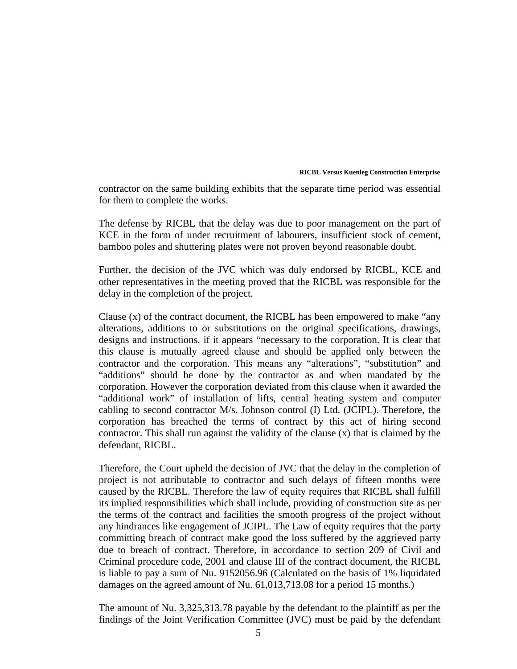contractor on the same building exhibits that the separate time period was essential for them to complete the works.

The defense by RICBL that the delay was due to poor management on the part of KCE in the form of under recruitment of labourers, insufficient stock of cement, bamboo poles and shuttering plates were not proven beyond reasonable doubt.

Further, the decision of the JVC which was duly endorsed by RICBL, KCE and other representatives in the meeting proved that the RICBL was responsible for the delay in the completion of the project.

Clause (x) of the contract document, the RICBL has been empowered to make "any alterations, additions to or substitutions on the original specifications, drawings, designs and instructions, if it appears "necessary to the corporation. It is clear that this clause is mutually agreed clause and should be applied only between the contractor and the corporation. This means any "alterations", "substitution" and "additions" should be done by the contractor as and when mandated by the corporation. However the corporation deviated from this clause when it awarded the "additional work" of installation of lifts, central heating system and computer cabling to second contractor M/s. Johnson control (I) Ltd. (JCIPL). Therefore, the corporation has breached the terms of contract by this act of hiring second contractor. This shall run against the validity of the clause (x) that is claimed by the defendant, RICBL.

Therefore, the Court upheld the decision of JVC that the delay in the completion of project is not attributable to contractor and such delays of fifteen months were caused by the RICBL. Therefore the law of equity requires that RICBL shall fulfill its implied responsibilities which shall include, providing of construction site as per the terms of the contract and facilities the smooth progress of the project without any hindrances like engagement of JCIPL. The Law of equity requires that the party committing breach of contract make good the loss suffered by the aggrieved party due to breach of contract. Therefore, in accordance to section 209 of Civil and Criminal procedure code, 2001 and clause III of the contract document, the RICBL is liable to pay a sum of Nu. 9152056.96 (Calculated on the basis of 1% liquidated damages on the agreed amount of Nu. 61,013,713.08 for a period 15 months.)

The amount of Nu. 3,325,313.78 payable by the defendant to the plaintiff as per the findings of the Joint Verification Committee (JVC) must be paid by the defendant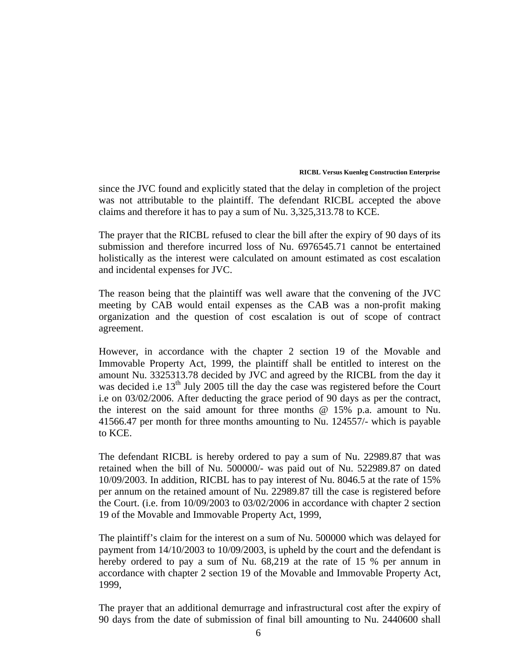since the JVC found and explicitly stated that the delay in completion of the project was not attributable to the plaintiff. The defendant RICBL accepted the above claims and therefore it has to pay a sum of Nu. 3,325,313.78 to KCE.

The prayer that the RICBL refused to clear the bill after the expiry of 90 days of its submission and therefore incurred loss of Nu. 6976545.71 cannot be entertained holistically as the interest were calculated on amount estimated as cost escalation and incidental expenses for JVC.

The reason being that the plaintiff was well aware that the convening of the JVC meeting by CAB would entail expenses as the CAB was a non-profit making organization and the question of cost escalation is out of scope of contract agreement.

However, in accordance with the chapter 2 section 19 of the Movable and Immovable Property Act, 1999, the plaintiff shall be entitled to interest on the amount Nu. 3325313.78 decided by JVC and agreed by the RICBL from the day it was decided i.e 13<sup>th</sup> July 2005 till the day the case was registered before the Court i.e on 03/02/2006. After deducting the grace period of 90 days as per the contract, the interest on the said amount for three months @ 15% p.a. amount to Nu. 41566.47 per month for three months amounting to Nu. 124557/- which is payable to KCE.

The defendant RICBL is hereby ordered to pay a sum of Nu. 22989.87 that was retained when the bill of Nu. 500000/- was paid out of Nu. 522989.87 on dated 10/09/2003. In addition, RICBL has to pay interest of Nu. 8046.5 at the rate of 15% per annum on the retained amount of Nu. 22989.87 till the case is registered before the Court. (i.e. from 10/09/2003 to 03/02/2006 in accordance with chapter 2 section 19 of the Movable and Immovable Property Act, 1999,

The plaintiff's claim for the interest on a sum of Nu. 500000 which was delayed for payment from 14/10/2003 to 10/09/2003, is upheld by the court and the defendant is hereby ordered to pay a sum of Nu. 68,219 at the rate of 15 % per annum in accordance with chapter 2 section 19 of the Movable and Immovable Property Act, 1999,

The prayer that an additional demurrage and infrastructural cost after the expiry of 90 days from the date of submission of final bill amounting to Nu. 2440600 shall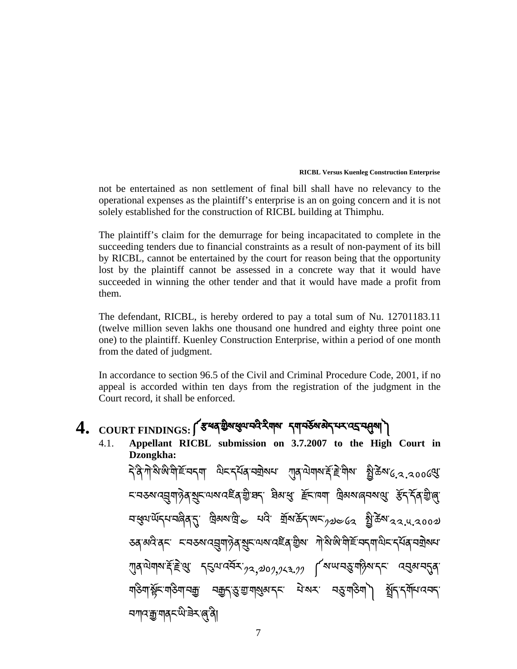not be entertained as non settlement of final bill shall have no relevancy to the operational expenses as the plaintiff's enterprise is an on going concern and it is not solely established for the construction of RICBL building at Thimphu.

The plaintiff's claim for the demurrage for being incapacitated to complete in the succeeding tenders due to financial constraints as a result of non-payment of its bill by RICBL, cannot be entertained by the court for reason being that the opportunity lost by the plaintiff cannot be assessed in a concrete way that it would have succeeded in winning the other tender and that it would have made a profit from them.

The defendant, RICBL, is hereby ordered to pay a total sum of Nu. 12701183.11 (twelve million seven lakhs one thousand one hundred and eighty three point one one) to the plaintiff. Kuenley Construction Enterprise, within a period of one month from the dated of judgment.

In accordance to section 96.5 of the Civil and Criminal Procedure Code, 2001, if no appeal is accorded within ten days from the registration of the judgment in the Court record, it shall be enforced.

# 4. COURT FINDINGS: <a<br />
THE TAND COURT FINDINGS: <a>
THE TAN THE TAND OF<br />
THE TAND OF<br />
THE TAND OF<br />
THE TAND OF<br />
THE TAND OF<br />
THE TAND OF<br />
THE TAND OF<br />
THE TAND OF<br />
THE TAND OF<b

4.1. **Appellant RICBL submission on 3.7.2007 to the High Court in Dzongkha:**  ব<sup>্</sup>বিশীস্পঞ্জাত্মহিন্দেশ এনব্যৰ নহাৰ আৰু এনজন ইন্নিটি এই এই জিলা বিশিল্প বিজ্ঞা ེ ؚ<br>
ؚ <u>নব্ৰুক্ত বিৰাজ্যৰ স্মূৰ্ত্ত বিৰাজ্যৰ স্মূৰ্ত্ত বিৰাজ্যৰ স্মূৰ্ত্ত কৰি আৰু স্মূৰ্ত্ত কৰি আৰু মূৰ্ত্ত বিৰাজ্য</u> নধ্ৰুমাৰ্থ্যবেত্ত বুলি আৰু মাই ব্যৱসায়ীয় মাৰ্কিমাৰ বিষয়ে এক বিজ্ঞানী ডব্<sup>ন্</sup>মন্ত্ৰী হ'ল্ড ব্যৱস্থাৰ বিৰুদ্ধে অৱ্যান্ত কৰি বিৰুদ্ধি আৰু বিৰুদ্ধে স্বাস্থ্য কৰিব বিৰুদ্ধে ব  $\overline{a}$  $\eta$ ন্সমামার্দ্রাষ্ট্রপ্রাণ করিমান্সে $\eta$ র,������, $\eta$ র্ক্সমান্সের বিষ্ণাব্দের করিমান্স ེ মাঙ্গমাঞ্জী-মাঙ্গমাঞ্জী বিষ্ণাৱীৰ বিষ্ণাৰ মুখ্য বিষ্ণা মুখ্য সমূহ বি ེ ন্সানস্যানাৰ অধীনস্বা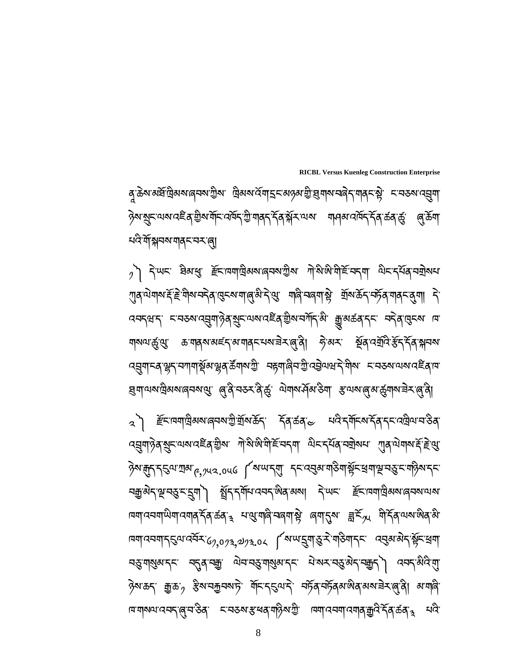इबायब्ग्लेबब्ब्य्बन्युः (बुद्धेन्य्य्र्स्ड्र्र् ज्ञेबब्स्युब्ब्य् अव्यव्यर्बुग्ब्य्य्य्य्व्य्य्ड्र्य्य् च्यास् ্ব্ৈ) ἔ়ৃৃৃৃৃৃৃৃৃৃৃৃৃৃৃৃষ্ঠ্যৰ বিষ্ণু বুলি হিন্দুৰ্ভ ন্যস্থ্ৰ বিষ্ণু বিষ্ণু বিষ্ণু বিষ্ণু বিষ্ণু ব  $\alpha$ ସ୍ୱ୍ୟା $\beta$ ବ୍'ଷ୍ଣ୍ଟ $\alpha$ ଷ୍ୟାପଣ୍ଟିବ୍' ଶ୍ରିଷ $r$ ାଁ ମିଂଖି ସାମ୍ପ୍ୟାଙ୍କ ମିଂସ୍ଟ୍ରେ ମ୍ୟାସିଷ୍ୟା ମାନ୍ଦ୍ର ମୁଖ୍ୟାଦ୍ୟା ମାନ୍ଦ୍ର  $\ddot{\phantom{a}}$  $\ddot{\phantom{a}}$ ཉེས་ད་ད̣ལ་ཀྲམ་༩,༡༥༢.༠༥༦ ༼ས་ཡ་དགུ་ དང་འࢀམ་གཅིག་ೲོང་ࡴག་ஶ་བρ་ང་གཉིས་དང་ ব্রহ্ম ব্রাই বিদ্রা বিদ্যালয় বিদ্যালয় বিদ্যালয় স্কুলি বিদ্যালয় বিদ্যালয় বিদ্যালয় বিদ্যালয় বিদ্যালয় বিদ<br>বিদ্যালয় বিদ্যালয় বিদ্যালয় বিদ্যালয় বিদ্যালয় বিদ্যালয় বিদ্যালয় বিদ্যালয় বিদ্যালয় বিদ্যালয় বিদ্যালয় ؙ<br>
֚ r¤ग $\alpha$ मया़प्धेया $\alpha$ यात् $\breve{\gamma}$ त $\alpha$ ळंत $\alpha$ ः भाष्याले $\alpha$ चार् $\beta$ ः लग $\gamma$ त्यः ह्य $\breve{\gamma}$ ज्ञ $\breve{\gamma}$ त $\gamma$ य $\alpha$ 'ळेत $\beta$ ེ দ্র্যান্নম্বান্*ইম'ন্*র্মিং $\epsilon_{2,0}$  $\epsilon_{2,0}$ , $\epsilon_{3,0}$   $\epsilon_{4}$ া বুলাক্টুমান্নম্বর্জন বিষ্ণা ེ चङ्गबाद्धब्गद्र्पः चतुर्वाञ्च्कः ज्ञेत्वाचङ्गबाद्धब्गद्रम् चरच्छन् स्थान् अप्रदेशुः ।<br>चङ्गबाद्धब्गद्र्पः चतुर्वाञ्च्कः ज्ञेत्वाचङ्गबाद्धब्गद्र्पः चे व्यद्यज्ञेदे<sup>न्</sup>चक्कुर्) व्यवद्<sup>द्</sup>शेवेःसु ེ ؚ<br>
ـ<br>
ـ<br>
ـ ৡ৾য়ড়ৼ৾৾<sub>৾</sub> ঐৣড়৾<sup>৻</sup>৽ ৡ৶ৼড়৸ড়৸৶৻ৼ৾<sub>৸</sub>৸ৼ৸ৼ৾য়৸৸ৼ৸ৼ৸ৼ৸ৼ৸ৼ৸ৼ৸ৼ৸ৼ৸ৼ৸ৼ৸ৼ৸ৼ৸ৼ৸ৼ৸ৼ৻৻৾ড়ৢ৸৾৸৸৸ড়৾ ེ ানশমণ্য বেন ৰি. বৰ্তৰ কাৰী আৰু বিভিন্ন আৰু বিভিন্ন কৰি কৰি কৰি কৰি বিভিন্ন কৰি বিভিন্ন কৰি বিভিন্ন কৰি কৰি কৰি

 $\beta$ ৗ ৲ দিশ্দ ষ্টিমধ্য ৰ্ইনাম্মাট্ৰিমমান্বিময়ন্ত্ৰীম শীর্ষাঞ্চায়ীৰ্হাম্ব্যা ত্ৰানাৰ্ব্মৰাম্মা  $\ddot{\phantom{a}}$ ཀུན་ལ གས་ོ་ିེ་གིས་བད ན་ཁུངས་ག་ઈ་མི་དེ་க་ གཞི་བཞག་ೲེ་ གྲོས་ཆོད་བཏོན་གནང་܍ག། དེ་ ེ ེ འབདཝ་ད་ ང་བཅས་འ࣡ག་ཉེན་഻ང་ལས་འཛིན་གྱིས་བཀོད་མི་ ་མཚན་དང་ བདེ ན་ཁུངས་ ཁ་ মাঝ্যার্স্তুপ্ত্র ಹণাব্রম্যমর্হিণ আবিম্প্রান্ত্র্ম্ব্র্ম্ব্র্ম্ব্র্ম্ব্র্ম্ব্র্ম্ব্র্ম্ব্র্ম্ব্র্ <mark>্</mark>নেশ্ৰুণ'-ব'শ্লুন্'নশানাৰ্শ্বিম'শ্লুৰ্স্ট <sup>কুৰা</sup>মুখ্য বিদ্যুত্তী বিদ্যুত্তি বুলি কুৰামা দ'ন্ডৰ্মাত্ম'নেই ৰামা ེ

 **RICBL Versus Kuenleg Construction Enterprise**  ৰু<sup>·</sup>ক্টম'ৰ্মৰ্ষ'ট্ৰিমম'ৰ্ন্নম'ট্ৰিম" ট্ৰিমম'ৰ্নম'ৰ্ম'হ্ৰম'ৰ্স্ত 'ষ্ট্ৰমাম'নৰ্ন্ন 'মাৰ্ক্ 'ফ্লী' ম'ন্ডম'ৰ্ম্ৰমা ٔ<br>
ׇ ེ ཉེས་഻ང་ལས་འཛིན་གྱིས་གོང་འཁོད་ཀྱི་གནད་དོན་ೆོར་ལས་ གཤམ་འཁོད་དོན་ཚན་ৄ་ ઈ་ཆོག་ খণ্ট মুখিবৰ মাৰ্ট বৰ্ম প্ৰ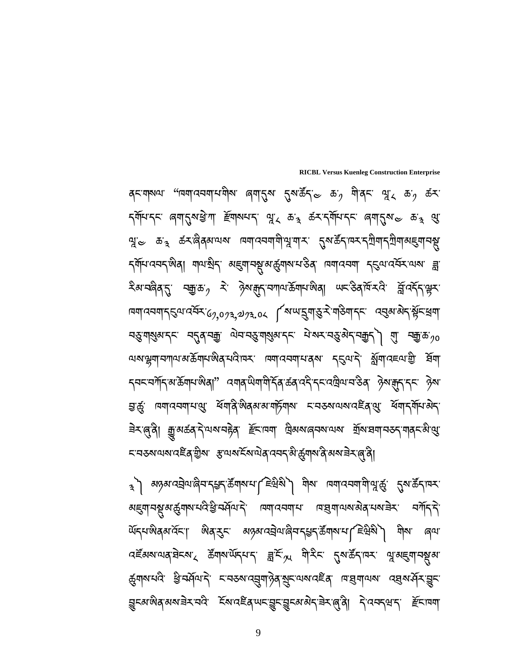ِ अत्रहा अर्डेक्षा के अल्लाहरू के अर्था समाजनवायोज्ञा के अधिकार (देश स्थित ) <u> અह्</u>यानश्चू अर्द्धगञ्चार्य स्थित्यर्थः विचार्यत्यवान्तः । बाह्य बोजल्या अर्थान्नेन्तः । सर्गान्नेन् ེ ེ  $\begin{array}{c} \n\end{array}$ অঁন্মজ্ঞৰ বঁচা জিৰ্'ৰ্ড্' অন্তৰ ব্ৰেমজীৰ ব্ৰুৰ বুৰামাৰ হিন্নৱী শ্ৰম জন্ম বইঁৰুৰ অৰু বিভিন্ন স্থাপন কৰি বিভিন্ন স্থাপন কৰিব বিভিন্ন স্থাপন কৰিব বিভিন্ন স্থাপন কৰিব বিভিন্ন স্থাপন কৰিব<br>বিভিন্ন স্থাপন কৰিব বিভিন্ন স্থাপন কৰিব বিভিন্ন স্থাপন কৰিব বিভিন্ন স্থাপন কৰিব বিভিন্ন স্থাপন কৰিব বিভিন্ন স ৰ্দ্ভ্ৰম্মঘৰ্ষি খ্ৰিম্মৰ্শিষ্ট হাৰ্ডৰাৰ্য্যৰাট্টৰ্য্য্ৰাজ্যৰ ভ্ৰম্ভ কৰি ব্ৰম্বৰ্শ্য কৰি ব্ৰা ड्रिट्युलुबे अरुडि्राज्युः ह्यादद्दूदे अर्ट्युट्युट्युट्युद्रवान् उपर्वे स्थिति। द्वित्यन्ति ह्यान्ना  $\begin{array}{c} \n\end{array}$ ؚ<br>
ؚ ེ ེ

 **RICBL Versus Kuenleg Construction Enterprise**  ब्दायारुखा "पियाविस्यानायोग लगाउँ उराउँद $\sim$  क $_2$  गोव्दा श्रूर क $_2$  ऊँ $\star$ <u> ন্যামানে ৰেমাৰ্থিমাই আৰু মুখানামীৰ জিং কুৰু ব্যাপদিনে ৰেমাৰ্থিক জাঙ্ক প্ৰা</u> পু $\approx$  কর্ কমান্ত্রিকান্মমা নিমানেমামীপুমান্মা মুকার্ক্টনান্মমন্মিমান্ছ্যান্মু ব্যানবেন্দ্জিৰা শামন্ত্ৰিন অহুশানম্ভ্ৰমন্ত্ৰীসমন্ত্ৰ দেশবেনা ব্ৰত্তন্যবৰ্মন্যৰ ব্ল རིམ་བནིན་དུ་ བརྱ་མ་ $j$  རེ་ འིམ་རྱུད་བཀལ་རོན་སེན། ਘང་རིན་རོན་རོའ་ རོྱ་འརོད་ལྱར་ দ্মশ্নেম্বান্হ্ৰিম্বে<del>র্মিং</del>' $\epsilon_{2,0}$  $\alpha_{3,2}$ পূ $\alpha$ ং বিজ্ঞান্ত্রিম্বিক্সিং বিদ্যালা ེ বস্তু মাহীন্স ব্ৰাষ্ট বিশ্ৰু বিশ্ৰু অধিকাৰী বুলি মুখ্য বিদ্যুত বিশ্ৰু বিশ্ৰু ক $\gamma$ ০ বিশ্ৰু ক $\gamma$ ০ বি ؚ<br>
ـ<br>
ـ<br>
ـ অমন্ড্রিমানসান্য স্ত্রমান জ্ঞান নেতা কেনা নির্বান করে ব্যার্থ বিষ্যা বিদ্যা বিদ্যা <sub>ব</sub>ননম্যান মস্কিন্দজ্ঞৰা" ব্যাৰ অমা মীর্দৰ অব্যবহী বনজিতা নাইৰা উত্থাস্ক্রন কৰা ེ ञ्चर्द्धः ।व्याप्त्य्यायशुः स्विविं क्षेत्रकारार्यार्ह्रयाञ्चः हायऊरायराप्तह्निशुः स्वाद्ग्यायिदः ེ ੩े≍্ল্°ৰী় ক্ৰু'মৰ্ক্ৰব`ৰ্^অম'নইৰ্` *া্হিমা*ন্স ট্ৰিমম'ৰেনম'অম' শ্ৰ্ম'ঘ্ৰমা'নতৰ্{'মাৰ্F`ম'্মু' ؚ<br>ׇ *८*་བठས་ལས་འརོན་རྱིས་ རུ་ལས་རོས་ལེན་འབད་མི་རྱོགས་ནེ་མས་རེར་ནུ་ནི།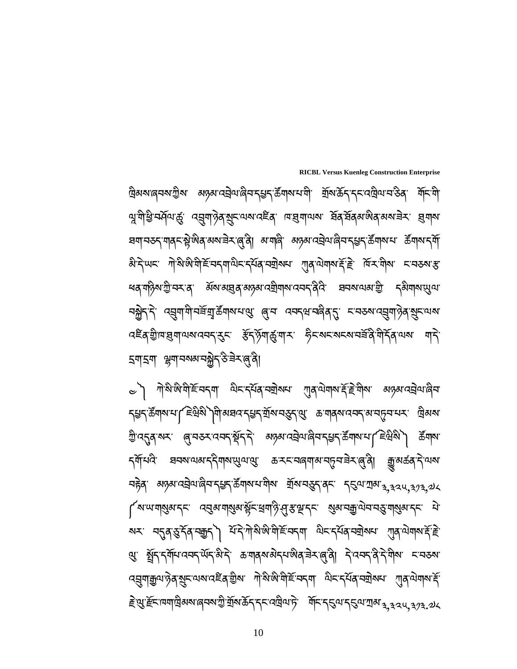$\approx$ ী শীর্ষাঞ্জামী $\leq$ ন্দ্রশা মিনার্মবান্মান্মন শ্যুবামান্মার্ষ্ট্র মীন্স অন্তম্যবহীমার্লিনা  $\overline{a}$  $\ddot{\phantom{a}}$  $\overline{a}$ ॸॣॾॸॱऄॕॵॺॱ<u>ॎ</u>ऻड़ॎॹॷऻॴॾख़ॎख़ॎॵॕॴॾ॔ॴॕख़ऀॷॕख़ॎख़ॎख़ख़ख़ख़ख़ख़ख़ख़ <sup>শ্রু:</sup>ব্দ্বম্বাৰ্ম্মা ( জুন্সম্বেন্দ্রার্মী উন্নার্মা বিশ্ববিদ্যালী উন্নার্মা করি বিশিষ্ট স্বিশিষ্যা বিশিষ্ট স্ ؙ<br>
֚ Ì <mark>২</mark>ম্বিং ব্ৰন্মতাৰ ব্ৰিম্বাৰ্ম্মীলৰ প্ৰস্কলৰ অৱস্থাৰ বিষয়ে আৰু প্ৰস্কৰ বিৰুদ্ধ  $\overline{a}$ নচ্টব্ অন্তম্যবহ্রীঅ'ল্লিম্বন্ডন্'র্উশ্মাম'যীম' শ্রম'ন্ড্রন্'ব্রন' ন্ডিঅ'শ্রম'<sub>3,32</sub>u<sub>,323,</sub>2k ؚ<br>
ؚ ེ ্বিশ্মশ্মান্ত্র্যান্দ ব্রেন্সশার্থন্স ইন্সেশজ্যি প্রিস্কান্দ প্রন্স ব্রুত্রান্স ক্রান্ক ক্রান্থ্য বি <u>য়ৼ৾ৗৢ</u>ৼ৻য়৸ড়ৼঀৗৢ৸৸ড়ৼঢ়ৗৢ৸ৼঀৼৗৗৢ৸৸৸৸৸৸৸৸৸৸ৼঀৼৼ৻৸৸৸৸ৼঀৼ৻ড়৸৸৸৸ৼঀৼৼ  $\ddot{\phantom{a}}$ ེ ঞ্জ ব্লুন্দ্ৰ্য্যানব্দ্ব্যান্টি ক্ৰমাৰ্ষ্য বিদ্যালীৰ বিদ্যালী দিব্দৰ্শ কৰি বাৰ্ষ্য কৰি বা ེ .<br>ا বর্ষুশক্তুন শ্রুমানেই বাহীৰ আৰু দুখি আৰু বিদেশ বিদেশ বিদিয়া আৰু অনাৰ বিদেশ ེ  $\ddot{\phantom{a}}$ ≧়থ্ৰ`ৰ্স্ট্ৰমান্মাট্ৰিজমাৰ্বিস্ট্ৰামক্ৰীসকলে অনুসৰি স্থিতি আৰু বিদ্যালয়ৰ বিদ্যালয় কৰি কৰা কৰি কৰা

 **RICBL Versus Kuenleg Construction Enterprise**  দ্রিঝমান্ত্র্মযন্ত্রীমা ব্যব্রুমান্ত্র্রীমান্ত্র্মন্ত্র্মন্ত্র্মন্দি মার্কিন্দিন্দি ব্রিমান্ত্রি বিনিয়া ؚ<br>ا ণ্মুশীষ্ট্ৰ <del>ন</del>ৰ্দ্ৰণজ্য ব্ৰূশন্ট ব্ৰূষ্ণ অৱশ্ৰেষ্ট দেখুৰাত্মৰ ইন্দ্ৰ ইন্ন জিৰ্ন অৱশ্ৰম ব্ৰূন্ন ེ ਬশ্বিষ্ক্ৰণ আৰু স্টুজিৰ্ অৰ্ম্ভ্ৰী ৰাম্বি অন্তৰ্য বেইন্দ্ৰ জীৱন বুজি কৰি অৰ্থ বৰ্ষী ؚ<br>
ؚ ེ  $\partial_i$ ेर्पायः गोञ्ज़ेष्ठामेहिन्दपाज्ञेदार्द्यव्यवायतः ग्रीवेज्ञयार्ह्य प्रियंग्नेयः दावरुवाश्च ؚ<br>
ؚ ེ  $\ddot{\phantom{a}}$ ধৰ্ শঠ্গিমন্ট্ৰ'ন্স'ৰ্' ॲষামন্থৰ্'মঙ্গম'নশ্ৰীশম'ন্সন্'ৰ্'ৰ্বি' ঘনম'ণ্মমন্থ্ৰী ক্ষিশ্ৰম'ন্ড্ৰ नञ्जैर'रे, उच्चिग|चार्च्च्युर्क्ष्वावाराली 'ब्रिज उनर्ट्यज्बुर्थरी' ट्विक्याउन्बिर्क्षिटान्न ེ  $\ddot{\phantom{a}}$ ব্≅ব্ঔান্দ্রশ্নামননন্ত্ৰ উন্সূশর্জ্যান্দ ইন্সন্মনমন্মন্দ্রীণ্ণিকাম শন্ হশ্হশ স্পুশ্নকৰ্মনক্লীন্উ ৰক্ষিণ্টি ེ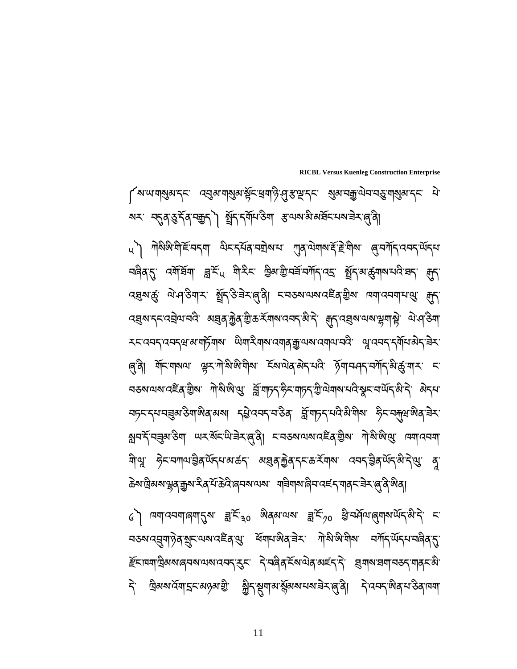$\zeta$ े । प्रमाययमालमानुरु ज्ञै $\widetilde{\epsilon}_{30}$  अत्रमया ज्ञै $\widetilde{\epsilon}_{70}$  है उम्मेवयालुमारायेन् अन्ने स <mark>ন</mark>্ডম্ব্রেশ্ট্র মুহূত্মম্বইে বুণ্ডু ধিশ্র্মজিব্র্<sup>ড্র</sup>ং শ্রিজিন্সিম বর্শ্র্দ্ম্ব্বিষ্কৃত্ব  $\overline{a}$ ེ *हॅ*माय्माष्ठिअव्याद्यव्याद्ययन् रुमः निज्ञविद्रम्याज्ञेद्यहम् निः ह्यावाद्ययान्छन् गवन्दैः  $\ddot{\phantom{a}}$ དེ་ ཁྐྲིམས་འོག་ۑང་མཉམ་གྱི་ ುིད་ག་མ་ོམས་པས་ཟ ར་ઈ་ནི། ད ་འབད་ཨིན་པ་ཅིན་ཁག་ؚ<br>
ـ<br>
ـ ؚ<br>
ـ<br>
ـ

u ) শ্রীষ্ণজ্য বীহ্ন বিদেশ আৰু অনুস্থা প্রান্ত বিদ্যালয় বিদেশ বিদ্যালয় প্রান্ত বিদ্যালয় বিদ্যালয় বিদ্যালয়<br>u নি ؚ<br>ؙ ེ <u>নৰ্ভ্ৰিখ্য বৰ্মুৰ্ষ্ণ খ্ৰুহ্ণ মুখিবা আৰু মুখিবাৰ মুখিবাৰ মুখি</u> ব্রহ্মন্ত্র্য ঐত্বস্থিত যুঁব্রি-স্তিভ্রম্ভ্রেণ্ডি হার্স্য নেমার্ক বিদ্রা ব্রস্কেন্দ্রেস্কার ম্রন্ত করি বিভিন্ন স্থাপন স্পর্ক, প্রিশ্রি স্কর্মী স্কর্মী ব্যাপ্রিয়া ؚ<br>ا ེ རང་འབད་འབདཝ་མ་གཏོགས་ ཡིག་རིགས་འགན་ଳ་ལས་འགལ་བའི་ ஔ་འབད་དགོཔ་མ ད་ཟ ར་ ེ ؚ<br>֡ ৰ্ণ্টা শ্ৰিম্বৰূপ স্কুৰ্ণ্য ইণ্ডিয়াৰ ইৰ্ণ্টাৰ্ ইণ্ডিয়াৰ্ণ্ট কৰা প্ৰশ্ন কৰি বি ེ বক্তমাত্মবাৰেই বৃত্তীৰ দিয়াৰীৰ বিভিন্ন উচ্চাৰী বিভিন্ন বিভিন্ন বিভিন্ন কৰিব বিভিন্ন কৰিব বিভিন্ন কৰিব বিভিন্ন<br>বক্তমাত্মবাৰেই বৃত্তীৰ দিয়াৰীৰ বিভিন্ন কৰিব বিভিন্ন কৰিব বিভিন্ন কৰিব বিভিন্ন কৰিব বিভিন্ন কৰিব বিভিন্ন কৰিব  $\ddot{\phantom{a}}$ <mark>ব্য</mark>চ্চান্দ্ৰ বৰুৰ উপাজ্ঞৰ অৰ্থা বৃষ্টাব্বন্দ্ৰ উৰ্ত্ত ব্ৰীমাচন্দ্ৰ বিষয়া উচ্চাৰ্য আৰু বিষ্যা .<br>ا  $\overline{a}$ গ্নবর্শ উন্মা অবর্ণই আর্মিন্ড আর্মান্ড হার্ড হার্ড কার্য করি বিদ্রাল আর্মান্ড কার্য করা করি বিদ্রাল করা করা কর ণীণ্মু *ঈ*নব্দাণ্যইৰ্<sup>ত্</sup>শব্দৰ্যকৰ্ত্তি অন্তৰ্যক্টৰ্ত্ত্বিক্ষিত্ৰ অব্দ্বইৰ্<sup>ত্</sup>শব্দ্বিষ্ট্ৰ ৰু ེ ঌॆས་দ্রিམས་ལྱན་རमॖॖས་རིན་པོ་৯ེའི་ནབས་ལས་ ག<code>੩ིགས་ढ़ི</mark>བ་འངོད་གནང་རྲེར་ནུ་ནི་ଊིན།</sup></code>

 **RICBL Versus Kuenleg Construction Enterprise**  ्रियालायां अर्थात्रम् । उन्हें अर्थायां अर्थारायुर्भिक्षा स्थिति । अर्थात्राण्डुर्भाष्यस्य स्यान्ध्रम् । अ স্ম: ন্মৰা্ম্ভাৰ্ড বি'ন্ম্ৰী বি'নিৰ্মাণ্ডৰা স্কুলিগ্ৰাম্ভ্ৰাৰ্ড বি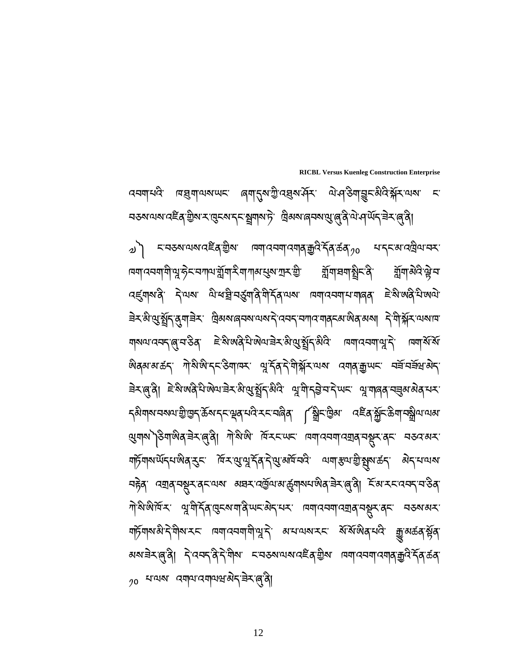༧༽ ང་བཅས་ལས་འཛིན་གྱིས་ ཁག་འབག་འགན་ଳའི་དོན་ཚན་༡༠ པ་དང་མ་འཁྐྲིལ་བར་ । <mark>प्रगाद्यमाभिभ्रुङ्गेदारमा</mark>भार्श्चमा देमागाबाद्धबाग्रन्थः । ब्रामाञ्चमार्श्चेदक्षे । ब्रामाञ्चदेश्ले ེ ེ শ্রুমাঝবঞ্টুব ব্ৰ্ଣ্ডশৰ্মান্ত্ৰী নিৰ্মাণ কৰি বিৰুদ্ধি আৰু বিৰুদ্ধি আৰু বিৰুদ্ধি আৰু নিৰ্মাণ কৰি বিৰুদ্ধি কৰি বিৰুদ্ধি কৰি বি ੩े≺<sup>:</sup> अे पुर्श्चे{`तुग|३े≺ प्रेअअ'त्निक्षायबादे`त्वन{'वग|त'ग|त्रन्धालेव'अत्र| दे`गे|क्रॅर'यबाव ེ གསལ་འབད་ઈ་བ་ཅིན་ ཇེ་སི་ཨནི་པི་ཨེལ་ཟ ར་མི་க་ഖོད་མིའི་ ཁག་འབག་ஔ་ད ་ ཁག་སོ་སོ་  $\overline{a}$ ؚ<br>
ؚ জি�্ন জন্ম ক্রান্ত জাবি কাৰ্ট জাগ বিদ্যালয় জন্ম সম্পৰ্ক আৰু বিদ্যালয় সম্পৰ্ক আৰু সম্পৰ্ক আৰু সম্পৰ্ক আৰু সম্ बेरालुवे। *इ.स. ल*ुज़रालुजाइन्छुर्ग्रिटे- जॅडाउर्जन्छिन्छुर्ग्रिका जॅडाउर्व्यव्यव्यवेषे न्या  $\begin{array}{c} \n\end{array}$ ེ *ད*མིགས་བསལ་གྱི་་་ལྱུ་ནུ་རོད་ལྲུན་པའི་རང་བའིན་ ་ ་སྲིད་་ལྱིམ འརྲོན་སྐྱོང་نङིག་བསྲུལ་ལམ প্ৰদাশ) $\beta$ শাজিব $\Xi$ মজ্জিী শীর্ষজি দিম্বাজ্য দ্বাত্ত্বিশিল্প ক্ষুমান্ত্র ེ གཏོགས་ཡོདཔ་ཨིན་ଥང་ ཁོ་ར་க་ஔ་དོན་ད ་க་མཁོ་བའི་ ལག་୶ལ་གྱི་ഏས་ཚད་ མེད་པ་ལས་ ؙ<br>֡֕ নहेव् पञ्चव्'चञ्चूर'व्हायवा अञ्चर'दर्खेवाअर्द्धुगव्यराष्ठेव्'चेर'्लु'वे| हिंब्यरहादवह्'च डेव्' ེ ེ <sup>শ্ৰ</sup>ষ্ণজীৰ্দ্ৰ শ্ৰুষ্মীৰ্হৰ দ্ৰেহৰ শাৰী লগত সুখব্য । অৰ্থ ব্ৰম্বৰ শ্ৰম্ভ বিষ্ণু বিষ্ণু বিষ্ণু বিষ্ণু বিষ্ণু বি  $\ddot{\phantom{a}}$ শচ্নিশ্মান্তী বৃষ্ণাব্দ আৰু বিজ্ঞান আৰু বিজ্ঞান কৰা বিজ্ঞান পৰি প্ৰতি আৰু বিজ্ঞান কৰি বিজ্ঞান কৰি མས་ཟེར་ઈ་ནི། ད ་འབད་ནི་དེ་གིས་ ང་བཅས་ལས་འཛིན་གྱིས་ ཁག་འབག་འགན་ଳའི་དོན་ཚན་ ؙ<br>
֚  $_{\rm 20}$  धायबा दमवादमवासले $\varsigma$ चेरालुंदे| ེ ؚ<br>֡

 **RICBL Versus Kuenleg Construction Enterprise**  বেন্মান্দ্রে দেগ্রুমান্সমান ৰেমাৰ্ত্মজ্যব্রিস্ক্রন্স অন্ত্রিশ্রন্থ হা <del>១</del>୫৯་ལས་འརིན་རྱིས་ར་ལུངས་དང་སྲུགས་དེ་ ་ ལུམས་ནབས་ལུ་ནུ་ནེ་ལེ་པལོད་རེར་ནུ་ནི། ེ ེ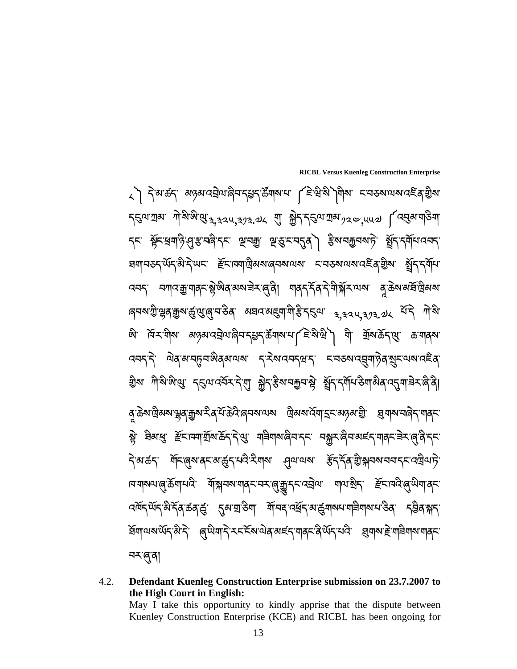**RICBL Versus Kuenleg Construction Enterprise**  ༨༽ དེ་མ་ཚད་ མཉམ་འེࣤ ལ་ཞིབ་ད߸ད་ཚོགས་པ་ ༼ཇེ་ཝི་སི༽གིས་ ང་བཅས་ལས་འཛིན་གྱིས་  $\tau$ হূঞ্যাৰ শিষ্পিপ্তা $_{3,3}$ ঃ $_{4,3}$ ৰু, $_{3}$ এ $_{4}$ ্মা ক্ষ্ণী $\tau$ হিঞ্যামুখ $_{2}$ ৰু,্দ্দ্ৰ  $_{4}$ ৰিন্নুৰ্মণ $\beta$ শ্ <sub>২</sub>৮ ম্ভূঁচ খ্ৰশন্ত্ৰীস্থৰ বিভিন্ন অনুস্থাত পৰি প্ৰকাশ কৰি বিভিন্ন বিভিন্ন বিভিন্ন পৰি পৰি প্ৰকাশ কৰি বিভিন্ন প ؚ<br>
ـ<br>
ـ<br>
ـ ਬਗ੍ਰਾਚਲਨ੍ਯੋਨ੍ਹਿਅਟ *ਵਿ*ੱਖਿਗਕ੍ਰਿਕਕਾਰਚਕਾਰਕਾ ਵਾਰਲਕਾਰਕਾਰਵੈੱਕ੍ਭ੍ਰਿਕਾ ਬੁੱਨ੍ਹਿਸ੍ਰੱਖਾ  $\alpha$ བད་ བཀའ་རྱ་གནང་སྐྱེ་སེན་མས་<code>ᡜ៝ར་ན་ནི། གནད་རོན་རེ་གེ་སྐོར་ལས་ ส</code>ৃক্কর্মর্ষান্ন্রিমর্মা ེ ؙ<br>
֚ ৰ্**নম'ট্ৰ'শ্লুৰ্**ক্সুস্কু'থ্ৰুৰ্ন'ইৰ্' মঘন'মহুমাশীস্ত ব্ৰত্তম' <sub>ব,বব</sub>্দ,<sub>ব?ব.</sub>৶২ <sup>হাঁ</sup>ব শীষ্ণ' ঞ্জ দিন<sup>্</sup>নীৰ *অন্তৰ* বেহ্ৰীঅৰ্ণৰ বহুদ্বিভ্ৰীসকলে বিজেপি বিজেপি আৰু অন্যান্ত কৰিছিল ؚ<br>ا ববন্দ্দি ঐৰ্জ্যবদ্ভুবজীৰ্মতাৰা নৃত্যৰবন্ধন্দি নাৰ্ভৰাৰ্যুশ্য ৰাজ্যৰ ইৰ্ ེ གྱིས་ ཀི་སི་ཨི་க་ ད̣ལ་འབོར་ད ་གུ་ ು ད་୶ིས་བଫབ་ೲ ་ ഖོད་དགོཔ་ཅིག་མིན་འډག་ཟ ར་ཞི་ནི། ؘ<br>
֚ ེ ེ ེ ৰু<sup>·</sup>ক্ৰম'ট্ৰিমম'শ্লুৰ্'ক্ৰুম'শ্বিৰ্'ফ্ৰিন্ট'ৰ্'ৰ্মম'ণ্মম ট্ৰিমম'ৰ্মিশ্মহ্ম'স্ক্ৰম' হ্ৰী শ্ৰম্ম'নৰ্দ্বি'শ্ৰ্ৰ্ ٔ<br>
֪ׅ֡֝֟֝֟֟֟֟֓֕֝֬֝֟֓֝֬֝֝֬֝֝֬֝֝֬֝֬֝֟֝֝֬֝֟֝֟֝֬֝֟֝֟֝֬֝֟֝֬֝֬֝֝֬֝֟֝֬֝֝֬֝֝֬֝֝֬֝֝֟֝֝<br>֧֖֚֚֚֚֚֚֚֝֝֝֝֝֝ ষ্ট্র ষ্ণিস্থে *স্ট্*নাম্মার্মুমার্ক্রন্'ন্'থ্র' শ্র্ষ্ণমান্ত্রিমার্ম মুক্রার্মার্ম্'ন্সেন্দ্'ন্সেন্দ্'ন্স<br>যু ེ ጘ়র্জ্য শ্রুনির্জে বনজুর্মন ইনার বিদিয়া বিদি বিদ্রালী <u>কা</u>র্য বিদ্রালী বিদিয়া বিদিয়া বিদিয়া বিদিয়া বিদিয়া ེ ।ब्राचन्नालं अञ्चलं सुर्भुमन्नार् बेल्क्या स्थिति । ब्राज्ञान्नर् ज्ञान्नर् स्ट्राज्ञ्यं स्थित् । ब्राज्ञ्<br>बिर्गामन् ེ *འা*মঁন্<sup>�ৌ</sup>ন্মাঁন্কিভেঁ বুন্মাউশ শীমন্দ্ৰেৰ্দ্ৰমন্ত্ৰশক্ষণৰাইশক্ষক ব্ৰীৰ্সান্ ਬੱਧਾਘਕਾਘੱ<sub></sub>ਨਿੰਮੋਨ੍ਹੇ (बुष्पेयाहेउद्दिलायेवाल्हरायवट्युल्फ्रंथरे, बेंग्नलहुन्न्रान्नलराज्ञे  $\ddot{\phantom{a}}$ ؚ<br>֡֝֟<br>֚֝<br>֚֝<br>ׇׇׇׇׇ֖֝֝֝֝֝֝֝֝֬<u>֚</u>֖֖֖֖֖֖֖֚֚֝֝֝֝֝ ন্মজ্ন

4.2. **Defendant Kuenleg Construction Enterprise submission on 23.7.2007 to the High Court in English:** 

May I take this opportunity to kindly apprise that the dispute between Kuenley Construction Enterprise (KCE) and RICBL has been ongoing for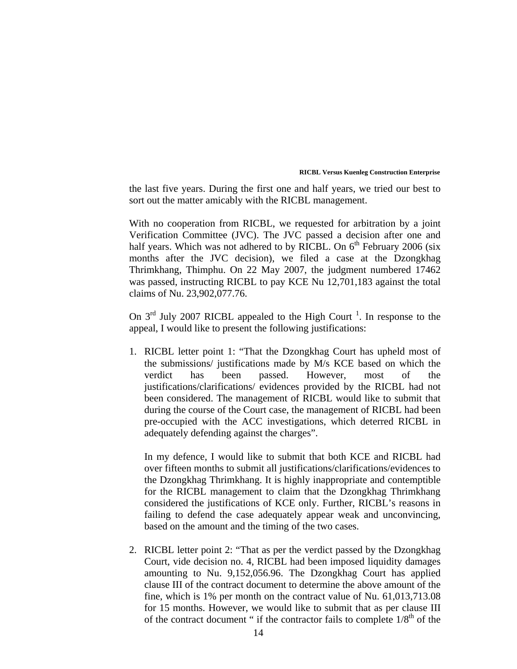the last five years. During the first one and half years, we tried our best to sort out the matter amicably with the RICBL management.

With no cooperation from RICBL, we requested for arbitration by a joint Verification Committee (JVC). The JVC passed a decision after one and half years. Which was not adhered to by RICBL. On  $6<sup>th</sup>$  February 2006 (six months after the JVC decision), we filed a case at the Dzongkhag Thrimkhang, Thimphu. On 22 May 2007, the judgment numbered 17462 was passed, instructing RICBL to pay KCE Nu 12,701,183 against the total claims of Nu. 23,902,077.76.

On  $3<sup>rd</sup>$  July 2007 RICBL appealed to the High Court<sup>1</sup>. In response to the appeal, I would like to present the following justifications:

1. RICBL letter point 1: "That the Dzongkhag Court has upheld most of the submissions/ justifications made by M/s KCE based on which the verdict has been passed. However, most of the justifications/clarifications/ evidences provided by the RICBL had not been considered. The management of RICBL would like to submit that during the course of the Court case, the management of RICBL had been pre-occupied with the ACC investigations, which deterred RICBL in adequately defending against the charges".

In my defence, I would like to submit that both KCE and RICBL had over fifteen months to submit all justifications/clarifications/evidences to the Dzongkhag Thrimkhang. It is highly inappropriate and contemptible for the RICBL management to claim that the Dzongkhag Thrimkhang considered the justifications of KCE only. Further, RICBL's reasons in failing to defend the case adequately appear weak and unconvincing, based on the amount and the timing of the two cases.

2. RICBL letter point 2: "That as per the verdict passed by the Dzongkhag Court, vide decision no. 4, RICBL had been imposed liquidity damages amounting to Nu. 9,152,056.96. The Dzongkhag Court has applied clause III of the contract document to determine the above amount of the fine, which is 1% per month on the contract value of Nu. 61,013,713.08 for 15 months. However, we would like to submit that as per clause III of the contract document " if the contractor fails to complete  $1/8<sup>th</sup>$  of the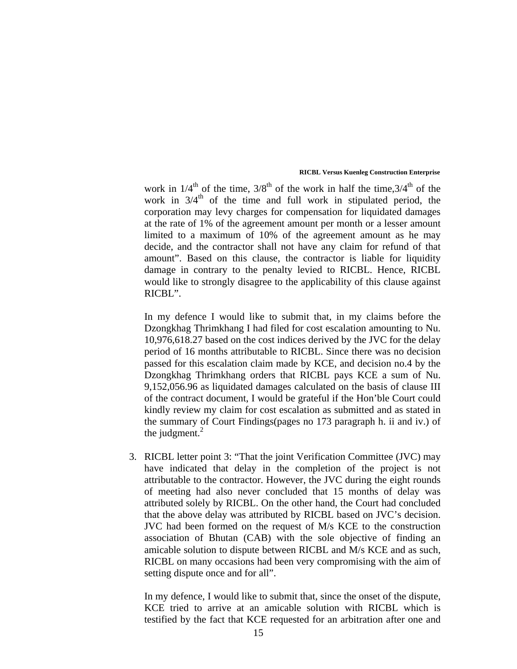work in  $1/4^{th}$  of the time,  $3/8^{th}$  of the work in half the time,  $3/4^{th}$  of the work in  $3/4<sup>th</sup>$  of the time and full work in stipulated period, the corporation may levy charges for compensation for liquidated damages at the rate of 1% of the agreement amount per month or a lesser amount limited to a maximum of 10% of the agreement amount as he may decide, and the contractor shall not have any claim for refund of that amount". Based on this clause, the contractor is liable for liquidity damage in contrary to the penalty levied to RICBL. Hence, RICBL would like to strongly disagree to the applicability of this clause against RICBL".

In my defence I would like to submit that, in my claims before the Dzongkhag Thrimkhang I had filed for cost escalation amounting to Nu. 10,976,618.27 based on the cost indices derived by the JVC for the delay period of 16 months attributable to RICBL. Since there was no decision passed for this escalation claim made by KCE, and decision no.4 by the Dzongkhag Thrimkhang orders that RICBL pays KCE a sum of Nu. 9,152,056.96 as liquidated damages calculated on the basis of clause III of the contract document, I would be grateful if the Hon'ble Court could kindly review my claim for cost escalation as submitted and as stated in the summary of Court Findings(pages no 173 paragraph h. ii and iv.) of the judgment. $^{2}$ 

3. RICBL letter point 3: "That the joint Verification Committee (JVC) may have indicated that delay in the completion of the project is not attributable to the contractor. However, the JVC during the eight rounds of meeting had also never concluded that 15 months of delay was attributed solely by RICBL. On the other hand, the Court had concluded that the above delay was attributed by RICBL based on JVC's decision. JVC had been formed on the request of M/s KCE to the construction association of Bhutan (CAB) with the sole objective of finding an amicable solution to dispute between RICBL and M/s KCE and as such, RICBL on many occasions had been very compromising with the aim of setting dispute once and for all".

In my defence, I would like to submit that, since the onset of the dispute, KCE tried to arrive at an amicable solution with RICBL which is testified by the fact that KCE requested for an arbitration after one and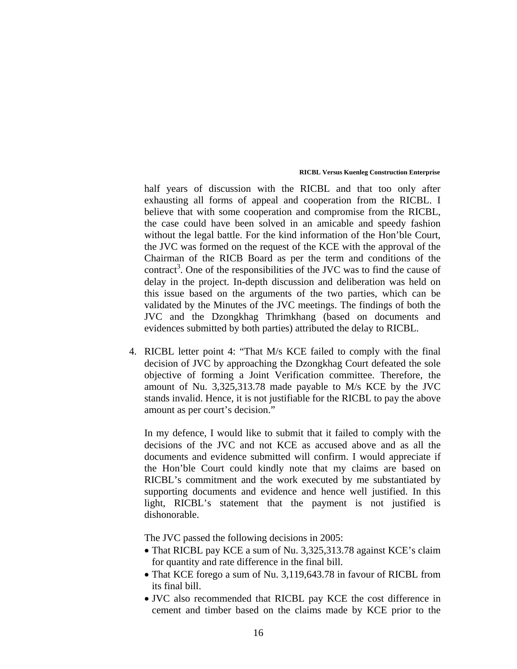half years of discussion with the RICBL and that too only after exhausting all forms of appeal and cooperation from the RICBL. I believe that with some cooperation and compromise from the RICBL, the case could have been solved in an amicable and speedy fashion without the legal battle. For the kind information of the Hon'ble Court, the JVC was formed on the request of the KCE with the approval of the Chairman of the RICB Board as per the term and conditions of the contract<sup>3</sup>. One of the responsibilities of the JVC was to find the cause of delay in the project. In-depth discussion and deliberation was held on this issue based on the arguments of the two parties, which can be validated by the Minutes of the JVC meetings. The findings of both the JVC and the Dzongkhag Thrimkhang (based on documents and evidences submitted by both parties) attributed the delay to RICBL.

4. RICBL letter point 4: "That M/s KCE failed to comply with the final decision of JVC by approaching the Dzongkhag Court defeated the sole objective of forming a Joint Verification committee. Therefore, the amount of Nu. 3,325,313.78 made payable to M/s KCE by the JVC stands invalid. Hence, it is not justifiable for the RICBL to pay the above amount as per court's decision."

In my defence, I would like to submit that it failed to comply with the decisions of the JVC and not KCE as accused above and as all the documents and evidence submitted will confirm. I would appreciate if the Hon'ble Court could kindly note that my claims are based on RICBL's commitment and the work executed by me substantiated by supporting documents and evidence and hence well justified. In this light, RICBL's statement that the payment is not justified is dishonorable.

The JVC passed the following decisions in 2005:

- That RICBL pay KCE a sum of Nu. 3,325,313.78 against KCE's claim for quantity and rate difference in the final bill.
- That KCE forego a sum of Nu. 3,119,643.78 in favour of RICBL from its final bill.
- JVC also recommended that RICBL pay KCE the cost difference in cement and timber based on the claims made by KCE prior to the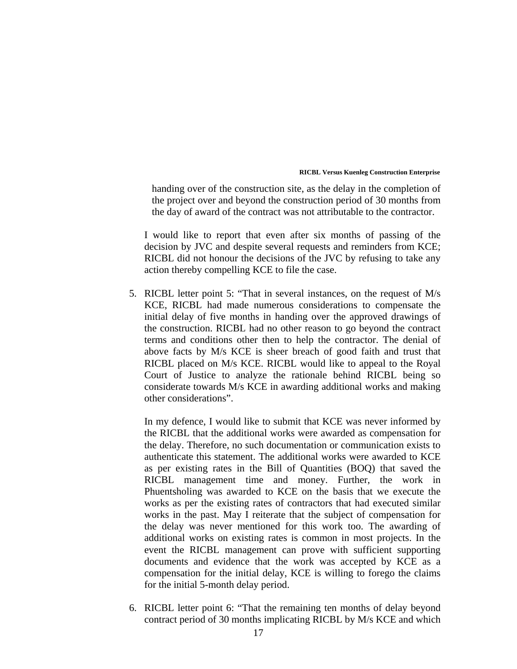handing over of the construction site, as the delay in the completion of the project over and beyond the construction period of 30 months from the day of award of the contract was not attributable to the contractor.

I would like to report that even after six months of passing of the decision by JVC and despite several requests and reminders from KCE; RICBL did not honour the decisions of the JVC by refusing to take any action thereby compelling KCE to file the case.

5. RICBL letter point 5: "That in several instances, on the request of M/s KCE, RICBL had made numerous considerations to compensate the initial delay of five months in handing over the approved drawings of the construction. RICBL had no other reason to go beyond the contract terms and conditions other then to help the contractor. The denial of above facts by M/s KCE is sheer breach of good faith and trust that RICBL placed on M/s KCE. RICBL would like to appeal to the Royal Court of Justice to analyze the rationale behind RICBL being so considerate towards M/s KCE in awarding additional works and making other considerations".

In my defence, I would like to submit that KCE was never informed by the RICBL that the additional works were awarded as compensation for the delay. Therefore, no such documentation or communication exists to authenticate this statement. The additional works were awarded to KCE as per existing rates in the Bill of Quantities (BOQ) that saved the RICBL management time and money. Further, the work in Phuentsholing was awarded to KCE on the basis that we execute the works as per the existing rates of contractors that had executed similar works in the past. May I reiterate that the subject of compensation for the delay was never mentioned for this work too. The awarding of additional works on existing rates is common in most projects. In the event the RICBL management can prove with sufficient supporting documents and evidence that the work was accepted by KCE as a compensation for the initial delay, KCE is willing to forego the claims for the initial 5-month delay period.

6. RICBL letter point 6: "That the remaining ten months of delay beyond contract period of 30 months implicating RICBL by M/s KCE and which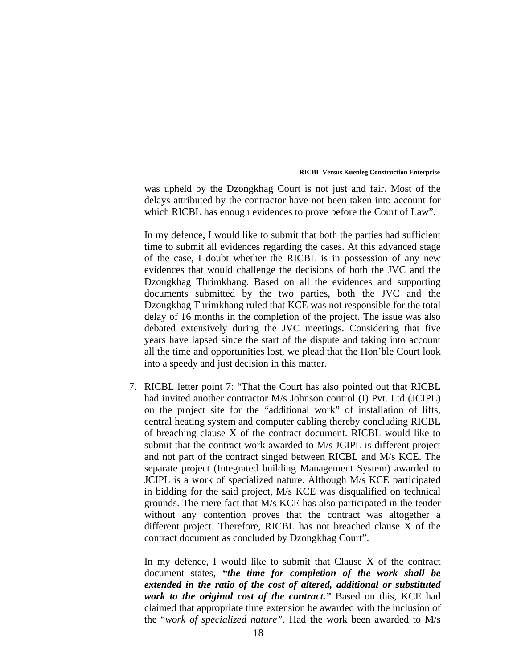was upheld by the Dzongkhag Court is not just and fair. Most of the delays attributed by the contractor have not been taken into account for which RICBL has enough evidences to prove before the Court of Law".

In my defence, I would like to submit that both the parties had sufficient time to submit all evidences regarding the cases. At this advanced stage of the case, I doubt whether the RICBL is in possession of any new evidences that would challenge the decisions of both the JVC and the Dzongkhag Thrimkhang. Based on all the evidences and supporting documents submitted by the two parties, both the JVC and the Dzongkhag Thrimkhang ruled that KCE was not responsible for the total delay of 16 months in the completion of the project. The issue was also debated extensively during the JVC meetings. Considering that five years have lapsed since the start of the dispute and taking into account all the time and opportunities lost, we plead that the Hon'ble Court look into a speedy and just decision in this matter.

7. RICBL letter point 7: "That the Court has also pointed out that RICBL had invited another contractor M/s Johnson control (I) Pvt. Ltd (JCIPL) on the project site for the "additional work" of installation of lifts, central heating system and computer cabling thereby concluding RICBL of breaching clause X of the contract document. RICBL would like to submit that the contract work awarded to M/s JCIPL is different project and not part of the contract singed between RICBL and M/s KCE. The separate project (Integrated building Management System) awarded to JCIPL is a work of specialized nature. Although M/s KCE participated in bidding for the said project, M/s KCE was disqualified on technical grounds. The mere fact that M/s KCE has also participated in the tender without any contention proves that the contract was altogether a different project. Therefore, RICBL has not breached clause X of the contract document as concluded by Dzongkhag Court".

In my defence, I would like to submit that Clause X of the contract document states, *"the time for completion of the work shall be extended in the ratio of the cost of altered, additional or substituted work to the original cost of the contract."* Based on this, KCE had claimed that appropriate time extension be awarded with the inclusion of the "*work of specialized nature".* Had the work been awarded to M/s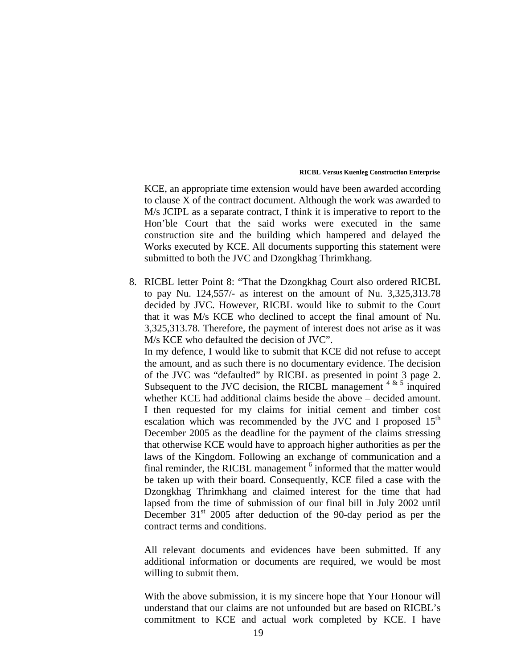KCE, an appropriate time extension would have been awarded according to clause X of the contract document. Although the work was awarded to M/s JCIPL as a separate contract, I think it is imperative to report to the Hon'ble Court that the said works were executed in the same construction site and the building which hampered and delayed the Works executed by KCE. All documents supporting this statement were submitted to both the JVC and Dzongkhag Thrimkhang.

8. RICBL letter Point 8: "That the Dzongkhag Court also ordered RICBL to pay Nu. 124,557/- as interest on the amount of Nu. 3,325,313.78 decided by JVC. However, RICBL would like to submit to the Court that it was M/s KCE who declined to accept the final amount of Nu. 3,325,313.78. Therefore, the payment of interest does not arise as it was M/s KCE who defaulted the decision of JVC".

In my defence, I would like to submit that KCE did not refuse to accept the amount, and as such there is no documentary evidence. The decision of the JVC was "defaulted" by RICBL as presented in point 3 page 2. Subsequent to the JVC decision, the RICBL management  $4 \times 5$  inquired whether KCE had additional claims beside the above – decided amount. I then requested for my claims for initial cement and timber cost escalation which was recommended by the JVC and I proposed  $15<sup>th</sup>$ December 2005 as the deadline for the payment of the claims stressing that otherwise KCE would have to approach higher authorities as per the laws of the Kingdom. Following an exchange of communication and a final reminder, the RICBL management <sup>6</sup> informed that the matter would be taken up with their board. Consequently, KCE filed a case with the Dzongkhag Thrimkhang and claimed interest for the time that had lapsed from the time of submission of our final bill in July 2002 until December  $31<sup>st</sup>$  2005 after deduction of the 90-day period as per the contract terms and conditions.

All relevant documents and evidences have been submitted. If any additional information or documents are required, we would be most willing to submit them.

With the above submission, it is my sincere hope that Your Honour will understand that our claims are not unfounded but are based on RICBL's commitment to KCE and actual work completed by KCE. I have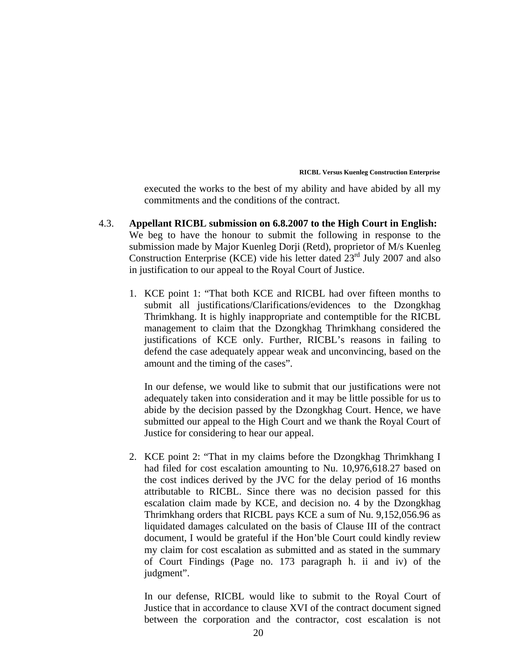executed the works to the best of my ability and have abided by all my commitments and the conditions of the contract.

- 4.3. **Appellant RICBL submission on 6.8.2007 to the High Court in English:**  We beg to have the honour to submit the following in response to the submission made by Major Kuenleg Dorji (Retd), proprietor of M/s Kuenleg Construction Enterprise (KCE) vide his letter dated 23<sup>rd</sup> July 2007 and also in justification to our appeal to the Royal Court of Justice.
	- 1. KCE point 1: "That both KCE and RICBL had over fifteen months to submit all justifications/Clarifications/evidences to the Dzongkhag Thrimkhang. It is highly inappropriate and contemptible for the RICBL management to claim that the Dzongkhag Thrimkhang considered the justifications of KCE only. Further, RICBL's reasons in failing to defend the case adequately appear weak and unconvincing, based on the amount and the timing of the cases".

In our defense, we would like to submit that our justifications were not adequately taken into consideration and it may be little possible for us to abide by the decision passed by the Dzongkhag Court. Hence, we have submitted our appeal to the High Court and we thank the Royal Court of Justice for considering to hear our appeal.

2. KCE point 2: "That in my claims before the Dzongkhag Thrimkhang I had filed for cost escalation amounting to Nu. 10,976,618.27 based on the cost indices derived by the JVC for the delay period of 16 months attributable to RICBL. Since there was no decision passed for this escalation claim made by KCE, and decision no. 4 by the Dzongkhag Thrimkhang orders that RICBL pays KCE a sum of Nu. 9,152,056.96 as liquidated damages calculated on the basis of Clause III of the contract document, I would be grateful if the Hon'ble Court could kindly review my claim for cost escalation as submitted and as stated in the summary of Court Findings (Page no. 173 paragraph h. ii and iv) of the judgment".

In our defense, RICBL would like to submit to the Royal Court of Justice that in accordance to clause XVI of the contract document signed between the corporation and the contractor, cost escalation is not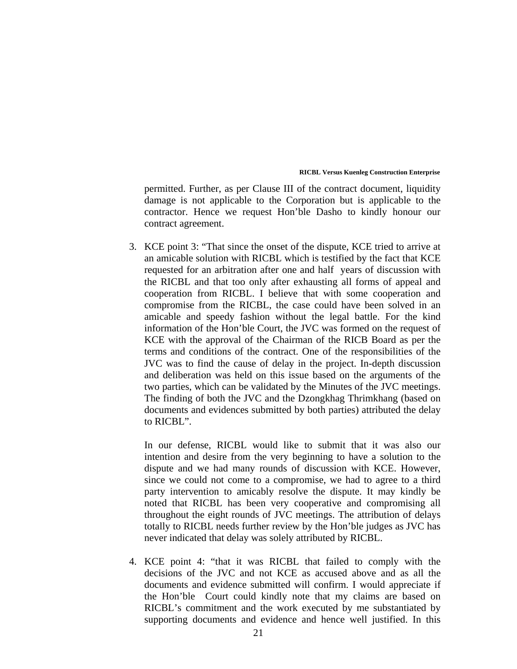permitted. Further, as per Clause III of the contract document, liquidity damage is not applicable to the Corporation but is applicable to the contractor. Hence we request Hon'ble Dasho to kindly honour our contract agreement.

3. KCE point 3: "That since the onset of the dispute, KCE tried to arrive at an amicable solution with RICBL which is testified by the fact that KCE requested for an arbitration after one and half years of discussion with the RICBL and that too only after exhausting all forms of appeal and cooperation from RICBL. I believe that with some cooperation and compromise from the RICBL, the case could have been solved in an amicable and speedy fashion without the legal battle. For the kind information of the Hon'ble Court, the JVC was formed on the request of KCE with the approval of the Chairman of the RICB Board as per the terms and conditions of the contract. One of the responsibilities of the JVC was to find the cause of delay in the project. In-depth discussion and deliberation was held on this issue based on the arguments of the two parties, which can be validated by the Minutes of the JVC meetings. The finding of both the JVC and the Dzongkhag Thrimkhang (based on documents and evidences submitted by both parties) attributed the delay to RICBL".

In our defense, RICBL would like to submit that it was also our intention and desire from the very beginning to have a solution to the dispute and we had many rounds of discussion with KCE. However, since we could not come to a compromise, we had to agree to a third party intervention to amicably resolve the dispute. It may kindly be noted that RICBL has been very cooperative and compromising all throughout the eight rounds of JVC meetings. The attribution of delays totally to RICBL needs further review by the Hon'ble judges as JVC has never indicated that delay was solely attributed by RICBL.

4. KCE point 4: "that it was RICBL that failed to comply with the decisions of the JVC and not KCE as accused above and as all the documents and evidence submitted will confirm. I would appreciate if the Hon'ble Court could kindly note that my claims are based on RICBL's commitment and the work executed by me substantiated by supporting documents and evidence and hence well justified. In this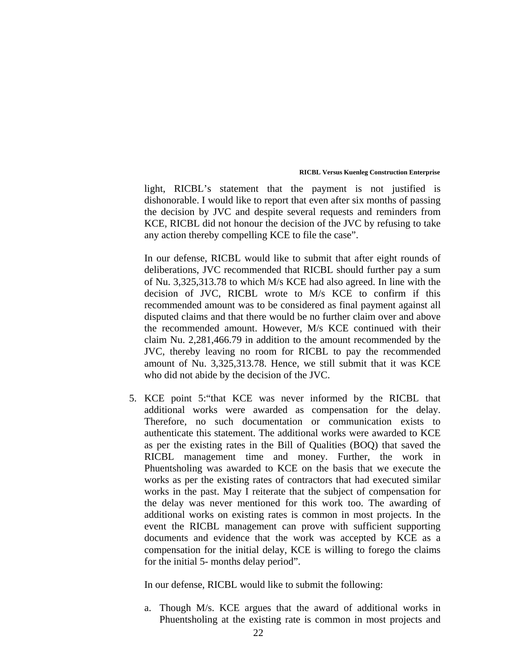light, RICBL's statement that the payment is not justified is dishonorable. I would like to report that even after six months of passing the decision by JVC and despite several requests and reminders from KCE, RICBL did not honour the decision of the JVC by refusing to take any action thereby compelling KCE to file the case".

In our defense, RICBL would like to submit that after eight rounds of deliberations, JVC recommended that RICBL should further pay a sum of Nu. 3,325,313.78 to which M/s KCE had also agreed. In line with the decision of JVC, RICBL wrote to M/s KCE to confirm if this recommended amount was to be considered as final payment against all disputed claims and that there would be no further claim over and above the recommended amount. However, M/s KCE continued with their claim Nu. 2,281,466.79 in addition to the amount recommended by the JVC, thereby leaving no room for RICBL to pay the recommended amount of Nu. 3,325,313.78. Hence, we still submit that it was KCE who did not abide by the decision of the JVC.

5. KCE point 5:"that KCE was never informed by the RICBL that additional works were awarded as compensation for the delay. Therefore, no such documentation or communication exists to authenticate this statement. The additional works were awarded to KCE as per the existing rates in the Bill of Qualities (BOQ) that saved the RICBL management time and money. Further, the work in Phuentsholing was awarded to KCE on the basis that we execute the works as per the existing rates of contractors that had executed similar works in the past. May I reiterate that the subject of compensation for the delay was never mentioned for this work too. The awarding of additional works on existing rates is common in most projects. In the event the RICBL management can prove with sufficient supporting documents and evidence that the work was accepted by KCE as a compensation for the initial delay, KCE is willing to forego the claims for the initial 5- months delay period".

In our defense, RICBL would like to submit the following:

a. Though M/s. KCE argues that the award of additional works in Phuentsholing at the existing rate is common in most projects and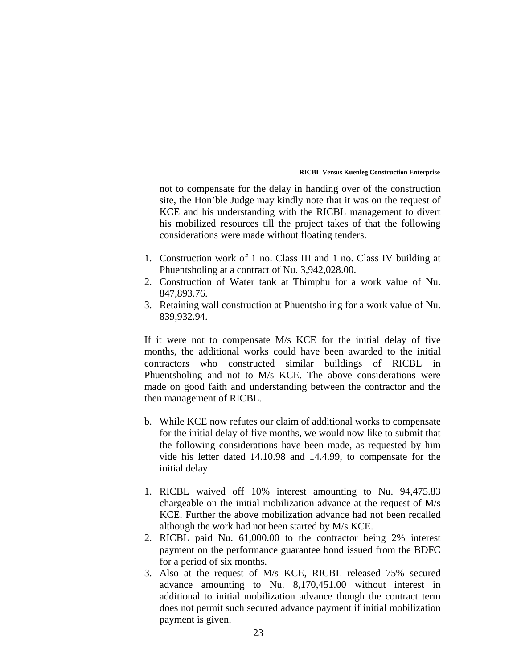not to compensate for the delay in handing over of the construction site, the Hon'ble Judge may kindly note that it was on the request of KCE and his understanding with the RICBL management to divert his mobilized resources till the project takes of that the following considerations were made without floating tenders.

- 1. Construction work of 1 no. Class III and 1 no. Class IV building at Phuentsholing at a contract of Nu. 3,942,028.00.
- 2. Construction of Water tank at Thimphu for a work value of Nu. 847,893.76.
- 3. Retaining wall construction at Phuentsholing for a work value of Nu. 839,932.94.

If it were not to compensate M/s KCE for the initial delay of five months, the additional works could have been awarded to the initial contractors who constructed similar buildings of RICBL in Phuentsholing and not to M/s KCE. The above considerations were made on good faith and understanding between the contractor and the then management of RICBL.

- b. While KCE now refutes our claim of additional works to compensate for the initial delay of five months, we would now like to submit that the following considerations have been made, as requested by him vide his letter dated 14.10.98 and 14.4.99, to compensate for the initial delay.
- 1. RICBL waived off 10% interest amounting to Nu. 94,475.83 chargeable on the initial mobilization advance at the request of M/s KCE. Further the above mobilization advance had not been recalled although the work had not been started by M/s KCE.
- 2. RICBL paid Nu. 61,000.00 to the contractor being 2% interest payment on the performance guarantee bond issued from the BDFC for a period of six months.
- 3. Also at the request of M/s KCE, RICBL released 75% secured advance amounting to Nu. 8,170,451.00 without interest in additional to initial mobilization advance though the contract term does not permit such secured advance payment if initial mobilization payment is given.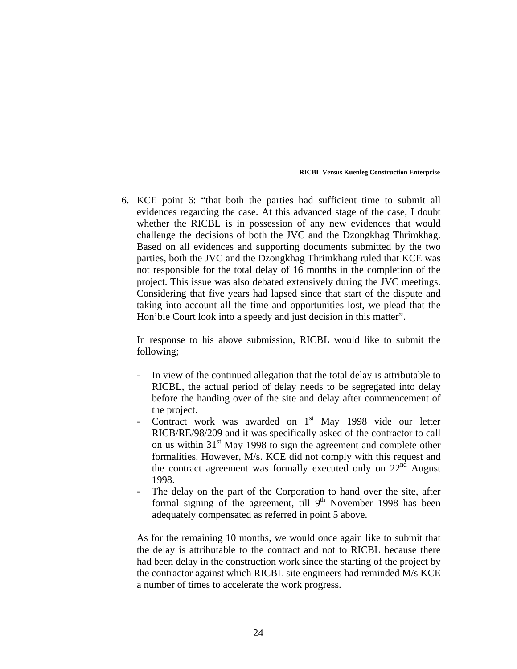6. KCE point 6: "that both the parties had sufficient time to submit all evidences regarding the case. At this advanced stage of the case, I doubt whether the RICBL is in possession of any new evidences that would challenge the decisions of both the JVC and the Dzongkhag Thrimkhag. Based on all evidences and supporting documents submitted by the two parties, both the JVC and the Dzongkhag Thrimkhang ruled that KCE was not responsible for the total delay of 16 months in the completion of the project. This issue was also debated extensively during the JVC meetings. Considering that five years had lapsed since that start of the dispute and taking into account all the time and opportunities lost, we plead that the Hon'ble Court look into a speedy and just decision in this matter".

 In response to his above submission, RICBL would like to submit the following;

- In view of the continued allegation that the total delay is attributable to RICBL, the actual period of delay needs to be segregated into delay before the handing over of the site and delay after commencement of the project.
- Contract work was awarded on 1<sup>st</sup> May 1998 vide our letter RICB/RE/98/209 and it was specifically asked of the contractor to call on us within 31<sup>st</sup> May 1998 to sign the agreement and complete other formalities. However, M/s. KCE did not comply with this request and the contract agreement was formally executed only on  $22<sup>nd</sup>$  August 1998.
- The delay on the part of the Corporation to hand over the site, after formal signing of the agreement, till  $9<sup>th</sup>$  November 1998 has been adequately compensated as referred in point 5 above.

As for the remaining 10 months, we would once again like to submit that the delay is attributable to the contract and not to RICBL because there had been delay in the construction work since the starting of the project by the contractor against which RICBL site engineers had reminded M/s KCE a number of times to accelerate the work progress.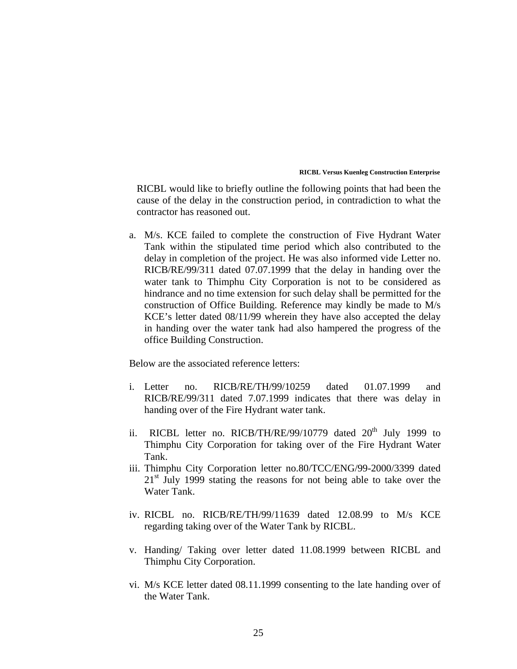RICBL would like to briefly outline the following points that had been the cause of the delay in the construction period, in contradiction to what the contractor has reasoned out.

a. M/s. KCE failed to complete the construction of Five Hydrant Water Tank within the stipulated time period which also contributed to the delay in completion of the project. He was also informed vide Letter no. RICB/RE/99/311 dated 07.07.1999 that the delay in handing over the water tank to Thimphu City Corporation is not to be considered as hindrance and no time extension for such delay shall be permitted for the construction of Office Building. Reference may kindly be made to M/s KCE's letter dated 08/11/99 wherein they have also accepted the delay in handing over the water tank had also hampered the progress of the office Building Construction.

Below are the associated reference letters:

- i. Letter no. RICB/RE/TH/99/10259 dated 01.07.1999 and RICB/RE/99/311 dated 7.07.1999 indicates that there was delay in handing over of the Fire Hydrant water tank.
- ii. RICBL letter no. RICB/TH/RE/99/10779 dated 20<sup>th</sup> July 1999 to Thimphu City Corporation for taking over of the Fire Hydrant Water Tank.
- iii. Thimphu City Corporation letter no.80/TCC/ENG/99-2000/3399 dated  $21<sup>st</sup>$  July 1999 stating the reasons for not being able to take over the Water Tank.
- iv. RICBL no. RICB/RE/TH/99/11639 dated 12.08.99 to M/s KCE regarding taking over of the Water Tank by RICBL.
- v. Handing/ Taking over letter dated 11.08.1999 between RICBL and Thimphu City Corporation.
- vi. M/s KCE letter dated 08.11.1999 consenting to the late handing over of the Water Tank.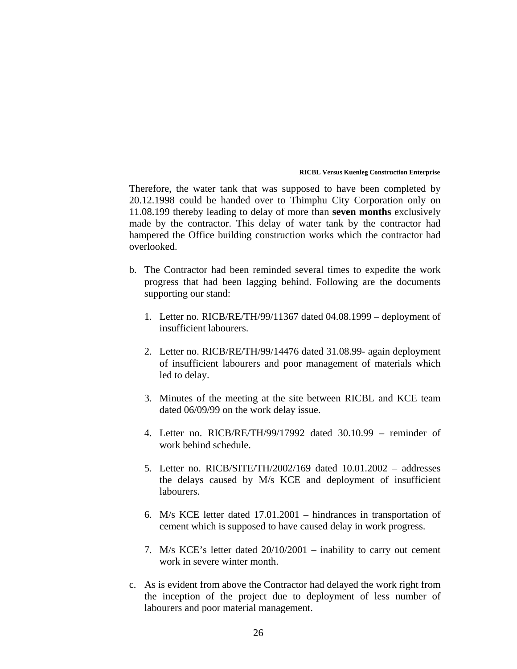Therefore, the water tank that was supposed to have been completed by 20.12.1998 could be handed over to Thimphu City Corporation only on 11.08.199 thereby leading to delay of more than **seven months** exclusively made by the contractor. This delay of water tank by the contractor had hampered the Office building construction works which the contractor had overlooked.

- b. The Contractor had been reminded several times to expedite the work progress that had been lagging behind. Following are the documents supporting our stand:
	- 1. Letter no. RICB/RE/TH/99/11367 dated 04.08.1999 deployment of insufficient labourers.
	- 2. Letter no. RICB/RE/TH/99/14476 dated 31.08.99- again deployment of insufficient labourers and poor management of materials which led to delay.
	- 3. Minutes of the meeting at the site between RICBL and KCE team dated 06/09/99 on the work delay issue.
	- 4. Letter no. RICB/RE/TH/99/17992 dated 30.10.99 reminder of work behind schedule.
	- 5. Letter no. RICB/SITE/TH/2002/169 dated 10.01.2002 addresses the delays caused by M/s KCE and deployment of insufficient labourers.
	- 6. M/s KCE letter dated 17.01.2001 hindrances in transportation of cement which is supposed to have caused delay in work progress.
	- 7. M/s KCE's letter dated 20/10/2001 inability to carry out cement work in severe winter month.
- c. As is evident from above the Contractor had delayed the work right from the inception of the project due to deployment of less number of labourers and poor material management.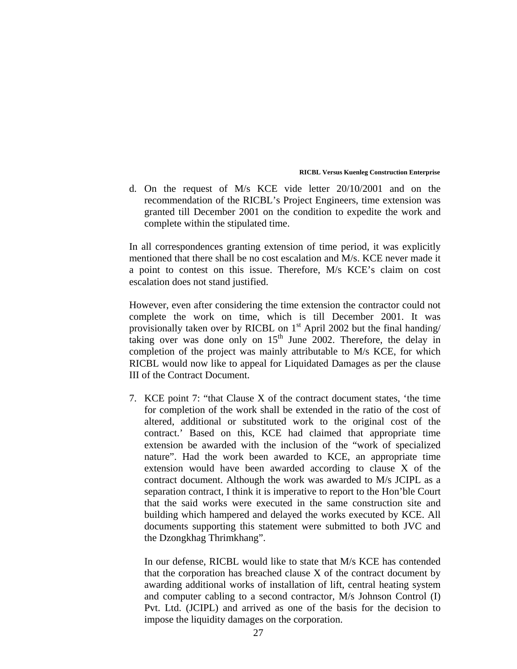d. On the request of M/s KCE vide letter 20/10/2001 and on the recommendation of the RICBL's Project Engineers, time extension was granted till December 2001 on the condition to expedite the work and complete within the stipulated time.

In all correspondences granting extension of time period, it was explicitly mentioned that there shall be no cost escalation and M/s. KCE never made it a point to contest on this issue. Therefore, M/s KCE's claim on cost escalation does not stand justified.

However, even after considering the time extension the contractor could not complete the work on time, which is till December 2001. It was provisionally taken over by RICBL on  $1<sup>st</sup>$  April 2002 but the final handing/ taking over was done only on  $15<sup>th</sup>$  June 2002. Therefore, the delay in completion of the project was mainly attributable to M/s KCE, for which RICBL would now like to appeal for Liquidated Damages as per the clause III of the Contract Document.

7. KCE point 7: "that Clause X of the contract document states, 'the time for completion of the work shall be extended in the ratio of the cost of altered, additional or substituted work to the original cost of the contract.' Based on this, KCE had claimed that appropriate time extension be awarded with the inclusion of the "work of specialized nature". Had the work been awarded to KCE, an appropriate time extension would have been awarded according to clause X of the contract document. Although the work was awarded to M/s JCIPL as a separation contract, I think it is imperative to report to the Hon'ble Court that the said works were executed in the same construction site and building which hampered and delayed the works executed by KCE. All documents supporting this statement were submitted to both JVC and the Dzongkhag Thrimkhang".

In our defense, RICBL would like to state that M/s KCE has contended that the corporation has breached clause X of the contract document by awarding additional works of installation of lift, central heating system and computer cabling to a second contractor, M/s Johnson Control (I) Pvt. Ltd. (JCIPL) and arrived as one of the basis for the decision to impose the liquidity damages on the corporation.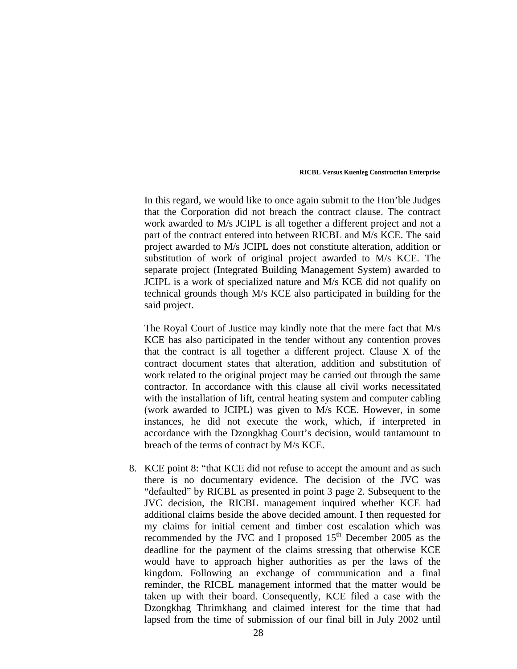In this regard, we would like to once again submit to the Hon'ble Judges that the Corporation did not breach the contract clause. The contract work awarded to M/s JCIPL is all together a different project and not a part of the contract entered into between RICBL and M/s KCE. The said project awarded to M/s JCIPL does not constitute alteration, addition or substitution of work of original project awarded to M/s KCE. The separate project (Integrated Building Management System) awarded to JCIPL is a work of specialized nature and M/s KCE did not qualify on technical grounds though M/s KCE also participated in building for the said project.

The Royal Court of Justice may kindly note that the mere fact that M/s KCE has also participated in the tender without any contention proves that the contract is all together a different project. Clause X of the contract document states that alteration, addition and substitution of work related to the original project may be carried out through the same contractor. In accordance with this clause all civil works necessitated with the installation of lift, central heating system and computer cabling (work awarded to JCIPL) was given to M/s KCE. However, in some instances, he did not execute the work, which, if interpreted in accordance with the Dzongkhag Court's decision, would tantamount to breach of the terms of contract by M/s KCE.

8. KCE point 8: "that KCE did not refuse to accept the amount and as such there is no documentary evidence. The decision of the JVC was "defaulted" by RICBL as presented in point 3 page 2. Subsequent to the JVC decision, the RICBL management inquired whether KCE had additional claims beside the above decided amount. I then requested for my claims for initial cement and timber cost escalation which was recommended by the JVC and I proposed 15<sup>th</sup> December 2005 as the deadline for the payment of the claims stressing that otherwise KCE would have to approach higher authorities as per the laws of the kingdom. Following an exchange of communication and a final reminder, the RICBL management informed that the matter would be taken up with their board. Consequently, KCE filed a case with the Dzongkhag Thrimkhang and claimed interest for the time that had lapsed from the time of submission of our final bill in July 2002 until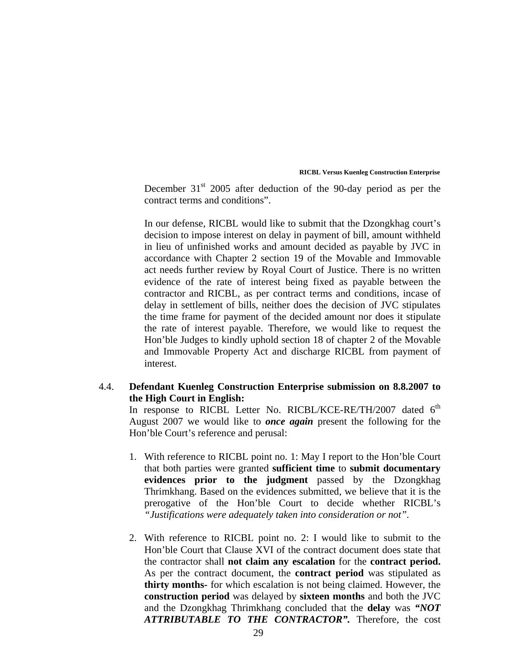December  $31<sup>st</sup>$  2005 after deduction of the 90-day period as per the contract terms and conditions".

In our defense, RICBL would like to submit that the Dzongkhag court's decision to impose interest on delay in payment of bill, amount withheld in lieu of unfinished works and amount decided as payable by JVC in accordance with Chapter 2 section 19 of the Movable and Immovable act needs further review by Royal Court of Justice. There is no written evidence of the rate of interest being fixed as payable between the contractor and RICBL, as per contract terms and conditions, incase of delay in settlement of bills, neither does the decision of JVC stipulates the time frame for payment of the decided amount nor does it stipulate the rate of interest payable. Therefore, we would like to request the Hon'ble Judges to kindly uphold section 18 of chapter 2 of the Movable and Immovable Property Act and discharge RICBL from payment of interest.

# 4.4. **Defendant Kuenleg Construction Enterprise submission on 8.8.2007 to the High Court in English:**

In response to RICBL Letter No. RICBL/KCE-RE/TH/2007 dated  $6<sup>th</sup>$ August 2007 we would like to *once again* present the following for the Hon'ble Court's reference and perusal:

- 1. With reference to RICBL point no. 1: May I report to the Hon'ble Court that both parties were granted **sufficient time** to **submit documentary evidences prior to the judgment** passed by the Dzongkhag Thrimkhang. Based on the evidences submitted, we believe that it is the prerogative of the Hon'ble Court to decide whether RICBL's *"Justifications were adequately taken into consideration or not".*
- 2. With reference to RICBL point no. 2: I would like to submit to the Hon'ble Court that Clause XVI of the contract document does state that the contractor shall **not claim any escalation** for the **contract period.** As per the contract document, the **contract period** was stipulated as **thirty months-** for which escalation is not being claimed. However, the **construction period** was delayed by **sixteen months** and both the JVC and the Dzongkhag Thrimkhang concluded that the **delay** was *"NOT ATTRIBUTABLE TO THE CONTRACTOR".* Therefore, the cost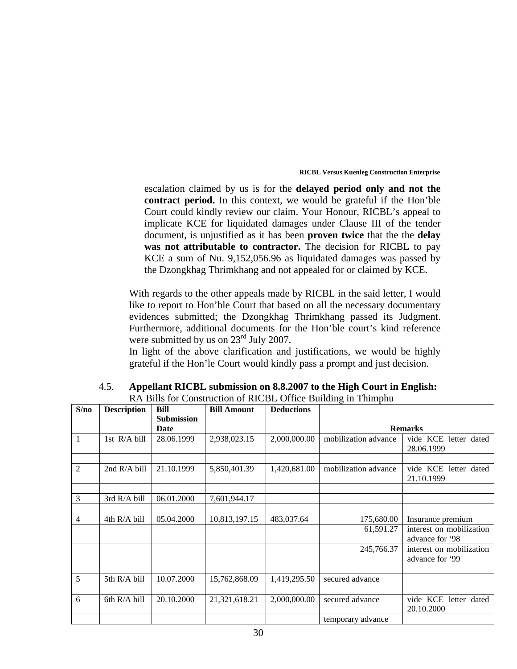escalation claimed by us is for the **delayed period only and not the contract period.** In this context, we would be grateful if the Hon'ble Court could kindly review our claim. Your Honour, RICBL's appeal to implicate KCE for liquidated damages under Clause III of the tender document, is unjustified as it has been **proven twice** that the the **delay was not attributable to contractor.** The decision for RICBL to pay KCE a sum of Nu. 9,152,056.96 as liquidated damages was passed by the Dzongkhag Thrimkhang and not appealed for or claimed by KCE.

With regards to the other appeals made by RICBL in the said letter, I would like to report to Hon'ble Court that based on all the necessary documentary evidences submitted; the Dzongkhag Thrimkhang passed its Judgment. Furthermore, additional documents for the Hon'ble court's kind reference were submitted by us on  $23<sup>rd</sup>$  July 2007.

In light of the above clarification and justifications, we would be highly grateful if the Hon'le Court would kindly pass a prompt and just decision.

|                | <b>KA DIIIS TOI CONSULUTION OF KICDL OTHER DUITUING IN THIMPHU</b> |                   |                    |                   |                                                           |                                             |  |  |
|----------------|--------------------------------------------------------------------|-------------------|--------------------|-------------------|-----------------------------------------------------------|---------------------------------------------|--|--|
| S/no           | <b>Description</b>                                                 | Bill              | <b>Bill Amount</b> | <b>Deductions</b> |                                                           |                                             |  |  |
|                |                                                                    | <b>Submission</b> |                    |                   |                                                           |                                             |  |  |
|                |                                                                    | Date              |                    |                   |                                                           | <b>Remarks</b>                              |  |  |
| 1              | 1st R/A bill                                                       | 28.06.1999        | 2,938,023.15       | 2,000,000.00      | mobilization advance                                      | vide KCE letter dated<br>28.06.1999         |  |  |
|                |                                                                    |                   |                    |                   |                                                           |                                             |  |  |
| $\overline{2}$ | 2nd R/A bill                                                       | 21.10.1999        | 5,850,401.39       | 1,420,681.00      | mobilization advance                                      | vide KCE letter dated<br>21.10.1999         |  |  |
|                |                                                                    |                   |                    |                   |                                                           |                                             |  |  |
| 3              | 3rd R/A bill                                                       | 06.01.2000        | 7,601,944.17       |                   |                                                           |                                             |  |  |
|                |                                                                    |                   |                    |                   |                                                           |                                             |  |  |
| 4              | 4th R/A bill                                                       | 05.04.2000        | 10,813,197.15      | 483,037.64        | 175,680.00                                                | Insurance premium                           |  |  |
|                |                                                                    |                   |                    |                   | 61,591.27                                                 | interest on mobilization<br>advance for '98 |  |  |
|                |                                                                    |                   |                    |                   | 245,766.37<br>interest on mobilization<br>advance for '99 |                                             |  |  |
|                |                                                                    |                   |                    |                   |                                                           |                                             |  |  |
| 5              | 5th R/A bill                                                       | 10.07.2000        | 15,762,868.09      | 1,419,295.50      | secured advance                                           |                                             |  |  |
|                |                                                                    |                   |                    |                   |                                                           |                                             |  |  |
| 6              | 6th R/A bill                                                       | 20.10.2000        | 21,321,618.21      | 2,000,000.00      | secured advance                                           | vide KCE letter dated<br>20.10.2000         |  |  |
|                |                                                                    |                   |                    |                   | temporary advance                                         |                                             |  |  |

| 4.5. | Appellant RICBL submission on 8.8.2007 to the High Court in English: |
|------|----------------------------------------------------------------------|
|      | RA Bills for Construction of RICBL Office Building in Thimphu        |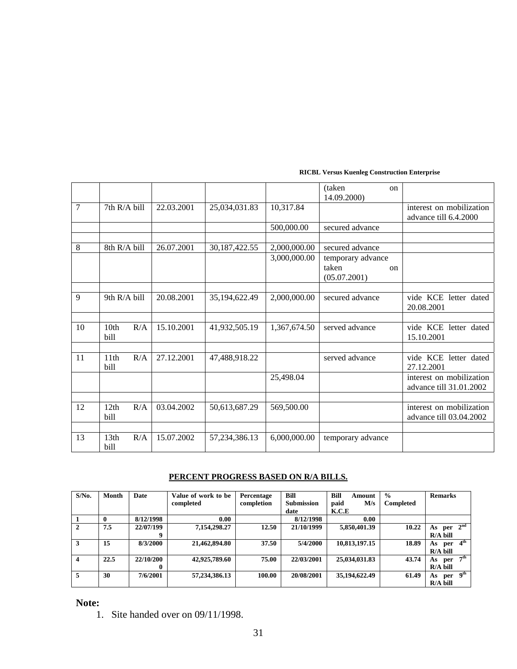|    |                                 |            |                  |              | (taken<br>$_{\rm on}$<br>14.09.2000)                   |                                                     |
|----|---------------------------------|------------|------------------|--------------|--------------------------------------------------------|-----------------------------------------------------|
| 7  | 7th R/A bill                    | 22.03.2001 | 25,034,031.83    | 10,317.84    |                                                        | interest on mobilization<br>advance till 6.4.2000   |
|    |                                 |            |                  | 500,000.00   | secured advance                                        |                                                     |
|    |                                 |            |                  |              |                                                        |                                                     |
| 8  | 8th R/A bill                    | 26.07.2001 | 30,187,422.55    | 2,000,000.00 | secured advance                                        |                                                     |
|    |                                 |            |                  | 3,000,000.00 | temporary advance<br>taken<br>$\alpha$<br>(05.07.2001) |                                                     |
|    |                                 |            |                  |              |                                                        |                                                     |
| 9  | 9th $R/A$ bill                  | 20.08.2001 | 35,194,622.49    | 2,000,000.00 | secured advance                                        | vide KCE letter dated<br>20.08.2001                 |
|    |                                 |            |                  |              |                                                        |                                                     |
| 10 | 10 <sub>th</sub><br>R/A<br>bill | 15.10.2001 | 41,932,505.19    | 1,367,674.50 | served advance                                         | vide KCE letter dated<br>15.10.2001                 |
|    |                                 |            |                  |              |                                                        |                                                     |
| 11 | 11th<br>R/A<br>bill             | 27.12.2001 | 47,488,918.22    |              | served advance                                         | vide KCE letter dated<br>27.12.2001                 |
|    |                                 |            |                  | 25,498.04    |                                                        | interest on mobilization<br>advance till 31.01.2002 |
|    |                                 |            |                  |              |                                                        |                                                     |
| 12 | 12th<br>R/A<br>bill             | 03.04.2002 | 50,613,687.29    | 569,500.00   |                                                        | interest on mobilization<br>advance till 03.04.2002 |
|    |                                 |            |                  |              |                                                        |                                                     |
| 13 | 13th<br>R/A<br>bill             | 15.07.2002 | 57, 234, 386. 13 | 6,000,000.00 | temporary advance                                      |                                                     |

# **PERCENT PROGRESS BASED ON R/A BILLS.**

| $S/N0$ .                | Month | Date      | Value of work to be | Percentage | <b>Bill</b>       | Bill<br>Amount | $\frac{0}{0}$    | <b>Remarks</b>                |
|-------------------------|-------|-----------|---------------------|------------|-------------------|----------------|------------------|-------------------------------|
|                         |       |           | completed           | completion | <b>Submission</b> | paid<br>M/s    | <b>Completed</b> |                               |
|                         |       |           |                     |            | date              | K.C.E          |                  |                               |
|                         | 0     | 8/12/1998 | 0.00                |            | 8/12/1998         | 0.00           |                  |                               |
| $\mathbf{2}$            | 7.5   | 22/07/199 | 7,154,298.27        | 12.50      | 21/10/1999        | 5,850,401.39   | 10.22            | 2 <sup>nd</sup><br>As per     |
|                         |       | 9         |                     |            |                   |                |                  | $R/A$ bill                    |
| 3                       | 15    | 8/3/2000  | 21,462,894.80       | 37.50      | 5/4/2000          | 10,813,197.15  | 18.89            | 4 <sup>th</sup><br>As<br>per  |
|                         |       |           |                     |            |                   |                |                  | $R/A$ bill                    |
| $\overline{\mathbf{4}}$ | 22.5  | 22/10/200 | 42,925,789.60       | 75.00      | 22/03/2001        | 25,034,031.83  | 43.74            | 7 <sup>th</sup><br>As<br>per  |
|                         |       | 0         |                     |            |                   |                |                  | $R/A$ bill                    |
| 5.                      | 30    | 7/6/2001  | 57,234,386.13       | 100.00     | 20/08/2001        | 35,194,622.49  | 61.49            | $per \overline{9^{th}}$<br>As |
|                         |       |           |                     |            |                   |                |                  | $R/A$ bill                    |

**Note:** 

1. Site handed over on 09/11/1998.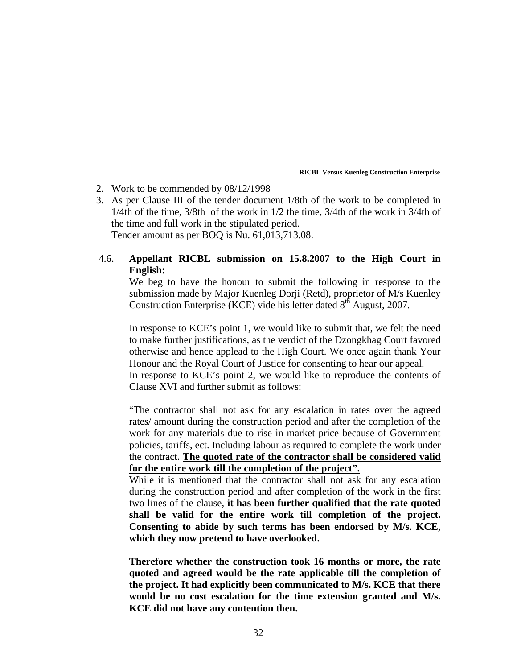- 2. Work to be commended by 08/12/1998
- 3. As per Clause III of the tender document 1/8th of the work to be completed in 1/4th of the time, 3/8th of the work in 1/2 the time, 3/4th of the work in 3/4th of the time and full work in the stipulated period. Tender amount as per BOQ is Nu. 61,013,713.08.

# 4.6. **Appellant RICBL submission on 15.8.2007 to the High Court in English:**

We beg to have the honour to submit the following in response to the submission made by Major Kuenleg Dorji (Retd), proprietor of M/s Kuenley Construction Enterprise (KCE) vide his letter dated 8<sup>th</sup> August, 2007.

In response to KCE's point 1, we would like to submit that, we felt the need to make further justifications, as the verdict of the Dzongkhag Court favored otherwise and hence applead to the High Court. We once again thank Your Honour and the Royal Court of Justice for consenting to hear our appeal. In response to KCE's point 2, we would like to reproduce the contents of Clause XVI and further submit as follows:

"The contractor shall not ask for any escalation in rates over the agreed rates/ amount during the construction period and after the completion of the work for any materials due to rise in market price because of Government policies, tariffs, ect. Including labour as required to complete the work under the contract. **The quoted rate of the contractor shall be considered valid for the entire work till the completion of the project".**

While it is mentioned that the contractor shall not ask for any escalation during the construction period and after completion of the work in the first two lines of the clause, **it has been further qualified that the rate quoted shall be valid for the entire work till completion of the project. Consenting to abide by such terms has been endorsed by M/s. KCE, which they now pretend to have overlooked.** 

**Therefore whether the construction took 16 months or more, the rate quoted and agreed would be the rate applicable till the completion of the project. It had explicitly been communicated to M/s. KCE that there would be no cost escalation for the time extension granted and M/s. KCE did not have any contention then.**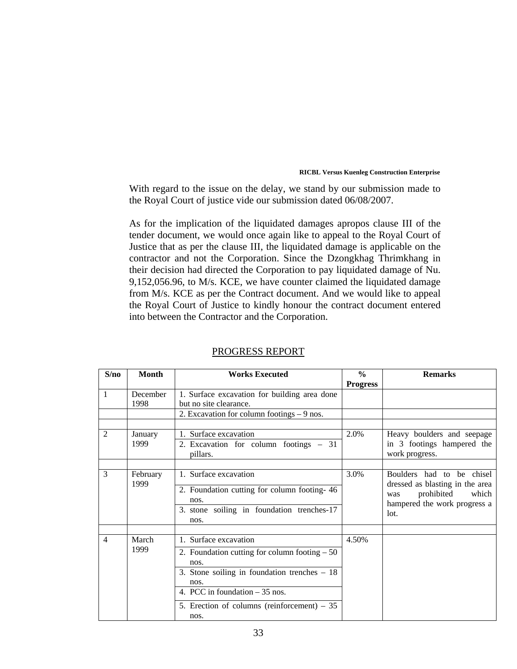With regard to the issue on the delay, we stand by our submission made to the Royal Court of justice vide our submission dated 06/08/2007.

As for the implication of the liquidated damages apropos clause III of the tender document, we would once again like to appeal to the Royal Court of Justice that as per the clause III, the liquidated damage is applicable on the contractor and not the Corporation. Since the Dzongkhag Thrimkhang in their decision had directed the Corporation to pay liquidated damage of Nu. 9,152,056.96, to M/s. KCE, we have counter claimed the liquidated damage from M/s. KCE as per the Contract document. And we would like to appeal the Royal Court of Justice to kindly honour the contract document entered into between the Contractor and the Corporation.

| S/no           | <b>Month</b>     | <b>Works Executed</b>                                                                                                                                                                                                               | $\frac{0}{0}$   | <b>Remarks</b>                                                                                                                     |
|----------------|------------------|-------------------------------------------------------------------------------------------------------------------------------------------------------------------------------------------------------------------------------------|-----------------|------------------------------------------------------------------------------------------------------------------------------------|
|                |                  |                                                                                                                                                                                                                                     | <b>Progress</b> |                                                                                                                                    |
| 1              | December<br>1998 | 1. Surface excavation for building area done<br>but no site clearance.                                                                                                                                                              |                 |                                                                                                                                    |
|                |                  | 2. Excavation for column footings - 9 nos.                                                                                                                                                                                          |                 |                                                                                                                                    |
|                |                  |                                                                                                                                                                                                                                     |                 |                                                                                                                                    |
| 2              | January<br>1999  | 1. Surface excavation<br>2. Excavation for column footings – 31<br>pillars.                                                                                                                                                         | 2.0%            | Heavy boulders and seepage<br>in 3 footings hampered the<br>work progress.                                                         |
|                |                  |                                                                                                                                                                                                                                     |                 |                                                                                                                                    |
| 3              | February<br>1999 | 1. Surface excavation<br>2. Foundation cutting for column footing-46<br>nos.<br>$\overline{3}$ . stone soiling in foundation trenches-17<br>nos.                                                                                    | 3.0%            | Boulders had to be chisel<br>dressed as blasting in the area<br>prohibited<br>which<br>was<br>hampered the work progress a<br>lot. |
| $\overline{4}$ | March<br>1999    | 1. Surface excavation<br>2. Foundation cutting for column footing $-50$<br>nos.<br>3. Stone soiling in foundation trenches $-18$<br>nos.<br>4. PCC in foundation $-35$ nos.<br>5. Erection of columns (reinforcement) $-35$<br>nos. | 4.50%           |                                                                                                                                    |

## PROGRESS REPORT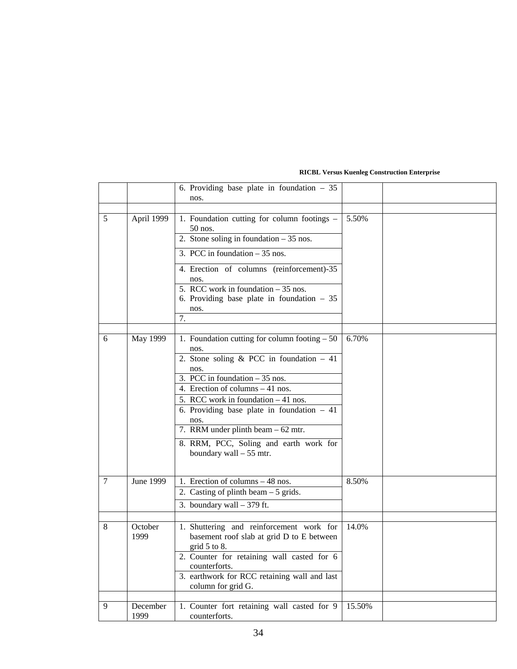|   |                  | 6. Providing base plate in foundation $-35$<br>nos.                                                                                                                                                                                                                                                                                                                                           |        |  |
|---|------------------|-----------------------------------------------------------------------------------------------------------------------------------------------------------------------------------------------------------------------------------------------------------------------------------------------------------------------------------------------------------------------------------------------|--------|--|
|   |                  |                                                                                                                                                                                                                                                                                                                                                                                               |        |  |
| 5 | April 1999       | 1. Foundation cutting for column footings -<br>$50$ nos.<br>2. Stone soling in foundation $-35$ nos.<br>3. PCC in foundation $-35$ nos.<br>4. Erection of columns (reinforcement)-35<br>nos.<br>5. RCC work in foundation $-35$ nos.<br>6. Providing base plate in foundation $-35$<br>nos.<br>7.                                                                                             | 5.50%  |  |
| 6 | May 1999         | 1. Foundation cutting for column footing $-50$<br>nos.<br>2. Stone soling $& PCC$ in foundation - 41<br>nos.<br>3. PCC in foundation $-35$ nos.<br>4. Erection of columns – 41 nos.<br>5. RCC work in foundation - 41 nos.<br>6. Providing base plate in foundation $-41$<br>nos.<br>7. RRM under plinth beam – 62 mtr.<br>8. RRM, PCC, Soling and earth work for<br>boundary wall $-55$ mtr. | 6.70%  |  |
| 7 | June 1999        | 1. Erection of columns – 48 nos.<br>2. Casting of plinth beam $-5$ grids.<br>3. boundary wall $-379$ ft.                                                                                                                                                                                                                                                                                      | 8.50%  |  |
| 8 | October<br>1999  | 1. Shuttering and reinforcement work for<br>basement roof slab at grid D to E between<br>grid $5$ to $8$ .<br>2. Counter for retaining wall casted for 6<br>counterforts.<br>3. earthwork for RCC retaining wall and last<br>column for grid G.                                                                                                                                               | 14.0%  |  |
| 9 | December<br>1999 | 1. Counter fort retaining wall casted for 9<br>counterforts.                                                                                                                                                                                                                                                                                                                                  | 15.50% |  |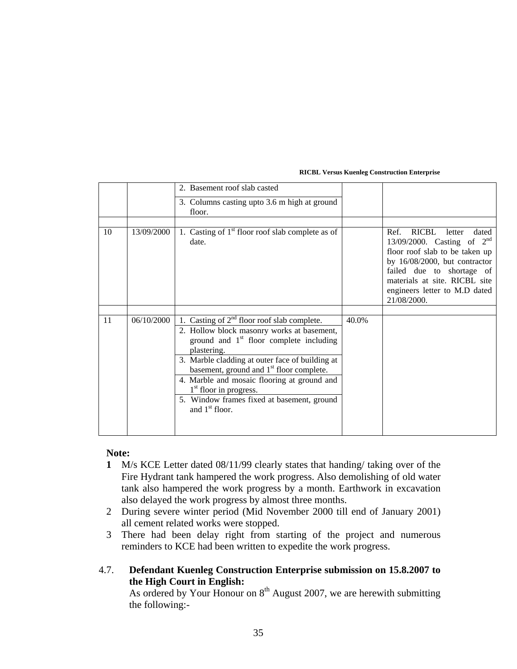|    |            | 2. Basement roof slab casted                                                                                                                                                                                                                                                                                                                                                                                    |       |                                                                                                                                                                                                                                                      |
|----|------------|-----------------------------------------------------------------------------------------------------------------------------------------------------------------------------------------------------------------------------------------------------------------------------------------------------------------------------------------------------------------------------------------------------------------|-------|------------------------------------------------------------------------------------------------------------------------------------------------------------------------------------------------------------------------------------------------------|
|    |            | 3. Columns casting upto 3.6 m high at ground<br>floor.                                                                                                                                                                                                                                                                                                                                                          |       |                                                                                                                                                                                                                                                      |
| 10 | 13/09/2000 | 1. Casting of $1st$ floor roof slab complete as of<br>date.                                                                                                                                                                                                                                                                                                                                                     |       | RICBL<br>Ref.<br>letter<br>dated<br>13/09/2000. Casting of $2^{nd}$<br>floor roof slab to be taken up<br>by 16/08/2000, but contractor<br>failed due to shortage of<br>materials at site. RICBL site<br>engineers letter to M.D dated<br>21/08/2000. |
|    |            |                                                                                                                                                                                                                                                                                                                                                                                                                 |       |                                                                                                                                                                                                                                                      |
| 11 | 06/10/2000 | 1. Casting of $2nd$ floor roof slab complete.<br>2. Hollow block masonry works at basement,<br>ground and $1st$ floor complete including<br>plastering.<br>3. Marble cladding at outer face of building at<br>basement, ground and 1 <sup>st</sup> floor complete.<br>4. Marble and mosaic flooring at ground and<br>$1st$ floor in progress.<br>5. Window frames fixed at basement, ground<br>and $1st$ floor. | 40.0% |                                                                                                                                                                                                                                                      |

## **Note:**

- **1** M/s KCE Letter dated 08/11/99 clearly states that handing/ taking over of the Fire Hydrant tank hampered the work progress. Also demolishing of old water tank also hampered the work progress by a month. Earthwork in excavation also delayed the work progress by almost three months.
- 2 During severe winter period (Mid November 2000 till end of January 2001) all cement related works were stopped.
- 3 There had been delay right from starting of the project and numerous reminders to KCE had been written to expedite the work progress.

# 4.7. **Defendant Kuenleg Construction Enterprise submission on 15.8.2007 to the High Court in English:**

As ordered by Your Honour on  $8<sup>th</sup>$  August 2007, we are herewith submitting the following:-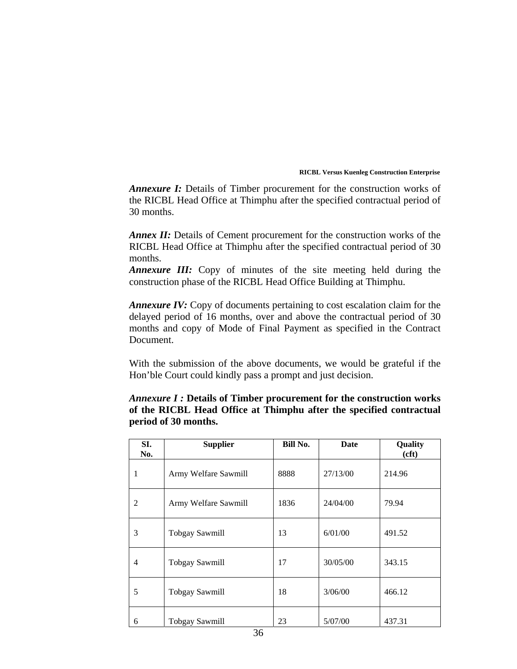*Annexure I:* Details of Timber procurement for the construction works of the RICBL Head Office at Thimphu after the specified contractual period of 30 months.

*Annex II:* Details of Cement procurement for the construction works of the RICBL Head Office at Thimphu after the specified contractual period of 30 months.

*Annexure III:* Copy of minutes of the site meeting held during the construction phase of the RICBL Head Office Building at Thimphu.

*Annexure IV:* Copy of documents pertaining to cost escalation claim for the delayed period of 16 months, over and above the contractual period of 30 months and copy of Mode of Final Payment as specified in the Contract Document.

With the submission of the above documents, we would be grateful if the Hon'ble Court could kindly pass a prompt and just decision.

# *Annexure I :* **Details of Timber procurement for the construction works of the RICBL Head Office at Thimphu after the specified contractual period of 30 months.**

| SI.<br>No. | <b>Supplier</b>       | Bill No. | Date     | Quality<br>(cft) |
|------------|-----------------------|----------|----------|------------------|
| 1          | Army Welfare Sawmill  | 8888     | 27/13/00 | 214.96           |
| 2          | Army Welfare Sawmill  | 1836     | 24/04/00 | 79.94            |
| 3          | <b>Tobgay Sawmill</b> | 13       | 6/01/00  | 491.52           |
| 4          | <b>Tobgay Sawmill</b> | 17       | 30/05/00 | 343.15           |
| 5          | <b>Tobgay Sawmill</b> | 18       | 3/06/00  | 466.12           |
| 6          | <b>Tobgay Sawmill</b> | 23       | 5/07/00  | 437.31           |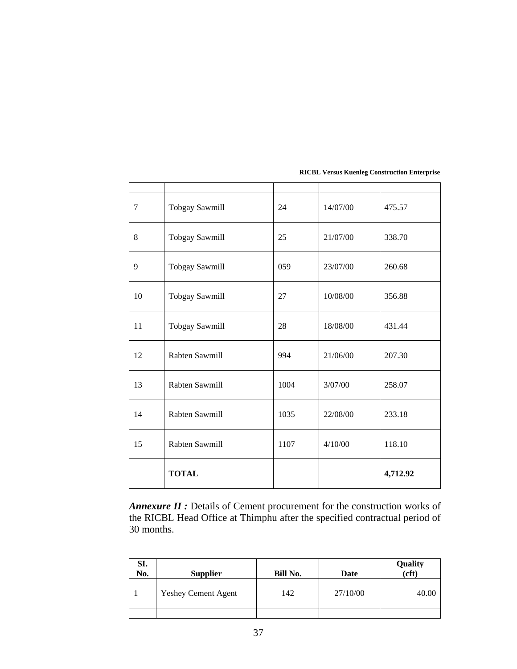|    | <b>TOTAL</b>          |      |          | 4,712.92 |
|----|-----------------------|------|----------|----------|
| 15 | Rabten Sawmill        | 1107 | 4/10/00  | 118.10   |
| 14 | Rabten Sawmill        | 1035 | 22/08/00 | 233.18   |
| 13 | Rabten Sawmill        | 1004 | 3/07/00  | 258.07   |
| 12 | Rabten Sawmill        | 994  | 21/06/00 | 207.30   |
| 11 | <b>Tobgay Sawmill</b> | 28   | 18/08/00 | 431.44   |
| 10 | Tobgay Sawmill        | 27   | 10/08/00 | 356.88   |
| 9  | <b>Tobgay Sawmill</b> | 059  | 23/07/00 | 260.68   |
| 8  | <b>Tobgay Sawmill</b> | 25   | 21/07/00 | 338.70   |
| 7  | <b>Tobgay Sawmill</b> | 24   | 14/07/00 | 475.57   |
|    |                       |      |          |          |

*Annexure II :* Details of Cement procurement for the construction works of the RICBL Head Office at Thimphu after the specified contractual period of 30 months.

| SI.<br>No. | <b>Supplier</b>            | <b>Bill No.</b> | Date     | Quality<br>cft |
|------------|----------------------------|-----------------|----------|----------------|
|            | <b>Yeshey Cement Agent</b> | 142             | 27/10/00 | 40.00          |
|            |                            |                 |          |                |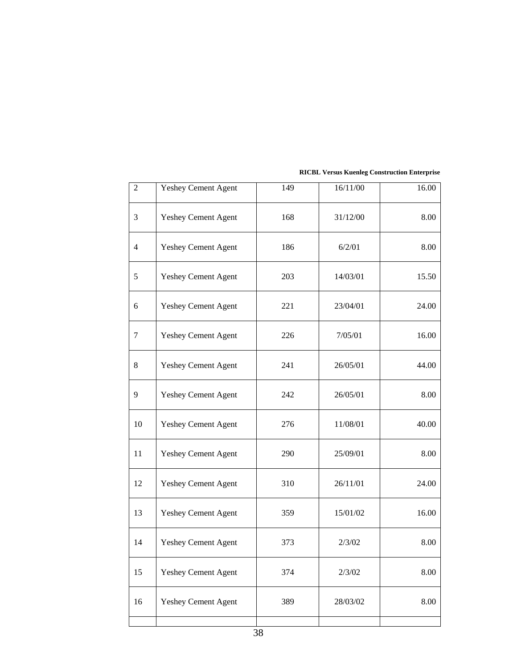| $\overline{2}$ | Yeshey Cement Agent        | 149 | 16/11/00 | 16.00 |
|----------------|----------------------------|-----|----------|-------|
| 3              | <b>Yeshey Cement Agent</b> | 168 | 31/12/00 | 8.00  |
| 4              | Yeshey Cement Agent        | 186 | 6/2/01   | 8.00  |
| 5              | <b>Yeshey Cement Agent</b> | 203 | 14/03/01 | 15.50 |
| 6              | <b>Yeshey Cement Agent</b> | 221 | 23/04/01 | 24.00 |
| 7              | <b>Yeshey Cement Agent</b> | 226 | 7/05/01  | 16.00 |
| 8              | <b>Yeshey Cement Agent</b> | 241 | 26/05/01 | 44.00 |
| 9              | Yeshey Cement Agent        | 242 | 26/05/01 | 8.00  |
| 10             | <b>Yeshey Cement Agent</b> | 276 | 11/08/01 | 40.00 |
| 11             | <b>Yeshey Cement Agent</b> | 290 | 25/09/01 | 8.00  |
| 12             | <b>Yeshey Cement Agent</b> | 310 | 26/11/01 | 24.00 |
| 13             | Yeshey Cement Agent        | 359 | 15/01/02 | 16.00 |
| 14             | <b>Yeshey Cement Agent</b> | 373 | 2/3/02   | 8.00  |
| 15             | Yeshey Cement Agent        | 374 | 2/3/02   | 8.00  |
| 16             | <b>Yeshey Cement Agent</b> | 389 | 28/03/02 | 8.00  |
|                |                            |     |          |       |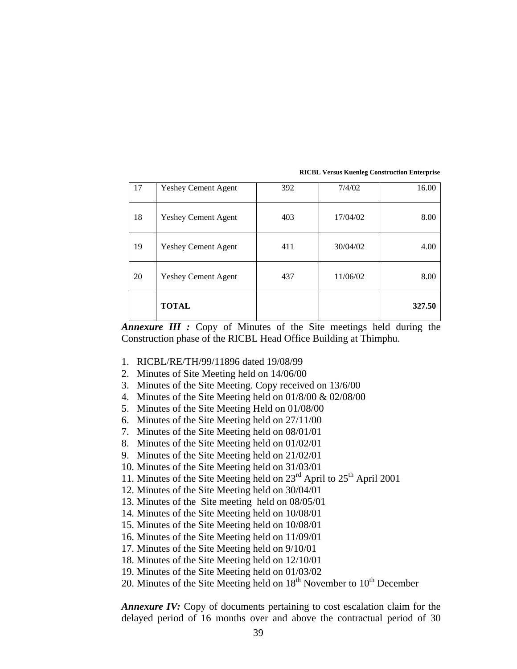|    | <b>TOTAL</b>               |     |          | 327.50 |
|----|----------------------------|-----|----------|--------|
| 20 | <b>Yeshey Cement Agent</b> | 437 | 11/06/02 | 8.00   |
| 19 | <b>Yeshey Cement Agent</b> | 411 | 30/04/02 | 4.00   |
| 18 | <b>Yeshey Cement Agent</b> | 403 | 17/04/02 | 8.00   |
| 17 | <b>Yeshey Cement Agent</b> | 392 | 7/4/02   | 16.00  |

*Annexure III :* Copy of Minutes of the Site meetings held during the Construction phase of the RICBL Head Office Building at Thimphu.

- 1. RICBL/RE/TH/99/11896 dated 19/08/99
- 2. Minutes of Site Meeting held on 14/06/00
- 3. Minutes of the Site Meeting. Copy received on 13/6/00
- 4. Minutes of the Site Meeting held on 01/8/00 & 02/08/00
- 5. Minutes of the Site Meeting Held on 01/08/00
- 6. Minutes of the Site Meeting held on 27/11/00
- 7. Minutes of the Site Meeting held on 08/01/01
- 8. Minutes of the Site Meeting held on 01/02/01
- 9. Minutes of the Site Meeting held on 21/02/01
- 10. Minutes of the Site Meeting held on 31/03/01
- 11. Minutes of the Site Meeting held on  $23<sup>rd</sup>$  April to  $25<sup>th</sup>$  April 2001
- 12. Minutes of the Site Meeting held on 30/04/01
- 13. Minutes of the Site meeting held on 08/05/01
- 14. Minutes of the Site Meeting held on 10/08/01
- 15. Minutes of the Site Meeting held on 10/08/01
- 16. Minutes of the Site Meeting held on 11/09/01
- 17. Minutes of the Site Meeting held on 9/10/01
- 18. Minutes of the Site Meeting held on 12/10/01
- 19. Minutes of the Site Meeting held on 01/03/02
- 20. Minutes of the Site Meeting held on  $18<sup>th</sup>$  November to  $10<sup>th</sup>$  December

*Annexure IV:* Copy of documents pertaining to cost escalation claim for the delayed period of 16 months over and above the contractual period of 30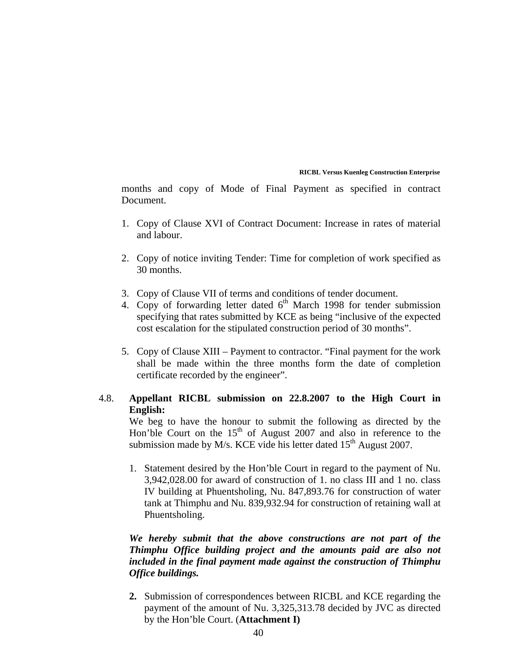months and copy of Mode of Final Payment as specified in contract Document.

- 1. Copy of Clause XVI of Contract Document: Increase in rates of material and labour.
- 2. Copy of notice inviting Tender: Time for completion of work specified as 30 months.
- 3. Copy of Clause VII of terms and conditions of tender document.
- 4. Copy of forwarding letter dated  $6<sup>th</sup>$  March 1998 for tender submission specifying that rates submitted by KCE as being "inclusive of the expected cost escalation for the stipulated construction period of 30 months".
- 5. Copy of Clause XIII Payment to contractor. "Final payment for the work shall be made within the three months form the date of completion certificate recorded by the engineer".

# 4.8. **Appellant RICBL submission on 22.8.2007 to the High Court in English:**

We beg to have the honour to submit the following as directed by the Hon'ble Court on the  $15<sup>th</sup>$  of August 2007 and also in reference to the submission made by M/s. KCE vide his letter dated  $15<sup>th</sup>$  August 2007.

1. Statement desired by the Hon'ble Court in regard to the payment of Nu. 3,942,028.00 for award of construction of 1. no class III and 1 no. class IV building at Phuentsholing, Nu. 847,893.76 for construction of water tank at Thimphu and Nu. 839,932.94 for construction of retaining wall at Phuentsholing.

# *We hereby submit that the above constructions are not part of the Thimphu Office building project and the amounts paid are also not included in the final payment made against the construction of Thimphu Office buildings.*

**2.** Submission of correspondences between RICBL and KCE regarding the payment of the amount of Nu. 3,325,313.78 decided by JVC as directed by the Hon'ble Court. (**Attachment I)**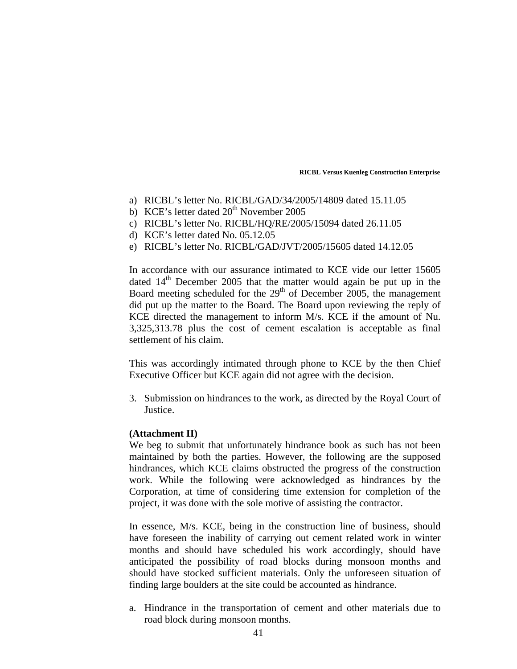- a) RICBL's letter No. RICBL/GAD/34/2005/14809 dated 15.11.05
- b) KCE's letter dated  $20<sup>th</sup>$  November 2005
- c) RICBL's letter No. RICBL/HQ/RE/2005/15094 dated 26.11.05
- d) KCE's letter dated No. 05.12.05
- e) RICBL's letter No. RICBL/GAD/JVT/2005/15605 dated 14.12.05

In accordance with our assurance intimated to KCE vide our letter 15605 dated  $14<sup>th</sup>$  December 2005 that the matter would again be put up in the Board meeting scheduled for the  $29<sup>th</sup>$  of December 2005, the management did put up the matter to the Board. The Board upon reviewing the reply of KCE directed the management to inform M/s. KCE if the amount of Nu. 3,325,313.78 plus the cost of cement escalation is acceptable as final settlement of his claim.

This was accordingly intimated through phone to KCE by the then Chief Executive Officer but KCE again did not agree with the decision.

3. Submission on hindrances to the work, as directed by the Royal Court of Justice.

## **(Attachment II)**

We beg to submit that unfortunately hindrance book as such has not been maintained by both the parties. However, the following are the supposed hindrances, which KCE claims obstructed the progress of the construction work. While the following were acknowledged as hindrances by the Corporation, at time of considering time extension for completion of the project, it was done with the sole motive of assisting the contractor.

In essence, M/s. KCE, being in the construction line of business, should have foreseen the inability of carrying out cement related work in winter months and should have scheduled his work accordingly, should have anticipated the possibility of road blocks during monsoon months and should have stocked sufficient materials. Only the unforeseen situation of finding large boulders at the site could be accounted as hindrance.

a. Hindrance in the transportation of cement and other materials due to road block during monsoon months.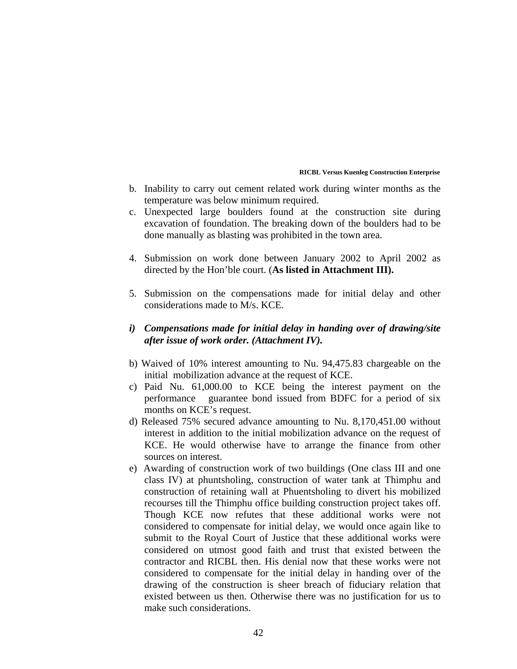- b. Inability to carry out cement related work during winter months as the temperature was below minimum required.
- c. Unexpected large boulders found at the construction site during excavation of foundation. The breaking down of the boulders had to be done manually as blasting was prohibited in the town area.
- 4. Submission on work done between January 2002 to April 2002 as directed by the Hon'ble court. (**As listed in Attachment III).**
- 5. Submission on the compensations made for initial delay and other considerations made to M/s. KCE.
- *i) Compensations made for initial delay in handing over of drawing/site after issue of work order. (Attachment IV).*
- b) Waived of 10% interest amounting to Nu. 94,475.83 chargeable on the initial mobilization advance at the request of KCE.
- c) Paid Nu. 61,000.00 to KCE being the interest payment on the performance guarantee bond issued from BDFC for a period of six months on KCE's request.
- d) Released 75% secured advance amounting to Nu. 8,170,451.00 without interest in addition to the initial mobilization advance on the request of KCE. He would otherwise have to arrange the finance from other sources on interest.
- e) Awarding of construction work of two buildings (One class III and one class IV) at phuntsholing, construction of water tank at Thimphu and construction of retaining wall at Phuentsholing to divert his mobilized recourses till the Thimphu office building construction project takes off. Though KCE now refutes that these additional works were not considered to compensate for initial delay, we would once again like to submit to the Royal Court of Justice that these additional works were considered on utmost good faith and trust that existed between the contractor and RICBL then. His denial now that these works were not considered to compensate for the initial delay in handing over of the drawing of the construction is sheer breach of fiduciary relation that existed between us then. Otherwise there was no justification for us to make such considerations.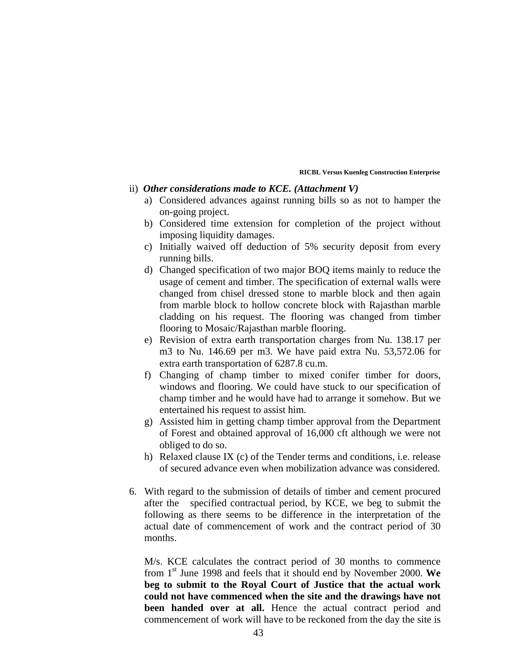## ii) *Other considerations made to KCE. (Attachment V)*

- a) Considered advances against running bills so as not to hamper the on-going project.
- b) Considered time extension for completion of the project without imposing liquidity damages.
- c) Initially waived off deduction of 5% security deposit from every running bills.
- d) Changed specification of two major BOQ items mainly to reduce the usage of cement and timber. The specification of external walls were changed from chisel dressed stone to marble block and then again from marble block to hollow concrete block with Rajasthan marble cladding on his request. The flooring was changed from timber flooring to Mosaic/Rajasthan marble flooring.
- e) Revision of extra earth transportation charges from Nu. 138.17 per m3 to Nu. 146.69 per m3. We have paid extra Nu. 53,572.06 for extra earth transportation of 6287.8 cu.m.
- f) Changing of champ timber to mixed conifer timber for doors, windows and flooring. We could have stuck to our specification of champ timber and he would have had to arrange it somehow. But we entertained his request to assist him.
- g) Assisted him in getting champ timber approval from the Department of Forest and obtained approval of 16,000 cft although we were not obliged to do so.
- h) Relaxed clause IX (c) of the Tender terms and conditions, i.e. release of secured advance even when mobilization advance was considered.
- 6. With regard to the submission of details of timber and cement procured after the specified contractual period, by KCE, we beg to submit the following as there seems to be difference in the interpretation of the actual date of commencement of work and the contract period of 30 months.

M/s. KCE calculates the contract period of 30 months to commence from 1st June 1998 and feels that it should end by November 2000. **We beg to submit to the Royal Court of Justice that the actual work could not have commenced when the site and the drawings have not been handed over at all.** Hence the actual contract period and commencement of work will have to be reckoned from the day the site is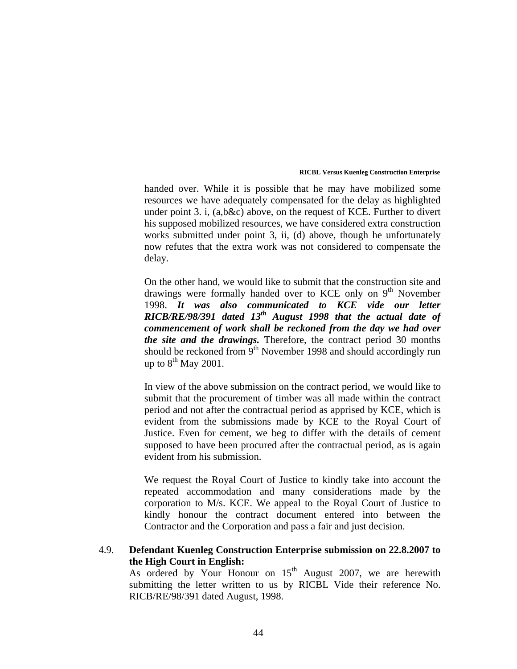handed over. While it is possible that he may have mobilized some resources we have adequately compensated for the delay as highlighted under point 3. i, (a,b&c) above, on the request of KCE. Further to divert his supposed mobilized resources, we have considered extra construction works submitted under point 3, ii, (d) above, though he unfortunately now refutes that the extra work was not considered to compensate the delay.

On the other hand, we would like to submit that the construction site and drawings were formally handed over to KCE only on  $9<sup>th</sup>$  November 1998. *It was also communicated to KCE vide our letter RICB/RE/98/391 dated 13th August 1998 that the actual date of commencement of work shall be reckoned from the day we had over the site and the drawings.* Therefore, the contract period 30 months should be reckoned from  $9<sup>th</sup>$  November 1998 and should accordingly run up to  $8^{th}$  May 2001.

In view of the above submission on the contract period, we would like to submit that the procurement of timber was all made within the contract period and not after the contractual period as apprised by KCE, which is evident from the submissions made by KCE to the Royal Court of Justice. Even for cement, we beg to differ with the details of cement supposed to have been procured after the contractual period, as is again evident from his submission.

We request the Royal Court of Justice to kindly take into account the repeated accommodation and many considerations made by the corporation to M/s. KCE. We appeal to the Royal Court of Justice to kindly honour the contract document entered into between the Contractor and the Corporation and pass a fair and just decision.

# 4.9. **Defendant Kuenleg Construction Enterprise submission on 22.8.2007 to the High Court in English:**

As ordered by Your Honour on  $15<sup>th</sup>$  August 2007, we are herewith submitting the letter written to us by RICBL Vide their reference No. RICB/RE/98/391 dated August, 1998.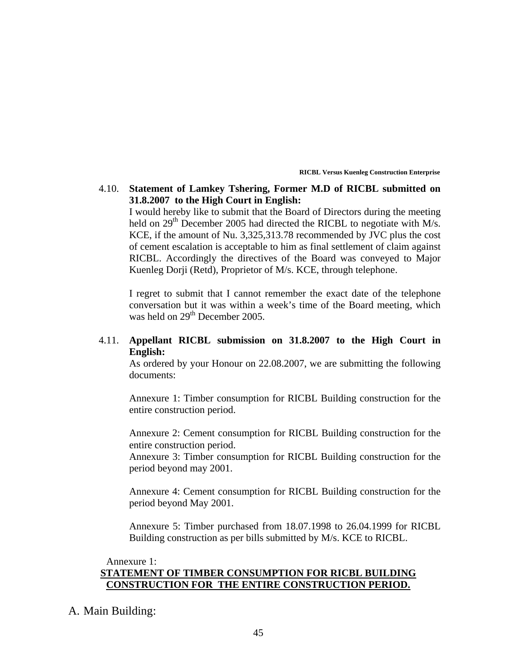# 4.10. **Statement of Lamkey Tshering, Former M.D of RICBL submitted on 31.8.2007 to the High Court in English:**

I would hereby like to submit that the Board of Directors during the meeting held on 29<sup>th</sup> December 2005 had directed the RICBL to negotiate with M/s. KCE, if the amount of Nu. 3,325,313.78 recommended by JVC plus the cost of cement escalation is acceptable to him as final settlement of claim against RICBL. Accordingly the directives of the Board was conveyed to Major Kuenleg Dorji (Retd), Proprietor of M/s. KCE, through telephone.

I regret to submit that I cannot remember the exact date of the telephone conversation but it was within a week's time of the Board meeting, which was held on  $29<sup>th</sup>$  December 2005.

# 4.11. **Appellant RICBL submission on 31.8.2007 to the High Court in English:**

As ordered by your Honour on 22.08.2007, we are submitting the following documents:

Annexure 1: Timber consumption for RICBL Building construction for the entire construction period.

Annexure 2: Cement consumption for RICBL Building construction for the entire construction period.

Annexure 3: Timber consumption for RICBL Building construction for the period beyond may 2001.

Annexure 4: Cement consumption for RICBL Building construction for the period beyond May 2001.

Annexure 5: Timber purchased from 18.07.1998 to 26.04.1999 for RICBL Building construction as per bills submitted by M/s. KCE to RICBL.

# Annexure 1: **STATEMENT OF TIMBER CONSUMPTION FOR RICBL BUILDING CONSTRUCTION FOR THE ENTIRE CONSTRUCTION PERIOD.**

A. Main Building: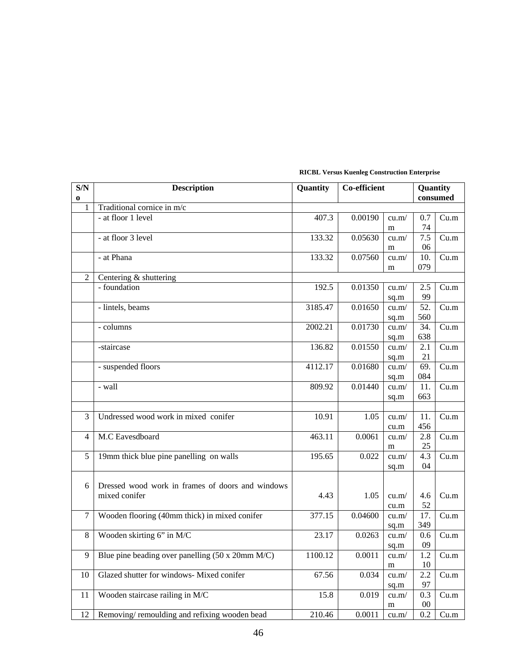| S/N            | <b>Description</b>                               | Quantity | Co-efficient |       | Quantity |          |  |
|----------------|--------------------------------------------------|----------|--------------|-------|----------|----------|--|
| 0              |                                                  |          |              |       |          | consumed |  |
| $\mathbf{1}$   | Traditional cornice in m/c                       |          |              |       |          |          |  |
|                | - at floor 1 level                               | 407.3    | 0.00190      | cu.m/ | 0.7      | Cu.m     |  |
|                |                                                  |          |              | m     | 74       |          |  |
|                | - at floor 3 level                               | 133.32   | 0.05630      | cu.m/ | 7.5      | Cu.m     |  |
|                |                                                  |          |              | m     | 06       |          |  |
|                | - at Phana                                       | 133.32   | 0.07560      | cu.m/ | 10.      | Cu.m     |  |
|                |                                                  |          |              | m     | 079      |          |  |
| 2              | Centering & shuttering                           |          |              |       |          |          |  |
|                | - foundation                                     | 192.5    | 0.01350      | cu.m/ | 2.5      | Cu.m     |  |
|                |                                                  |          |              | sq.m  | 99       |          |  |
|                | - lintels, beams                                 | 3185.47  | 0.01650      | cu.m/ | 52.      | Cu.m     |  |
|                |                                                  |          |              | sq.m  | 560      |          |  |
|                | - columns                                        | 2002.21  | 0.01730      | cu.m/ | 34.      | Cu.m     |  |
|                |                                                  |          |              | sq.m  | 638      |          |  |
|                | -staircase                                       | 136.82   | 0.01550      | cu.m/ | 2.1      | Cu.m     |  |
|                |                                                  |          |              | sq.m  | 21       |          |  |
|                | - suspended floors                               | 4112.17  | 0.01680      | cu.m/ | 69.      | Cu.m     |  |
|                |                                                  |          |              | sq.m  | 084      |          |  |
|                | - wall                                           | 809.92   | 0.01440      | cu.m/ | 11.      | Cu.m     |  |
|                |                                                  |          |              | sq.m  | 663      |          |  |
|                |                                                  |          |              |       |          |          |  |
| 3              | Undressed wood work in mixed conifer             | 10.91    | 1.05         | cu.m/ | 11.      | Cu.m     |  |
|                |                                                  |          |              | cu.m  | 456      |          |  |
| $\overline{4}$ | M.C Eavesdboard                                  | 463.11   | 0.0061       | cu.m/ | 2.8      | Cu.m     |  |
|                |                                                  |          |              | m     | 25       |          |  |
| 5              | 19mm thick blue pine panelling on walls          | 195.65   | 0.022        | cu.m/ | 4.3      | Cu.m     |  |
|                |                                                  |          |              | sq.m  | 04       |          |  |
|                |                                                  |          |              |       |          |          |  |
| 6              | Dressed wood work in frames of doors and windows |          |              |       |          |          |  |
|                | mixed conifer                                    | 4.43     | 1.05         | cu.m/ | 4.6      | Cu.m     |  |
|                |                                                  |          |              | cu.m  | 52       |          |  |
| $\overline{7}$ | Wooden flooring (40mm thick) in mixed conifer    | 377.15   | 0.04600      | cu.m/ | 17.      | Cu.m     |  |
|                |                                                  |          |              | sq.m  | 349      |          |  |
| $\,8\,$        | Wooden skirting 6" in M/C                        | 23.17    | 0.0263       | cu.m/ | 0.6      | Cu.m     |  |
|                |                                                  |          |              | sq.m  | 09       |          |  |
| 9              | Blue pine beading over panelling (50 x 20mm M/C) | 1100.12  | 0.0011       | cu.m/ | 1.2      | Cu.m     |  |
|                |                                                  |          |              | m     | 10       |          |  |
| 10             | Glazed shutter for windows- Mixed conifer        | 67.56    | 0.034        | cu.m/ | 2.2      | Cu.m     |  |
|                |                                                  |          |              | sq.m  | 97       |          |  |
| 11             | Wooden staircase railing in M/C                  | 15.8     | 0.019        | cu.m/ | 0.3      | Cu.m     |  |
|                |                                                  |          |              | m     | $00\,$   |          |  |
| 12             | Removing/remoulding and refixing wooden bead     | 210.46   | 0.0011       | cu.m/ | 0.2      | Cu.m     |  |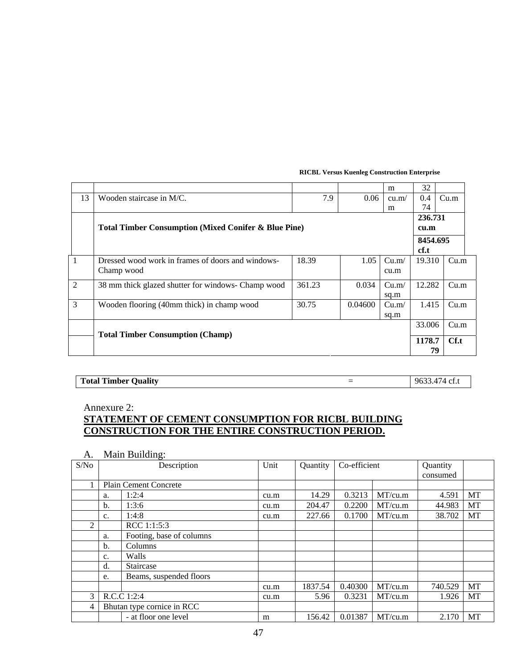|    |                                                                 |        |          | m     | 32     |      |  |  |  |
|----|-----------------------------------------------------------------|--------|----------|-------|--------|------|--|--|--|
| 13 | Wooden staircase in M/C.                                        | 7.9    | 0.06     | cu.m/ | 0.4    | Cu.m |  |  |  |
|    |                                                                 |        |          | m     | 74     |      |  |  |  |
|    |                                                                 |        |          |       |        |      |  |  |  |
|    | <b>Total Timber Consumption (Mixed Conifer &amp; Blue Pine)</b> |        | cu.m     |       |        |      |  |  |  |
|    |                                                                 |        | 8454.695 |       |        |      |  |  |  |
|    |                                                                 |        |          |       | cf.t   |      |  |  |  |
| 1  | Dressed wood work in frames of doors and windows-               | 18.39  | 1.05     | Cu.m/ | 19.310 | Cu.m |  |  |  |
|    | Champ wood                                                      |        |          | cu.m  |        |      |  |  |  |
| 2  | 38 mm thick glazed shutter for windows- Champ wood              | 361.23 | 0.034    | Cu.m/ | 12.282 | Cu.m |  |  |  |
|    |                                                                 |        |          | sq.m  |        |      |  |  |  |
| 3  | Wooden flooring (40mm thick) in champ wood                      | 30.75  | 0.04600  | Cu.m/ | 1.415  | Cu.m |  |  |  |
|    |                                                                 |        |          | sq.m  |        |      |  |  |  |
|    |                                                                 |        |          |       | 33.006 | Cu.m |  |  |  |
|    | <b>Total Timber Consumption (Champ)</b>                         |        |          |       |        |      |  |  |  |
|    |                                                                 |        |          |       |        |      |  |  |  |
|    |                                                                 |        |          |       | 79     |      |  |  |  |

| <b>Total Timber Quality</b> | A7A<br>'74 cf.u<br>- 9632 |
|-----------------------------|---------------------------|

Annexure 2:

# **STATEMENT OF CEMENT CONSUMPTION FOR RICBL BUILDING CONSTRUCTION FOR THE ENTIRE CONSTRUCTION PERIOD.**

A. Main Building:

| S/No |                            | Description              | Unit | Quantity | Co-efficient |         | Quantity |    |
|------|----------------------------|--------------------------|------|----------|--------------|---------|----------|----|
|      |                            |                          |      |          |              |         | consumed |    |
|      |                            | Plain Cement Concrete    |      |          |              |         |          |    |
|      | a.                         | 1:2:4                    | cu.m | 14.29    | 0.3213       | MT/cu.m | 4.591    | MT |
|      | b.                         | 1:3:6                    | cu.m | 204.47   | 0.2200       | MT/cu.m | 44.983   | MT |
|      | $\mathbf{c}$ .             | 1:4:8                    | cu.m | 227.66   | 0.1700       | MT/cu.m | 38.702   | MT |
| 2    |                            | RCC 1:1:5:3              |      |          |              |         |          |    |
|      | a.                         | Footing, base of columns |      |          |              |         |          |    |
|      | b.                         | Columns                  |      |          |              |         |          |    |
|      | $\mathbf{c}$ .             | Walls                    |      |          |              |         |          |    |
|      | d.                         | Staircase                |      |          |              |         |          |    |
|      | e.                         | Beams, suspended floors  |      |          |              |         |          |    |
|      |                            |                          | cu.m | 1837.54  | 0.40300      | MT/cu.m | 740.529  | MT |
| 3    | R.C.C 1:2:4                |                          | cu.m | 5.96     | 0.3231       | MT/cu.m | 1.926    | MT |
| 4    | Bhutan type cornice in RCC |                          |      |          |              |         |          |    |
|      |                            | - at floor one level     | m    | 156.42   | 0.01387      | MT/cu.m | 2.170    | MT |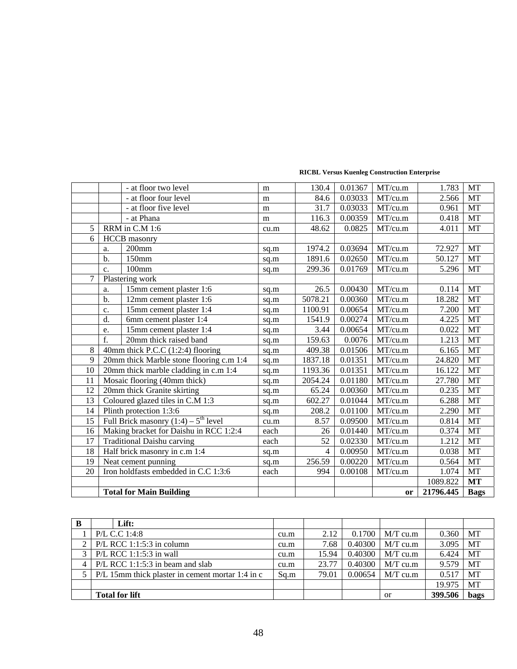|                |                | - at floor two level                               | m    | 130.4   | 0.01367 | MT/cu.m | 1.783     | <b>MT</b>     |
|----------------|----------------|----------------------------------------------------|------|---------|---------|---------|-----------|---------------|
|                |                | - at floor four level                              | m    | 84.6    | 0.03033 | MT/cu.m | 2.566     | MT            |
|                |                | - at floor five level                              | m    | 31.7    | 0.03033 | MT/cu.m | 0.961     | MT            |
|                |                | - at Phana                                         | m    | 116.3   | 0.00359 | MT/cu.m | 0.418     | MT            |
| 5              |                | RRM in C.M 1:6                                     | cu.m | 48.62   | 0.0825  | MT/cu.m | 4.011     | MT            |
| 6              |                | <b>HCCB</b> masonry                                |      |         |         |         |           |               |
|                | a.             | $200$ mm                                           | sq.m | 1974.2  | 0.03694 | MT/cu.m | 72.927    | MT            |
|                | b.             | 150mm                                              | sq.m | 1891.6  | 0.02650 | MT/cu.m | 50.127    | MT            |
|                | $\mathbf{c}$ . | $100$ mm                                           | sq.m | 299.36  | 0.01769 | MT/cu.m | 5.296     | MT            |
| $\overline{7}$ |                | Plastering work                                    |      |         |         |         |           |               |
|                | a.             | 15mm cement plaster 1:6                            | sq.m | 26.5    | 0.00430 | MT/cu.m | 0.114     | MT            |
|                | b.             | 12mm cement plaster 1:6                            | sq.m | 5078.21 | 0.00360 | MT/cu.m | 18.282    | MT            |
|                | c.             | 15mm cement plaster 1:4                            | sq.m | 1100.91 | 0.00654 | MT/cu.m | 7.200     | MT            |
|                | d.             | 6mm cement plaster 1:4                             | sq.m | 1541.9  | 0.00274 | MT/cu.m | 4.225     | MT            |
|                | e.             | 15mm cement plaster 1:4                            | sq.m | 3.44    | 0.00654 | MT/cu.m | 0.022     | MT            |
|                | f.             | 20mm thick raised band                             | sq.m | 159.63  | 0.0076  | MT/cu.m | 1.213     | MT            |
| 8              |                | 40mm thick P.C.C (1:2:4) flooring                  | sq.m | 409.38  | 0.01506 | MT/cu.m | 6.165     | $\mathbf{MT}$ |
| 9              |                | 20mm thick Marble stone flooring c.m 1:4           | sq.m | 1837.18 | 0.01351 | MT/cu.m | 24.820    | MT            |
| 10             |                | 20mm thick marble cladding in c.m 1:4              | sq.m | 1193.36 | 0.01351 | MT/cu.m | 16.122    | MT            |
| 11             |                | Mosaic flooring (40mm thick)                       | sq.m | 2054.24 | 0.01180 | MT/cu.m | 27.780    | MT            |
| 12             |                | 20mm thick Granite skirting                        | sq.m | 65.24   | 0.00360 | MT/cu.m | 0.235     | MT            |
| 13             |                | Coloured glazed tiles in C.M 1:3                   | sq.m | 602.27  | 0.01044 | MT/cu.m | 6.288     | MT            |
| 14             |                | Plinth protection 1:3:6                            | sq.m | 208.2   | 0.01100 | MT/cu.m | 2.290     | MT            |
| 15             |                | Full Brick masonry $(1:4)$ – 5 <sup>th</sup> level | cu.m | 8.57    | 0.09500 | MT/cu.m | 0.814     | MT            |
| 16             |                | Making bracket for Daishu in RCC 1:2:4             | each | 26      | 0.01440 | MT/cu.m | 0.374     | MT            |
| 17             |                | <b>Traditional Daishu carving</b>                  | each | 52      | 0.02330 | MT/cu.m | 1.212     | MT            |
| 18             |                | Half brick masonry in c.m 1:4                      | sq.m | 4       | 0.00950 | MT/cu.m | 0.038     | MT            |
| 19             |                | Neat cement punning                                | sq.m | 256.59  | 0.00220 | MT/cu.m | 0.564     | MT            |
| 20             |                | Iron holdfasts embedded in C.C 1:3:6               | each | 994     | 0.00108 | MT/cu.m | 1.074     | MT            |
|                |                |                                                    |      |         |         |         | 1089.822  | <b>MT</b>     |
|                |                | <b>Total for Main Building</b>                     |      |         |         | or      | 21796.445 | <b>Bags</b>   |

| В             | Lift:                                            |      |       |         |            |         |           |
|---------------|--------------------------------------------------|------|-------|---------|------------|---------|-----------|
|               | P/L C.C 1:4:8                                    | cu.m | 2.12  | 0.1700  | $M/T$ cu.m | 0.360   | MT        |
| 2             | $P/L$ RCC 1:1:5:3 in column                      | cu.m | 7.68  | 0.40300 | $MT$ cu.m  | 3.095   | <b>MT</b> |
| $\mathcal{E}$ | $P/L$ RCC 1:1:5:3 in wall                        | cu.m | 15.94 | 0.40300 | $M/T$ cu.m | 6.424   | MT        |
| 4             | $P/L$ RCC 1:1:5:3 in beam and slab               | cu.m | 23.77 | 0.40300 | $M/T$ cu.m | 9.579   | MT        |
|               | P/L 15mm thick plaster in cement mortar 1:4 in c | Sq.m | 79.01 | 0.00654 | $M/T$ cu.m | 0.517   | <b>MT</b> |
|               |                                                  |      |       |         |            | 19.975  | MT        |
|               | <b>Total for lift</b>                            |      |       |         | <b>or</b>  | 399.506 | bags      |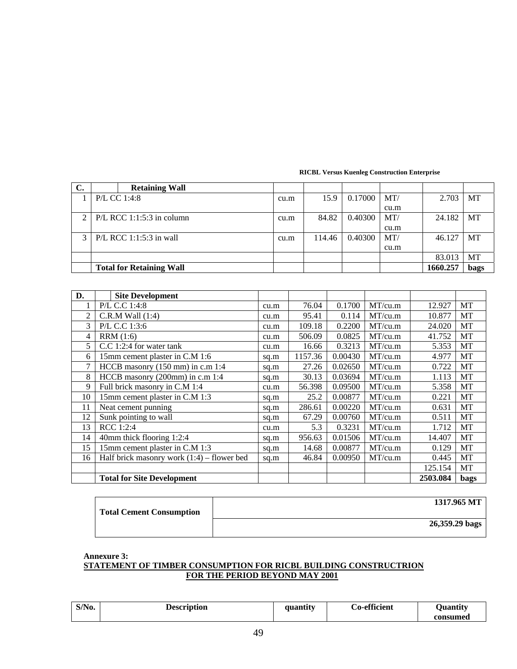| $\sim$<br>J.            | <b>Retaining Wall</b>           |      |        |         |      |          |           |
|-------------------------|---------------------------------|------|--------|---------|------|----------|-----------|
|                         | P/L CC 1:4:8                    | cu.m | 15.9   | 0.17000 | MT/  | 2.703    | МT        |
|                         |                                 |      |        |         | cu.m |          |           |
|                         | $P/L$ RCC 1:1:5:3 in column     | cu.m | 84.82  | 0.40300 | MT/  | 24.182   | <b>MT</b> |
|                         |                                 |      |        |         | cu.m |          |           |
| $\mathbf{\overline{3}}$ | $P/L$ RCC 1:1:5:3 in wall       | cu.m | 114.46 | 0.40300 | MT/  | 46.127   | <b>MT</b> |
|                         |                                 |      |        |         | cu.m |          |           |
|                         |                                 |      |        |         |      | 83.013   | МT        |
|                         | <b>Total for Retaining Wall</b> |      |        |         |      | 1660.257 | bags      |

| D.             | <b>Site Development</b>                      |      |         |         |         |          |             |
|----------------|----------------------------------------------|------|---------|---------|---------|----------|-------------|
|                | P/L C.C 1:4:8                                | cu.m | 76.04   | 0.1700  | MT/cu.m | 12.927   | MT          |
| $\overline{c}$ | $C.R.M$ Wall $(1:4)$                         | cu.m | 95.41   | 0.114   | MT/cu.m | 10.877   | МT          |
| 3              | P/L C.C 1:3:6                                | cu.m | 109.18  | 0.2200  | MT/cu.m | 24.020   | MT          |
| 4              | RRM(1:6)                                     | cu.m | 506.09  | 0.0825  | MT/cu.m | 41.752   | MT          |
| 5              | C.C 1:2:4 for water tank                     | cu.m | 16.66   | 0.3213  | MT/cu.m | 5.353    | MT          |
| 6              | 15mm cement plaster in C.M 1:6               | sq.m | 1157.36 | 0.00430 | MT/cu.m | 4.977    | MT          |
| 7              | HCCB masonry (150 mm) in c.m 1:4             | sq.m | 27.26   | 0.02650 | MT/cu.m | 0.722    | MT          |
| 8              | HCCB masonry (200mm) in c.m 1:4              | sq.m | 30.13   | 0.03694 | MT/cu.m | 1.113    | MT          |
| 9              | Full brick masonry in C.M 1:4                | cu.m | 56.398  | 0.09500 | MT/cu.m | 5.358    | MT          |
| 10             | 15mm cement plaster in C.M 1:3               | sq.m | 25.2    | 0.00877 | MT/cu.m | 0.221    | MT          |
| 11             | Neat cement punning                          | sq.m | 286.61  | 0.00220 | MT/cu.m | 0.631    | MT          |
| 12             | Sunk pointing to wall                        | sq.m | 67.29   | 0.00760 | MT/cu.m | 0.511    | МT          |
| 13             | RCC 1:2:4                                    | cu.m | 5.3     | 0.3231  | MT/cu.m | 1.712    | МT          |
| 14             | 40mm thick flooring 1:2:4                    | sq.m | 956.63  | 0.01506 | MT/cu.m | 14.407   | MT          |
| 15             | 15mm cement plaster in C.M 1:3               | sq.m | 14.68   | 0.00877 | MT/cu.m | 0.129    | MT          |
| 16             | Half brick masonry work $(1:4)$ – flower bed | sq.m | 46.84   | 0.00950 | MT/cu.m | 0.445    | MT          |
|                |                                              |      |         |         |         | 125.154  | MT          |
|                | <b>Total for Site Development</b>            |      |         |         |         | 2503.084 | <b>bags</b> |

| <b>Total Cement Consumption</b> | 1317.965 MT    |
|---------------------------------|----------------|
|                                 | 26,359.29 bags |

**Annexure 3:** 

# **STATEMENT OF TIMBER CONSUMPTION FOR RICBL BUILDING CONSTRUCTRION FOR THE PERIOD BEYOND MAY 2001**

| $S/N0$ . | <b>Description</b> | auantitv | <b>Co-efficient</b> | <b>)</b> uantity<br>consumed |
|----------|--------------------|----------|---------------------|------------------------------|
|----------|--------------------|----------|---------------------|------------------------------|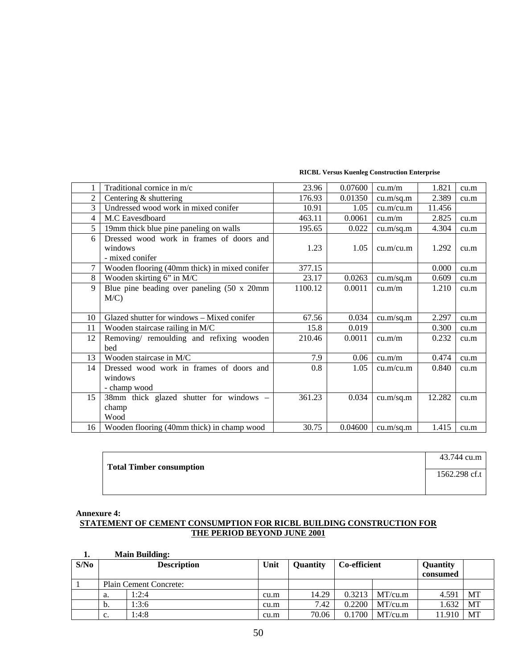|                | Traditional cornice in m/c                                             | 23.96   | 0.07600 | cu.m/m    | 1.821  | cu.m |
|----------------|------------------------------------------------------------------------|---------|---------|-----------|--------|------|
| $\overline{2}$ | Centering & shuttering                                                 | 176.93  | 0.01350 | cu.m/sq.m | 2.389  | cu.m |
| 3              | Undressed wood work in mixed conifer                                   | 10.91   | 1.05    | cu.m/cu.m | 11.456 |      |
| 4              | M.C Eavesdboard                                                        | 463.11  | 0.0061  | cu.m/m    | 2.825  | cu.m |
| 5              | 19mm thick blue pine paneling on walls                                 | 195.65  | 0.022   | cu.m/sq.m | 4.304  | cu.m |
| 6              | Dressed wood work in frames of doors and<br>windows<br>- mixed conifer | 1.23    | 1.05    | cu.m/cu.m | 1.292  | cu.m |
| 7              | Wooden flooring (40mm thick) in mixed conifer                          | 377.15  |         |           | 0.000  | cu.m |
| 8              | Wooden skirting 6" in M/C                                              | 23.17   | 0.0263  | cu.m/sq.m | 0.609  | cu.m |
| $\mathbf{Q}$   | Blue pine beading over paneling (50 x 20mm)                            | 1100.12 | 0.0011  | cu.m/m    | 1.210  | cu.m |
|                | $M/C$ )                                                                |         |         |           |        |      |
| 10             | Glazed shutter for windows – Mixed conifer                             | 67.56   | 0.034   | cu.m/sq.m | 2.297  | cu.m |
| 11             | Wooden staircase railing in M/C                                        | 15.8    | 0.019   |           | 0.300  | cu.m |
| 12             | Removing/ remoulding and refixing wooden<br>bed                        | 210.46  | 0.0011  | cu.m/m    | 0.232  | cu.m |
| 13             | Wooden staircase in M/C                                                | 7.9     | 0.06    | cu.m/m    | 0.474  | cu.m |
| 14             | Dressed wood work in frames of doors and                               | 0.8     | 1.05    | cu.m/cu.m | 0.840  | cu.m |
|                | windows                                                                |         |         |           |        |      |
|                | - champ wood                                                           |         |         |           |        |      |
| 15             | 38mm thick glazed shutter for windows –                                | 361.23  | 0.034   | cu.m/sq.m | 12.282 | cu.m |
|                | champ                                                                  |         |         |           |        |      |
|                | Wood                                                                   |         |         |           |        |      |
| 16             | Wooden flooring (40mm thick) in champ wood                             | 30.75   | 0.04600 | cu.m/sq.m | 1.415  | cu.m |

| <b>Total Timber consumption</b> | 43.744 cu.m   |
|---------------------------------|---------------|
|                                 | 1562.298 cf.t |
|                                 |               |

## **Annexure 4: STATEMENT OF CEMENT CONSUMPTION FOR RICBL BUILDING CONSTRUCTION FOR THE PERIOD BEYOND JUNE 2001**

## **1. Main Building:**

| S/No |                | <b>Description</b>            | Unit | <b>Quantity</b> | Co-efficient |         | Quantity<br>consumed |    |
|------|----------------|-------------------------------|------|-----------------|--------------|---------|----------------------|----|
|      |                | <b>Plain Cement Concrete:</b> |      |                 |              |         |                      |    |
|      | a.             | 1:2:4                         | cu.m | 14.29           | 0.3213       | MT/cu.m | 4.591                | MT |
|      | b.             | 1:3:6                         | cu.m | 7.42            | 0.2200       | MT/cu.m | 1.632                | МT |
|      | $\mathbf{c}$ . | 1:4:8                         | cu.m | 70.06           | 0.1700       | MT/cu.m | 11.910               | MT |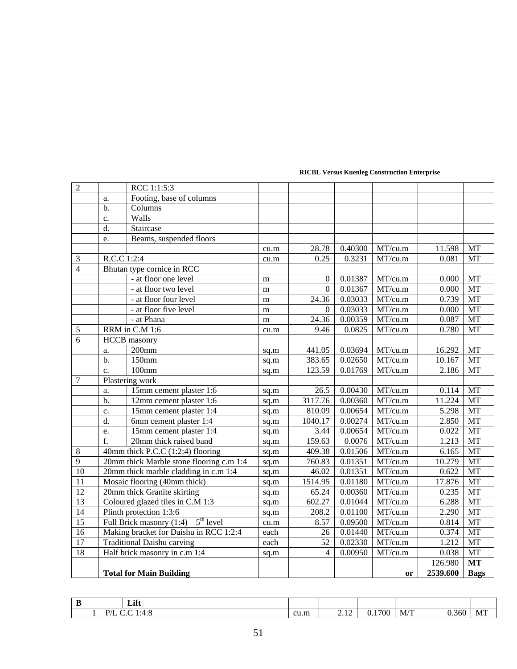|                 |                         | <b>Total for Main Building</b>                     |           |                  |         | or                    | 2539.600 | <b>Bags</b> |
|-----------------|-------------------------|----------------------------------------------------|-----------|------------------|---------|-----------------------|----------|-------------|
|                 |                         |                                                    |           |                  |         |                       | 126.980  | <b>MT</b>   |
| 18              |                         | Half brick masonry in c.m 1:4                      | sq.m      | 4                | 0.00950 | MT/cu.m               | 0.038    | MT          |
| 17              |                         | <b>Traditional Daishu carving</b>                  | each      | 52               | 0.02330 | MT/cu.m               | 1.212    | MT          |
| 16              |                         | Making bracket for Daishu in RCC 1:2:4             | each      | 26               | 0.01440 | MT/cu.m               | 0.374    | $\rm{MT}$   |
| 15              |                         | Full Brick masonry $(1:4)$ – $5^{\text{th}}$ level | cu.m      | 8.57             | 0.09500 | MT/cu.m               | 0.814    | MT          |
| 14              | Plinth protection 1:3:6 |                                                    | sq.m      | 208.2            | 0.01100 | MT/cu.m               | 2.290    | <b>MT</b>   |
| 13              |                         | Coloured glazed tiles in C.M 1:3                   | sq.m      | 602.27           | 0.01044 | MT/cu.m               | 6.288    | <b>MT</b>   |
| $\overline{12}$ |                         | 20mm thick Granite skirting                        | sq.m      | 65.24            | 0.00360 | MT/cu.m               | 0.235    | <b>MT</b>   |
| $\overline{11}$ |                         | Mosaic flooring (40mm thick)                       | sq.m      | 1514.95          | 0.01180 | MT/cu.m               | 17.876   | MT          |
| 10              |                         | 20mm thick marble cladding in c.m 1:4              | sq.m      | 46.02            | 0.01351 | MT/cu.m               | 0.622    | MT          |
| $\overline{9}$  |                         | 20mm thick Marble stone flooring c.m 1:4           | sq.m      | 760.83           | 0.01351 | MT/cu.m               | 10.279   | MT          |
| $\,8\,$         |                         | 40mm thick P.C.C (1:2:4) flooring                  | sq.m      | 409.38           | 0.01506 | MT/cu.m               | 6.165    | MT          |
|                 | f.                      | 20mm thick raised band                             | sq.m      | 159.63           | 0.0076  | MT/cu.m               | 1.213    | MT          |
|                 | e.                      | 15mm cement plaster 1:4                            | sq.m      | 3.44             | 0.00654 | MT/cu.m               | 0.022    | MT          |
|                 | d.                      | 6mm cement plaster 1:4                             | sq.m      | 1040.17          | 0.00274 | MT/cu.m               | 2.850    | MT          |
|                 | c.                      | 15mm cement plaster 1:4                            | sq.m      | 810.09           | 0.00654 | MT/cu.m               | 5.298    | $\rm{MT}$   |
|                 | $b$ .                   | 12mm cement plaster 1:6                            | sq.m      | 3117.76          | 0.00360 | MT/cu.m               | 11.224   | MT          |
|                 | a.                      | 15mm cement plaster 1:6                            | sq.m      | 26.5             | 0.00430 | MT/cu.m               | 0.114    | MT          |
| $\overline{7}$  |                         | Plastering work                                    |           |                  |         |                       |          |             |
|                 | $\mathbf{c}$ .          | 100mm                                              | sq.m      | 123.59           | 0.01769 | MT/cu.m               | 2.186    | MT          |
|                 | $b$                     | $150$ mm                                           | sq.m      | 383.65           | 0.02650 | MT/cu.m               | 10.167   | MT          |
|                 | a.                      | $200$ mm                                           | sq.m      | 441.05           | 0.03694 | MT/cu.m               | 16.292   | MT          |
| 6               |                         | <b>HCCB</b> masonry                                |           |                  |         |                       |          |             |
| 5               |                         | RRM in C.M 1:6                                     | cu.m      | 9.46             | 0.0825  | MT/cu.m               | 0.780    | <b>MT</b>   |
|                 |                         | - at Phana                                         | ${\bf m}$ | 24.36            | 0.00359 | MT/cu.m               | 0.087    | MT          |
|                 |                         | - at floor five level                              | m         | $\mathbf{0}$     | 0.03033 | MT/cu.m               | 0.000    | MT          |
|                 |                         | - at floor four level                              | m         | 24.36            | 0.03033 | MT/cu.m               | 0.739    | <b>MT</b>   |
|                 |                         | - at floor two level                               | m         | $\Omega$         | 0.01367 | MT/cu.m               | 0.000    | MT          |
|                 |                         | - at floor one level                               | m         | $\boldsymbol{0}$ | 0.01387 | $\overline{MT/c}$ u.m | 0.000    | MT          |
| $\overline{4}$  |                         | Bhutan type cornice in RCC                         |           |                  |         |                       |          |             |
| $\mathfrak{Z}$  | R.C.C 1:2:4             |                                                    | cu.m      | 0.25             | 0.3231  | MT/cu.m               | 0.081    | MT          |
|                 |                         |                                                    | cu.m      | 28.78            | 0.40300 | MT/cu.m               | 11.598   | MT          |
|                 | e.                      | Beams, suspended floors                            |           |                  |         |                       |          |             |
|                 | d.                      | Staircase                                          |           |                  |         |                       |          |             |
|                 | c.                      | Walls                                              |           |                  |         |                       |          |             |
|                 | b.                      | Columns                                            |           |                  |         |                       |          |             |
|                 | a.                      | Footing, base of columns                           |           |                  |         |                       |          |             |
| $\overline{2}$  |                         | RCC 1:1:5:3                                        |           |                  |         |                       |          |             |

| w | Lift                                                            |      |                                                  |            |                                   |       |                  |
|---|-----------------------------------------------------------------|------|--------------------------------------------------|------------|-----------------------------------|-------|------------------|
|   | D/I<br>$\mathcal{A} \cdot C$<br>1.7.0<br>$\sim$<br>$\mathbf{r}$ | cu.m | $\sim$ $\sim$<br>$\overline{a}$ . $\overline{a}$ | 700<br>v.i | $\sim$ $\sim$ $\sim$<br>M/<br>. . | 0.360 | <b>Fry</b><br>МI |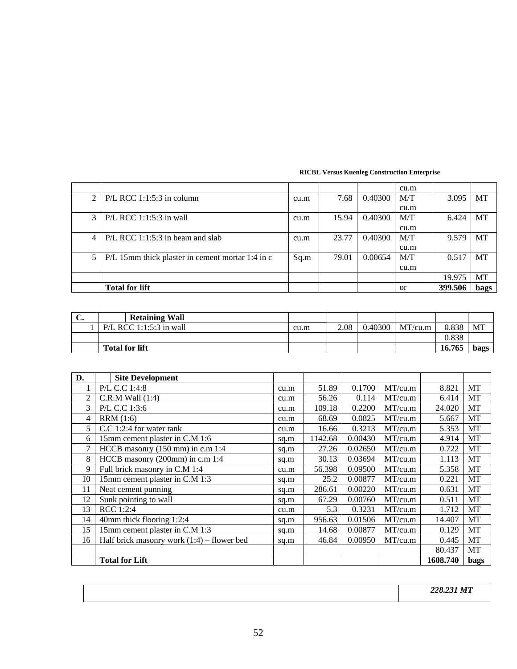| <b>RICBL Versus Kuenleg Construction Enterprise</b> |
|-----------------------------------------------------|
|                                                     |

|                |                                                  |      |       |         | cu.m          |         |             |
|----------------|--------------------------------------------------|------|-------|---------|---------------|---------|-------------|
|                | $P/L$ RCC 1:1:5:3 in column                      | cu.m | 7.68  | 0.40300 | M/T           | 3.095   | MT          |
|                |                                                  |      |       |         | cu.m          |         |             |
| 3 <sub>1</sub> | $P/L$ RCC 1:1:5:3 in wall                        | cu.m | 15.94 | 0.40300 | M/T           | 6.424   | MT          |
|                |                                                  |      |       |         | cu.m          |         |             |
| 4              | $P/L$ RCC 1:1:5:3 in beam and slab               | cu.m | 23.77 | 0.40300 | M/T           | 9.579   | MT          |
|                |                                                  |      |       |         | cu.m          |         |             |
|                | P/L 15mm thick plaster in cement mortar 1:4 in c | Sq.m | 79.01 | 0.00654 | M/T           | 0.517   | <b>MT</b>   |
|                |                                                  |      |       |         | cu.m          |         |             |
|                |                                                  |      |       |         |               | 19.975  | MT          |
|                | <b>Total for lift</b>                            |      |       |         | <sub>or</sub> | 399.506 | <b>bags</b> |

| J. | <b>Retaining Wall</b>   |      |      |         |         |        |      |
|----|-------------------------|------|------|---------|---------|--------|------|
|    | P/L RCC 1:1:5:3 in wall | cu.m | 2.08 | 0.40300 | MT/cu.m | 0.838  | MT   |
|    |                         |      |      |         |         | 0.838  |      |
|    | <b>Total for lift</b>   |      |      |         |         | 16.765 | bags |

| D.             | <b>Site Development</b>                      |      |         |         |         |          |           |
|----------------|----------------------------------------------|------|---------|---------|---------|----------|-----------|
|                | P/L C.C 1:4:8                                | cu.m | 51.89   | 0.1700  | MT/cu.m | 8.821    | MT        |
| $\mathfrak{D}$ | $C.R.M$ Wall $(1:4)$                         | cu.m | 56.26   | 0.114   | MT/cu.m | 6.414    | MT        |
| 3              | P/L C.C 1:3:6                                | cu.m | 109.18  | 0.2200  | MT/cu.m | 24.020   | MT        |
| 4              | RRM(1:6)                                     | cu.m | 68.69   | 0.0825  | MT/cu.m | 5.667    | MT        |
| 5.             | C.C 1:2:4 for water tank                     | cu.m | 16.66   | 0.3213  | MT/cu.m | 5.353    | MT        |
| 6              | 15mm cement plaster in C.M 1:6               | sq.m | 1142.68 | 0.00430 | MT/cu.m | 4.914    | MT        |
| 7              | HCCB masonry $(150 \text{ mm})$ in c.m 1:4   | sq.m | 27.26   | 0.02650 | MT/cu.m | 0.722    | MT        |
| 8              | HCCB masonry (200mm) in c.m 1:4              | sq.m | 30.13   | 0.03694 | MT/cu.m | 1.113    | MT        |
| 9              | Full brick masonry in C.M 1:4                | cu.m | 56.398  | 0.09500 | MT/cu.m | 5.358    | <b>MT</b> |
| 10             | 15mm cement plaster in C.M 1:3               | sq.m | 25.2    | 0.00877 | MT/cu.m | 0.221    | MT        |
| 11             | Neat cement punning                          | sq.m | 286.61  | 0.00220 | MT/cu.m | 0.631    | MT        |
| 12             | Sunk pointing to wall                        | sq.m | 67.29   | 0.00760 | MT/cu.m | 0.511    | MT        |
| 13             | RCC 1:2:4                                    | cu.m | 5.3     | 0.3231  | MT/cu.m | 1.712    | MT        |
| 14             | 40mm thick flooring 1:2:4                    | sq.m | 956.63  | 0.01506 | MT/cu.m | 14.407   | MT        |
| 15             | 15mm cement plaster in C.M 1:3               | sq.m | 14.68   | 0.00877 | MT/cu.m | 0.129    | MT        |
| 16             | Half brick masonry work $(1:4)$ – flower bed | sq.m | 46.84   | 0.00950 | MT/cu.m | 0.445    | MT        |
|                |                                              |      |         |         |         | 80.437   | MT        |
|                | <b>Total for Lift</b>                        |      |         |         |         | 1608.740 | bags      |

 *228.231 MT*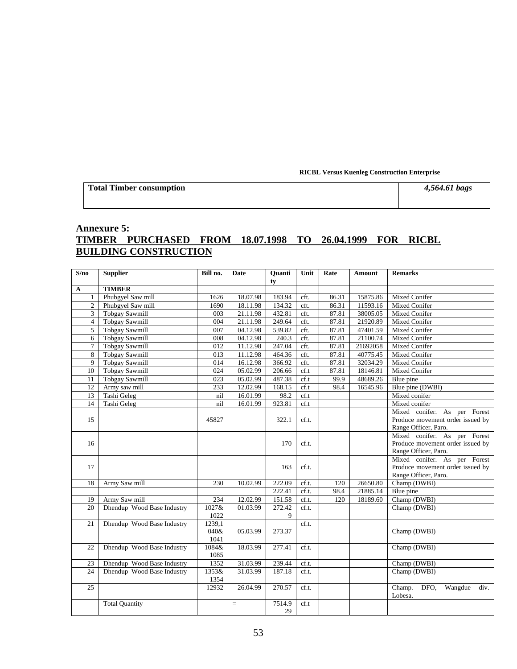**Total Timber consumption** *4,564.61 bags* 

# **Annexure 5: TIMBER PURCHASED FROM 18.07.1998 TO 26.04.1999 FOR RICBL BUILDING CONSTRUCTION**

| S/no           | <b>Supplier</b>            | Bill no.         | Date     | Quanti<br>ty | Unit            | Rate  | Amount   | <b>Remarks</b>                    |
|----------------|----------------------------|------------------|----------|--------------|-----------------|-------|----------|-----------------------------------|
| $\mathbf{A}$   | <b>TIMBER</b>              |                  |          |              |                 |       |          |                                   |
| 1              | Phubgyel Saw mill          | 1626             | 18.07.98 | 183.94       | cft.            | 86.31 | 15875.86 | Mixed Conifer                     |
| $\overline{2}$ | Phubgyel Saw mill          | 1690             | 18.11.98 | 134.32       | cft.            | 86.31 | 11593.16 | Mixed Conifer                     |
| $\overline{3}$ | <b>Tobgay Sawmill</b>      | 003              | 21.11.98 | 432.81       | cft.            | 87.81 | 38005.05 | Mixed Conifer                     |
| $\overline{4}$ | <b>Tobgay Sawmill</b>      | 004              | 21.11.98 | 249.64       | cft.            | 87.81 | 21920.89 | Mixed Conifer                     |
| 5              | <b>Tobgay Sawmill</b>      | 007              | 04.12.98 | 539.82       | cft.            | 87.81 | 47401.59 | Mixed Conifer                     |
| 6              | <b>Tobgay Sawmill</b>      | 008              | 04.12.98 | 240.3        | cft.            | 87.81 | 21100.74 | Mixed Conifer                     |
| $\tau$         | <b>Tobgay Sawmill</b>      | 012              | 11.12.98 | 247.04       | cft.            | 87.81 | 21692058 | Mixed Conifer                     |
| 8              | <b>Tobgay Sawmill</b>      | $\overline{013}$ | 11.12.98 | 464.36       | cft.            | 87.81 | 40775.45 | Mixed Conifer                     |
| 9              | <b>Tobgay Sawmill</b>      | 014              | 16.12.98 | 366.92       | cft.            | 87.81 | 32034.29 | Mixed Conifer                     |
| 10             | <b>Tobgay Sawmill</b>      | 024              | 05.02.99 | 206.66       | cf.t            | 87.81 | 18146.81 | Mixed Conifer                     |
| 11             | <b>Tobgay Sawmill</b>      | 023              | 05.02.99 | 487.38       | cf.t            | 99.9  | 48689.26 | Blue pine                         |
| 12             | Army saw mill              | 233              | 12.02.99 | 168.15       | cf.t            | 98.4  | 16545.96 | Blue pine (DWBI)                  |
| 13             | Tashi Geleg                | nil              | 16.01.99 | 98.2         | cf.t            |       |          | Mixed conifer                     |
| 14             | Tashi Geleg                | nil              | 16.01.99 | 923.81       | $\mathrm{cf.t}$ |       |          | Mixed conifer                     |
|                |                            |                  |          |              |                 |       |          | Mixed conifer. As per Forest      |
| 15             |                            | 45827            |          | 322.1        | cf.t.           |       |          | Produce movement order issued by  |
|                |                            |                  |          |              |                 |       |          | Range Officer, Paro.              |
|                |                            |                  |          |              |                 |       |          | Mixed conifer. As per Forest      |
| 16             |                            |                  |          | 170          | cf.t.           |       |          | Produce movement order issued by  |
|                |                            |                  |          |              |                 |       |          | Range Officer, Paro.              |
|                |                            |                  |          |              |                 |       |          | Mixed conifer. As per Forest      |
| 17             |                            |                  |          | 163          | cf.t.           |       |          | Produce movement order issued by  |
|                |                            |                  |          |              |                 |       |          | Range Officer, Paro.              |
| 18             | Army Saw mill              | 230              | 10.02.99 | 222.09       | cf.t.           | 120   | 26650.80 | Champ (DWBI)                      |
|                |                            |                  |          | 222.41       | cf.t.           | 98.4  | 21885.14 | Blue pine                         |
| 19             | Army Saw mill              | 234              | 12.02.99 | 151.58       | cf.t.           | 120   | 18189.60 | Champ (DWBI)                      |
| 20             | Dhendup Wood Base Industry | $1027$ &         | 01.03.99 | 272.42       | cf.t.           |       |          | Champ (DWBI)                      |
|                |                            | 1022             |          | 9            |                 |       |          |                                   |
| 21             | Dhendup Wood Base Industry | 1239,1<br>040&   |          | 273.37       | cf.t.           |       |          |                                   |
|                |                            | 1041             | 05.03.99 |              |                 |       |          | Champ (DWBI)                      |
| 22             | Dhendup Wood Base Industry | 1084&            | 18.03.99 | 277.41       | cf.t.           |       |          | Champ (DWBI)                      |
|                |                            | 1085             |          |              |                 |       |          |                                   |
| 23             | Dhendup Wood Base Industry | 1352             | 31.03.99 | 239.44       | cf.t.           |       |          | Champ (DWBI)                      |
| 24             | Dhendup Wood Base Industry | 1353&            | 31.03.99 | 187.18       | cf.t.           |       |          | Champ (DWBI)                      |
|                |                            | 1354             |          |              |                 |       |          |                                   |
| 25             |                            | 12932            | 26.04.99 | 270.57       | cf.t.           |       |          | Champ.<br>Wangdue<br>DFO.<br>div. |
|                |                            |                  |          |              |                 |       |          | Lobesa.                           |
|                | <b>Total Quantity</b>      |                  | $=$      | 7514.9       | cf.t            |       |          |                                   |
|                |                            |                  |          | 29           |                 |       |          |                                   |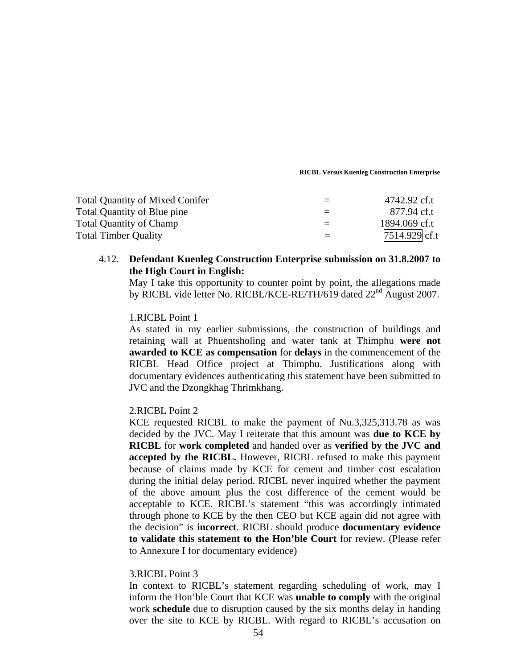| <b>Total Quantity of Mixed Conifer</b> | 4742.92 cf.t    |
|----------------------------------------|-----------------|
| Total Quantity of Blue pine            | 877.94 cf.t     |
| <b>Total Quantity of Champ</b>         | 1894.069 cf.t   |
| <b>Total Timber Quality</b>            | $7514.929$ cf.t |

# 4.12. **Defendant Kuenleg Construction Enterprise submission on 31.8.2007 to the High Court in English:**

May I take this opportunity to counter point by point, the allegations made by RICBL vide letter No. RICBL/KCE-RE/TH/619 dated 22<sup>nd</sup> August 2007.

# 1.RICBL Point 1

As stated in my earlier submissions, the construction of buildings and retaining wall at Phuentsholing and water tank at Thimphu **were not awarded to KCE as compensation** for **delays** in the commencement of the RICBL Head Office project at Thimphu. Justifications along with documentary evidences authenticating this statement have been submitted to JVC and the Dzongkhag Thrimkhang.

## 2.RICBL Point 2

KCE requested RICBL to make the payment of Nu.3,325,313.78 as was decided by the JVC. May I reiterate that this amount was **due to KCE by RICBL** for **work completed** and handed over as **verified by the JVC and accepted by the RICBL.** However, RICBL refused to make this payment because of claims made by KCE for cement and timber cost escalation during the initial delay period. RICBL never inquired whether the payment of the above amount plus the cost difference of the cement would be acceptable to KCE. RICBL's statement "this was accordingly intimated through phone to KCE by the then CEO but KCE again did not agree with the decision" is **incorrect**. RICBL should produce **documentary evidence to validate this statement to the Hon'ble Court** for review. (Please refer to Annexure I for documentary evidence)

## 3.RICBL Point 3

In context to RICBL's statement regarding scheduling of work, may I inform the Hon'ble Court that KCE was **unable to comply** with the original work **schedule** due to disruption caused by the six months delay in handing over the site to KCE by RICBL. With regard to RICBL's accusation on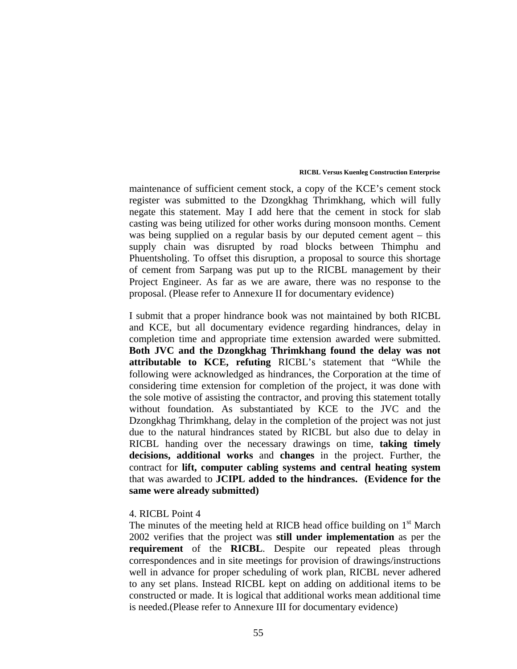maintenance of sufficient cement stock, a copy of the KCE's cement stock register was submitted to the Dzongkhag Thrimkhang, which will fully negate this statement. May I add here that the cement in stock for slab casting was being utilized for other works during monsoon months. Cement was being supplied on a regular basis by our deputed cement agent – this supply chain was disrupted by road blocks between Thimphu and Phuentsholing. To offset this disruption, a proposal to source this shortage of cement from Sarpang was put up to the RICBL management by their Project Engineer. As far as we are aware, there was no response to the proposal. (Please refer to Annexure II for documentary evidence)

I submit that a proper hindrance book was not maintained by both RICBL and KCE, but all documentary evidence regarding hindrances, delay in completion time and appropriate time extension awarded were submitted. **Both JVC and the Dzongkhag Thrimkhang found the delay was not attributable to KCE, refuting** RICBL's statement that "While the following were acknowledged as hindrances, the Corporation at the time of considering time extension for completion of the project, it was done with the sole motive of assisting the contractor, and proving this statement totally without foundation. As substantiated by KCE to the JVC and the Dzongkhag Thrimkhang, delay in the completion of the project was not just due to the natural hindrances stated by RICBL but also due to delay in RICBL handing over the necessary drawings on time, **taking timely decisions, additional works** and **changes** in the project. Further, the contract for **lift, computer cabling systems and central heating system** that was awarded to **JCIPL added to the hindrances. (Evidence for the same were already submitted)** 

## 4. RICBL Point 4

The minutes of the meeting held at RICB head office building on  $1<sup>st</sup>$  March 2002 verifies that the project was **still under implementation** as per the **requirement** of the **RICBL**. Despite our repeated pleas through correspondences and in site meetings for provision of drawings/instructions well in advance for proper scheduling of work plan, RICBL never adhered to any set plans. Instead RICBL kept on adding on additional items to be constructed or made. It is logical that additional works mean additional time is needed.(Please refer to Annexure III for documentary evidence)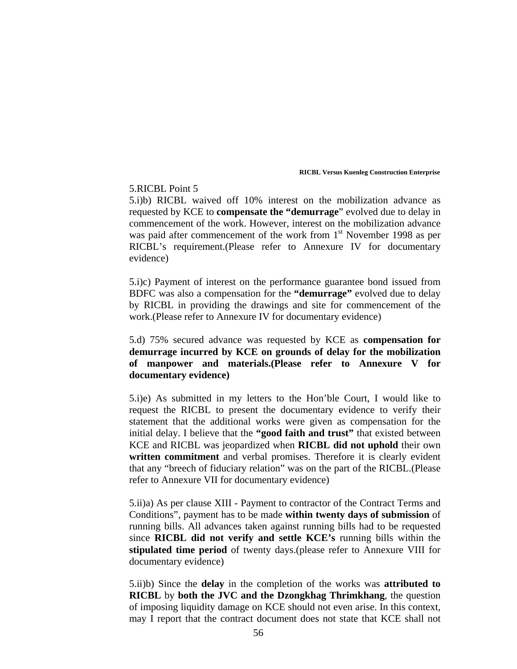# 5.RICBL Point 5

5.i)b) RICBL waived off 10% interest on the mobilization advance as requested by KCE to **compensate the "demurrage**" evolved due to delay in commencement of the work. However, interest on the mobilization advance was paid after commencement of the work from  $1<sup>st</sup>$  November 1998 as per RICBL's requirement.(Please refer to Annexure IV for documentary evidence)

5.i)c) Payment of interest on the performance guarantee bond issued from BDFC was also a compensation for the **"demurrage"** evolved due to delay by RICBL in providing the drawings and site for commencement of the work.(Please refer to Annexure IV for documentary evidence)

# 5.d) 75% secured advance was requested by KCE as **compensation for demurrage incurred by KCE on grounds of delay for the mobilization of manpower and materials.(Please refer to Annexure V for documentary evidence)**

5.i)e) As submitted in my letters to the Hon'ble Court, I would like to request the RICBL to present the documentary evidence to verify their statement that the additional works were given as compensation for the initial delay. I believe that the **"good faith and trust"** that existed between KCE and RICBL was jeopardized when **RICBL did not uphold** their own **written commitment** and verbal promises. Therefore it is clearly evident that any "breech of fiduciary relation" was on the part of the RICBL.(Please refer to Annexure VII for documentary evidence)

5.ii)a) As per clause XIII - Payment to contractor of the Contract Terms and Conditions", payment has to be made **within twenty days of submission** of running bills. All advances taken against running bills had to be requested since **RICBL did not verify and settle KCE's** running bills within the **stipulated time period** of twenty days.(please refer to Annexure VIII for documentary evidence)

5.ii)b) Since the **delay** in the completion of the works was **attributed to RICBL** by **both the JVC and the Dzongkhag Thrimkhang**, the question of imposing liquidity damage on KCE should not even arise. In this context, may I report that the contract document does not state that KCE shall not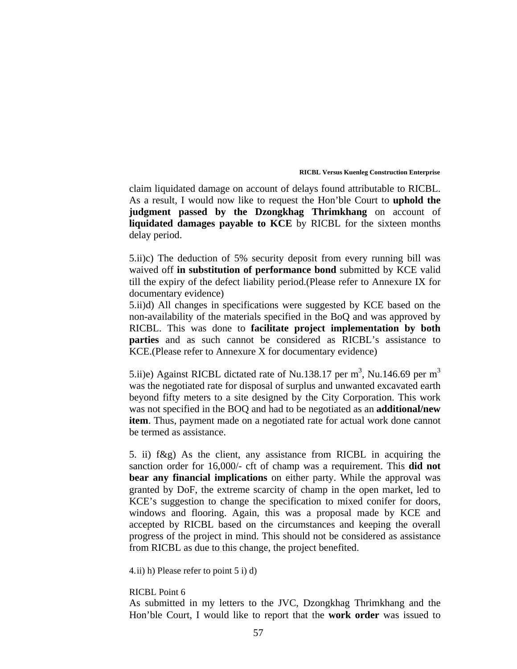claim liquidated damage on account of delays found attributable to RICBL. As a result, I would now like to request the Hon'ble Court to **uphold the judgment passed by the Dzongkhag Thrimkhang** on account of **liquidated damages payable to KCE** by RICBL for the sixteen months delay period.

5.ii)c) The deduction of 5% security deposit from every running bill was waived off **in substitution of performance bond** submitted by KCE valid till the expiry of the defect liability period.(Please refer to Annexure IX for documentary evidence)

5.ii)d) All changes in specifications were suggested by KCE based on the non-availability of the materials specified in the BoQ and was approved by RICBL. This was done to **facilitate project implementation by both parties** and as such cannot be considered as RICBL's assistance to KCE.(Please refer to Annexure X for documentary evidence)

5.ii)e) Against RICBL dictated rate of Nu.138.17 per m<sup>3</sup>, Nu.146.69 per m<sup>3</sup> was the negotiated rate for disposal of surplus and unwanted excavated earth beyond fifty meters to a site designed by the City Corporation. This work was not specified in the BOQ and had to be negotiated as an **additional/new item**. Thus, payment made on a negotiated rate for actual work done cannot be termed as assistance.

5. ii) f&g) As the client, any assistance from RICBL in acquiring the sanction order for 16,000/- cft of champ was a requirement. This **did not bear any financial implications** on either party. While the approval was granted by DoF, the extreme scarcity of champ in the open market, led to KCE's suggestion to change the specification to mixed conifer for doors, windows and flooring. Again, this was a proposal made by KCE and accepted by RICBL based on the circumstances and keeping the overall progress of the project in mind. This should not be considered as assistance from RICBL as due to this change, the project benefited.

4.ii) h) Please refer to point 5 i) d)

## RICBL Point 6

As submitted in my letters to the JVC, Dzongkhag Thrimkhang and the Hon'ble Court, I would like to report that the **work order** was issued to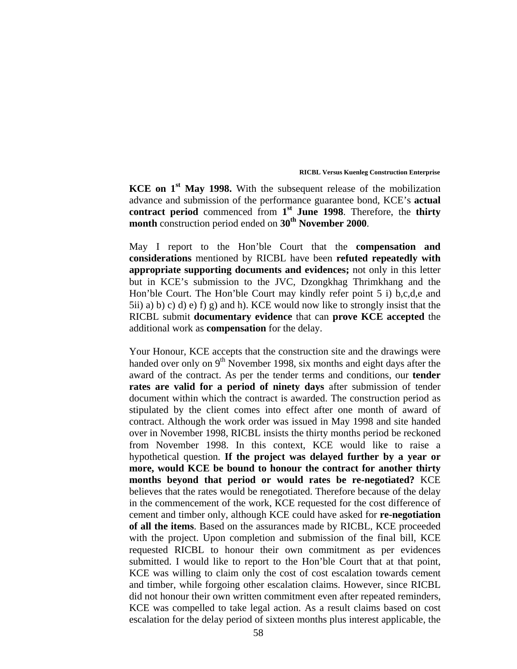**KCE on 1st May 1998.** With the subsequent release of the mobilization advance and submission of the performance guarantee bond, KCE's **actual contract period** commenced from **1st June 1998**. Therefore, the **thirty month** construction period ended on **30<sup>th</sup>** November 2000.

May I report to the Hon'ble Court that the **compensation and considerations** mentioned by RICBL have been **refuted repeatedly with appropriate supporting documents and evidences;** not only in this letter but in KCE's submission to the JVC, Dzongkhag Thrimkhang and the Hon'ble Court. The Hon'ble Court may kindly refer point 5 i) b,c,d,e and  $5ii$ ) a) b) c) d) e) f) g) and h). KCE would now like to strongly insist that the RICBL submit **documentary evidence** that can **prove KCE accepted** the additional work as **compensation** for the delay.

Your Honour, KCE accepts that the construction site and the drawings were handed over only on  $9<sup>th</sup>$  November 1998, six months and eight days after the award of the contract. As per the tender terms and conditions, our **tender rates are valid for a period of ninety days** after submission of tender document within which the contract is awarded. The construction period as stipulated by the client comes into effect after one month of award of contract. Although the work order was issued in May 1998 and site handed over in November 1998, RICBL insists the thirty months period be reckoned from November 1998. In this context, KCE would like to raise a hypothetical question. **If the project was delayed further by a year or more, would KCE be bound to honour the contract for another thirty months beyond that period or would rates be re-negotiated?** KCE believes that the rates would be renegotiated. Therefore because of the delay in the commencement of the work, KCE requested for the cost difference of cement and timber only, although KCE could have asked for **re-negotiation of all the items**. Based on the assurances made by RICBL, KCE proceeded with the project. Upon completion and submission of the final bill, KCE requested RICBL to honour their own commitment as per evidences submitted. I would like to report to the Hon'ble Court that at that point, KCE was willing to claim only the cost of cost escalation towards cement and timber, while forgoing other escalation claims. However, since RICBL did not honour their own written commitment even after repeated reminders, KCE was compelled to take legal action. As a result claims based on cost escalation for the delay period of sixteen months plus interest applicable, the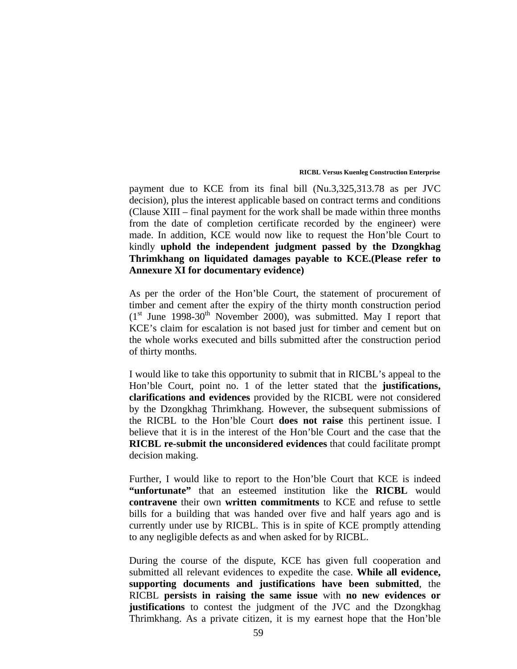payment due to KCE from its final bill (Nu.3,325,313.78 as per JVC decision), plus the interest applicable based on contract terms and conditions (Clause XIII – final payment for the work shall be made within three months from the date of completion certificate recorded by the engineer) were made. In addition, KCE would now like to request the Hon'ble Court to kindly **uphold the independent judgment passed by the Dzongkhag Thrimkhang on liquidated damages payable to KCE.(Please refer to Annexure XI for documentary evidence)** 

As per the order of the Hon'ble Court, the statement of procurement of timber and cement after the expiry of the thirty month construction period  $(1<sup>st</sup>$  June 1998-30<sup>th</sup> November 2000), was submitted. May I report that KCE's claim for escalation is not based just for timber and cement but on the whole works executed and bills submitted after the construction period of thirty months.

I would like to take this opportunity to submit that in RICBL's appeal to the Hon'ble Court, point no. 1 of the letter stated that the **justifications, clarifications and evidences** provided by the RICBL were not considered by the Dzongkhag Thrimkhang. However, the subsequent submissions of the RICBL to the Hon'ble Court **does not raise** this pertinent issue. I believe that it is in the interest of the Hon'ble Court and the case that the **RICBL re-submit the unconsidered evidences** that could facilitate prompt decision making.

Further, I would like to report to the Hon'ble Court that KCE is indeed **"unfortunate"** that an esteemed institution like the **RICBL** would **contravene** their own **written commitments** to KCE and refuse to settle bills for a building that was handed over five and half years ago and is currently under use by RICBL. This is in spite of KCE promptly attending to any negligible defects as and when asked for by RICBL.

During the course of the dispute, KCE has given full cooperation and submitted all relevant evidences to expedite the case. **While all evidence, supporting documents and justifications have been submitted**, the RICBL **persists in raising the same issue** with **no new evidences or justifications** to contest the judgment of the JVC and the Dzongkhag Thrimkhang. As a private citizen, it is my earnest hope that the Hon'ble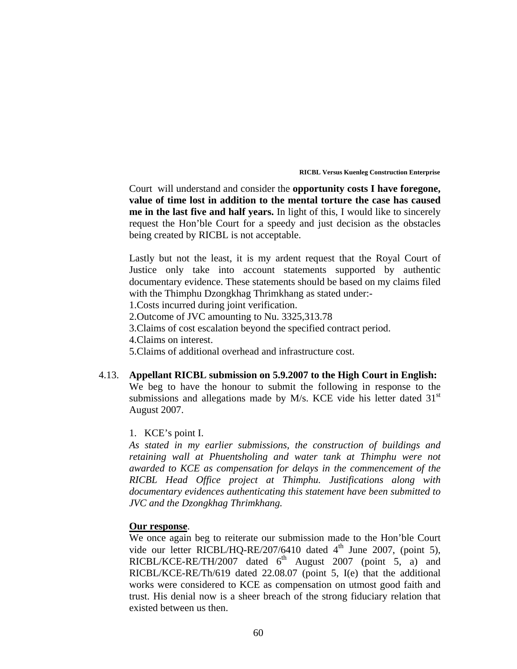Court will understand and consider the **opportunity costs I have foregone, value of time lost in addition to the mental torture the case has caused me in the last five and half years.** In light of this, I would like to sincerely request the Hon'ble Court for a speedy and just decision as the obstacles being created by RICBL is not acceptable.

Lastly but not the least, it is my ardent request that the Royal Court of Justice only take into account statements supported by authentic documentary evidence. These statements should be based on my claims filed with the Thimphu Dzongkhag Thrimkhang as stated under:-

1.Costs incurred during joint verification.

2.Outcome of JVC amounting to Nu. 3325,313.78

3.Claims of cost escalation beyond the specified contract period.

4.Claims on interest.

5.Claims of additional overhead and infrastructure cost.

4.13. **Appellant RICBL submission on 5.9.2007 to the High Court in English:**  We beg to have the honour to submit the following in response to the submissions and allegations made by M/s. KCE vide his letter dated  $31<sup>st</sup>$ August 2007.

## 1. KCE's point I.

*As stated in my earlier submissions, the construction of buildings and retaining wall at Phuentsholing and water tank at Thimphu were not awarded to KCE as compensation for delays in the commencement of the RICBL Head Office project at Thimphu. Justifications along with documentary evidences authenticating this statement have been submitted to JVC and the Dzongkhag Thrimkhang.* 

# **Our response**.

We once again beg to reiterate our submission made to the Hon'ble Court vide our letter RICBL/HQ-RE/207/6410 dated  $4<sup>th</sup>$  June 2007, (point 5), RICBL/KCE-RE/TH/2007 dated  $6^{th}$  August 2007 (point 5, a) and RICBL/KCE-RE/Th/619 dated 22.08.07 (point 5, I(e) that the additional works were considered to KCE as compensation on utmost good faith and trust. His denial now is a sheer breach of the strong fiduciary relation that existed between us then.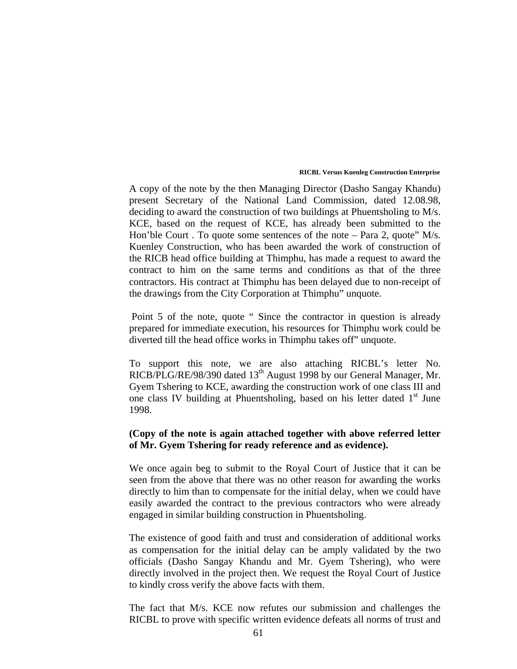A copy of the note by the then Managing Director (Dasho Sangay Khandu) present Secretary of the National Land Commission, dated 12.08.98, deciding to award the construction of two buildings at Phuentsholing to M/s. KCE, based on the request of KCE, has already been submitted to the Hon'ble Court . To quote some sentences of the note – Para 2, quote" M/s. Kuenley Construction, who has been awarded the work of construction of the RICB head office building at Thimphu, has made a request to award the contract to him on the same terms and conditions as that of the three contractors. His contract at Thimphu has been delayed due to non-receipt of the drawings from the City Corporation at Thimphu" unquote.

 Point 5 of the note, quote " Since the contractor in question is already prepared for immediate execution, his resources for Thimphu work could be diverted till the head office works in Thimphu takes off" unquote.

To support this note, we are also attaching RICBL's letter No. RICB/PLG/RE/98/390 dated 13<sup>th</sup> August 1998 by our General Manager, Mr. Gyem Tshering to KCE, awarding the construction work of one class III and one class IV building at Phuentsholing, based on his letter dated  $1<sup>st</sup>$  June 1998.

# **(Copy of the note is again attached together with above referred letter of Mr. Gyem Tshering for ready reference and as evidence).**

We once again beg to submit to the Royal Court of Justice that it can be seen from the above that there was no other reason for awarding the works directly to him than to compensate for the initial delay, when we could have easily awarded the contract to the previous contractors who were already engaged in similar building construction in Phuentsholing.

The existence of good faith and trust and consideration of additional works as compensation for the initial delay can be amply validated by the two officials (Dasho Sangay Khandu and Mr. Gyem Tshering), who were directly involved in the project then. We request the Royal Court of Justice to kindly cross verify the above facts with them.

The fact that M/s. KCE now refutes our submission and challenges the RICBL to prove with specific written evidence defeats all norms of trust and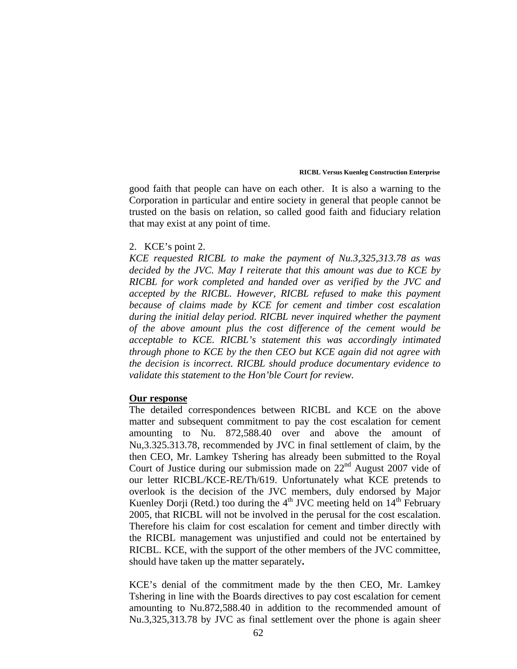good faith that people can have on each other. It is also a warning to the Corporation in particular and entire society in general that people cannot be trusted on the basis on relation, so called good faith and fiduciary relation that may exist at any point of time.

## 2. KCE's point 2.

*KCE requested RICBL to make the payment of Nu.3,325,313.78 as was decided by the JVC. May I reiterate that this amount was due to KCE by RICBL for work completed and handed over as verified by the JVC and accepted by the RICBL. However, RICBL refused to make this payment because of claims made by KCE for cement and timber cost escalation*  during the initial delay period. RICBL never inquired whether the payment *of the above amount plus the cost difference of the cement would be acceptable to KCE. RICBL's statement this was accordingly intimated through phone to KCE by the then CEO but KCE again did not agree with the decision is incorrect. RICBL should produce documentary evidence to validate this statement to the Hon'ble Court for review.* 

## **Our response**

The detailed correspondences between RICBL and KCE on the above matter and subsequent commitment to pay the cost escalation for cement amounting to Nu. 872,588.40 over and above the amount of Nu,3.325.313.78, recommended by JVC in final settlement of claim, by the then CEO, Mr. Lamkey Tshering has already been submitted to the Royal Court of Justice during our submission made on  $22<sup>nd</sup>$  August 2007 vide of our letter RICBL/KCE-RE/Th/619. Unfortunately what KCE pretends to overlook is the decision of the JVC members, duly endorsed by Major Kuenley Dorji (Retd.) too during the  $4<sup>th</sup> JVC$  meeting held on  $14<sup>th</sup>$  February 2005, that RICBL will not be involved in the perusal for the cost escalation. Therefore his claim for cost escalation for cement and timber directly with the RICBL management was unjustified and could not be entertained by RICBL. KCE, with the support of the other members of the JVC committee, should have taken up the matter separately**.** 

KCE's denial of the commitment made by the then CEO, Mr. Lamkey Tshering in line with the Boards directives to pay cost escalation for cement amounting to Nu.872,588.40 in addition to the recommended amount of Nu.3,325,313.78 by JVC as final settlement over the phone is again sheer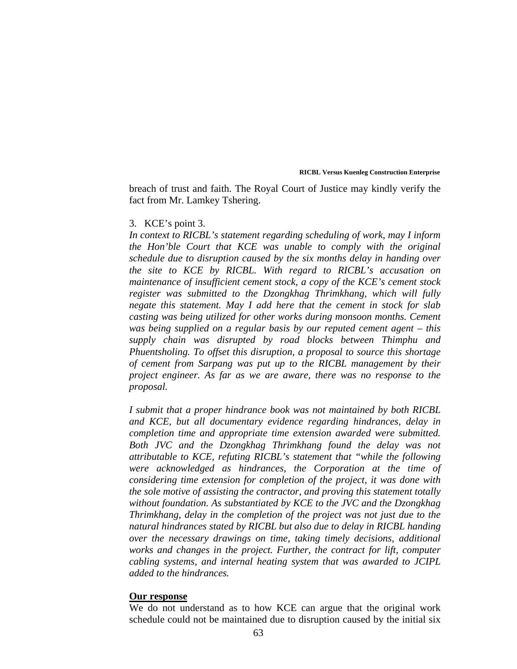breach of trust and faith. The Royal Court of Justice may kindly verify the fact from Mr. Lamkey Tshering.

## 3. KCE's point 3.

*In context to RICBL's statement regarding scheduling of work, may I inform the Hon'ble Court that KCE was unable to comply with the original schedule due to disruption caused by the six months delay in handing over the site to KCE by RICBL. With regard to RICBL's accusation on maintenance of insufficient cement stock, a copy of the KCE's cement stock register was submitted to the Dzongkhag Thrimkhang, which will fully negate this statement. May I add here that the cement in stock for slab casting was being utilized for other works during monsoon months. Cement was being supplied on a regular basis by our reputed cement agent – this supply chain was disrupted by road blocks between Thimphu and Phuentsholing. To offset this disruption, a proposal to source this shortage of cement from Sarpang was put up to the RICBL management by their project engineer. As far as we are aware, there was no response to the proposal.* 

*I submit that a proper hindrance book was not maintained by both RICBL and KCE, but all documentary evidence regarding hindrances, delay in completion time and appropriate time extension awarded were submitted. Both JVC and the Dzongkhag Thrimkhang found the delay was not attributable to KCE, refuting RICBL's statement that "while the following were acknowledged as hindrances, the Corporation at the time of considering time extension for completion of the project, it was done with the sole motive of assisting the contractor, and proving this statement totally without foundation. As substantiated by KCE to the JVC and the Dzongkhag Thrimkhang, delay in the completion of the project was not just due to the natural hindrances stated by RICBL but also due to delay in RICBL handing over the necessary drawings on time, taking timely decisions, additional works and changes in the project. Further, the contract for lift, computer cabling systems, and internal heating system that was awarded to JCIPL added to the hindrances.* 

### **Our response**

We do not understand as to how KCE can argue that the original work schedule could not be maintained due to disruption caused by the initial six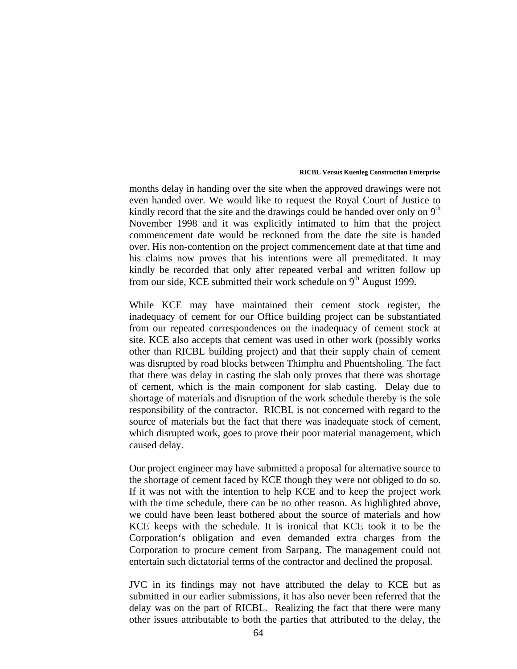months delay in handing over the site when the approved drawings were not even handed over. We would like to request the Royal Court of Justice to kindly record that the site and the drawings could be handed over only on  $9<sup>th</sup>$ November 1998 and it was explicitly intimated to him that the project commencement date would be reckoned from the date the site is handed over. His non-contention on the project commencement date at that time and his claims now proves that his intentions were all premeditated. It may kindly be recorded that only after repeated verbal and written follow up from our side, KCE submitted their work schedule on  $9<sup>th</sup>$  August 1999.

While KCE may have maintained their cement stock register, the inadequacy of cement for our Office building project can be substantiated from our repeated correspondences on the inadequacy of cement stock at site. KCE also accepts that cement was used in other work (possibly works other than RICBL building project) and that their supply chain of cement was disrupted by road blocks between Thimphu and Phuentsholing. The fact that there was delay in casting the slab only proves that there was shortage of cement, which is the main component for slab casting. Delay due to shortage of materials and disruption of the work schedule thereby is the sole responsibility of the contractor. RICBL is not concerned with regard to the source of materials but the fact that there was inadequate stock of cement, which disrupted work, goes to prove their poor material management, which caused delay.

Our project engineer may have submitted a proposal for alternative source to the shortage of cement faced by KCE though they were not obliged to do so. If it was not with the intention to help KCE and to keep the project work with the time schedule, there can be no other reason. As highlighted above, we could have been least bothered about the source of materials and how KCE keeps with the schedule. It is ironical that KCE took it to be the Corporation's obligation and even demanded extra charges from the Corporation to procure cement from Sarpang. The management could not entertain such dictatorial terms of the contractor and declined the proposal.

JVC in its findings may not have attributed the delay to KCE but as submitted in our earlier submissions, it has also never been referred that the delay was on the part of RICBL. Realizing the fact that there were many other issues attributable to both the parties that attributed to the delay, the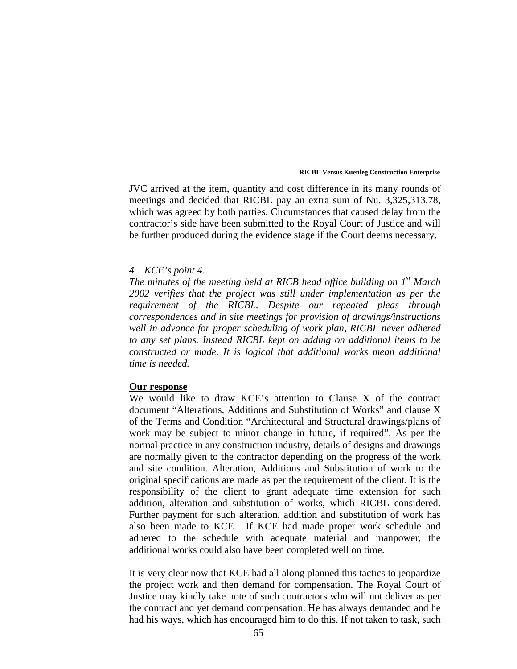JVC arrived at the item, quantity and cost difference in its many rounds of meetings and decided that RICBL pay an extra sum of Nu. 3,325,313.78, which was agreed by both parties. Circumstances that caused delay from the contractor's side have been submitted to the Royal Court of Justice and will be further produced during the evidence stage if the Court deems necessary.

## *4. KCE's point 4.*

*The minutes of the meeting held at RICB head office building on 1st March 2002 verifies that the project was still under implementation as per the requirement of the RICBL. Despite our repeated pleas through correspondences and in site meetings for provision of drawings/instructions well in advance for proper scheduling of work plan, RICBL never adhered to any set plans. Instead RICBL kept on adding on additional items to be constructed or made. It is logical that additional works mean additional time is needed.* 

### **Our response**

We would like to draw KCE's attention to Clause X of the contract document "Alterations, Additions and Substitution of Works" and clause X of the Terms and Condition "Architectural and Structural drawings/plans of work may be subject to minor change in future, if required". As per the normal practice in any construction industry, details of designs and drawings are normally given to the contractor depending on the progress of the work and site condition. Alteration, Additions and Substitution of work to the original specifications are made as per the requirement of the client. It is the responsibility of the client to grant adequate time extension for such addition, alteration and substitution of works, which RICBL considered. Further payment for such alteration, addition and substitution of work has also been made to KCE. If KCE had made proper work schedule and adhered to the schedule with adequate material and manpower, the additional works could also have been completed well on time.

It is very clear now that KCE had all along planned this tactics to jeopardize the project work and then demand for compensation. The Royal Court of Justice may kindly take note of such contractors who will not deliver as per the contract and yet demand compensation. He has always demanded and he had his ways, which has encouraged him to do this. If not taken to task, such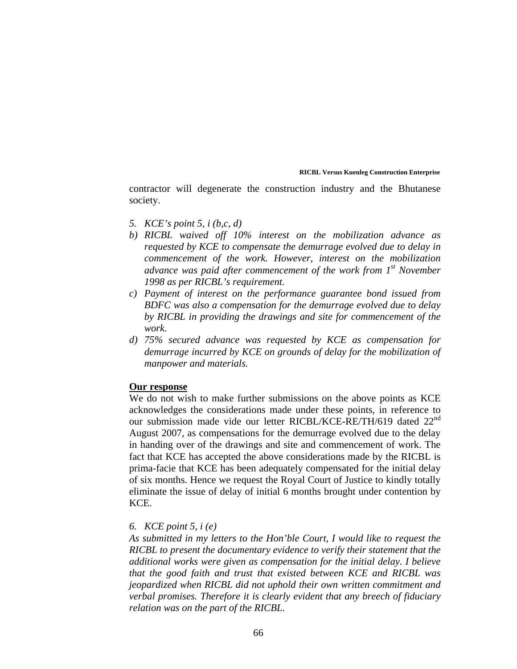contractor will degenerate the construction industry and the Bhutanese society.

- *5. KCE's point 5, i (b,c, d)*
- *b) RICBL waived off 10% interest on the mobilization advance as requested by KCE to compensate the demurrage evolved due to delay in commencement of the work. However, interest on the mobilization advance was paid after commencement of the work from 1st November 1998 as per RICBL's requirement.*
- *c) Payment of interest on the performance guarantee bond issued from BDFC was also a compensation for the demurrage evolved due to delay by RICBL in providing the drawings and site for commencement of the work.*
- *d) 75% secured advance was requested by KCE as compensation for demurrage incurred by KCE on grounds of delay for the mobilization of manpower and materials.*

## **Our response**

We do not wish to make further submissions on the above points as KCE acknowledges the considerations made under these points, in reference to our submission made vide our letter RICBL/KCE-RE/TH/619 dated 22<sup>nd</sup> August 2007, as compensations for the demurrage evolved due to the delay in handing over of the drawings and site and commencement of work. The fact that KCE has accepted the above considerations made by the RICBL is prima-facie that KCE has been adequately compensated for the initial delay of six months. Hence we request the Royal Court of Justice to kindly totally eliminate the issue of delay of initial 6 months brought under contention by KCE.

# *6. KCE point 5, i (e)*

*As submitted in my letters to the Hon'ble Court, I would like to request the RICBL to present the documentary evidence to verify their statement that the additional works were given as compensation for the initial delay. I believe that the good faith and trust that existed between KCE and RICBL was jeopardized when RICBL did not uphold their own written commitment and verbal promises. Therefore it is clearly evident that any breech of fiduciary relation was on the part of the RICBL.*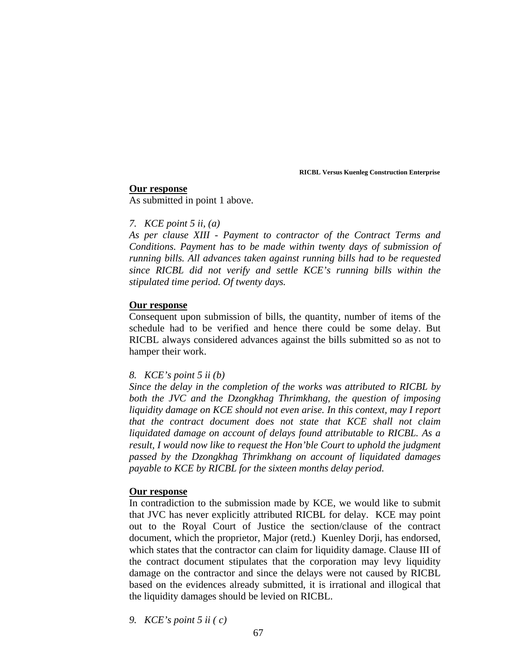## **Our response**

As submitted in point 1 above.

# *7. KCE point 5 ii, (a)*

*As per clause XIII - Payment to contractor of the Contract Terms and Conditions. Payment has to be made within twenty days of submission of running bills. All advances taken against running bills had to be requested since RICBL did not verify and settle KCE's running bills within the stipulated time period. Of twenty days.* 

# **Our response**

Consequent upon submission of bills, the quantity, number of items of the schedule had to be verified and hence there could be some delay. But RICBL always considered advances against the bills submitted so as not to hamper their work.

# *8. KCE's point 5 ii (b)*

*Since the delay in the completion of the works was attributed to RICBL by both the JVC and the Dzongkhag Thrimkhang, the question of imposing liquidity damage on KCE should not even arise. In this context, may I report that the contract document does not state that KCE shall not claim liquidated damage on account of delays found attributable to RICBL. As a result, I would now like to request the Hon'ble Court to uphold the judgment passed by the Dzongkhag Thrimkhang on account of liquidated damages payable to KCE by RICBL for the sixteen months delay period.* 

# **Our response**

In contradiction to the submission made by KCE, we would like to submit that JVC has never explicitly attributed RICBL for delay. KCE may point out to the Royal Court of Justice the section/clause of the contract document, which the proprietor, Major (retd.) Kuenley Dorji, has endorsed, which states that the contractor can claim for liquidity damage. Clause III of the contract document stipulates that the corporation may levy liquidity damage on the contractor and since the delays were not caused by RICBL based on the evidences already submitted, it is irrational and illogical that the liquidity damages should be levied on RICBL.

*9. KCE's point 5 ii ( c)*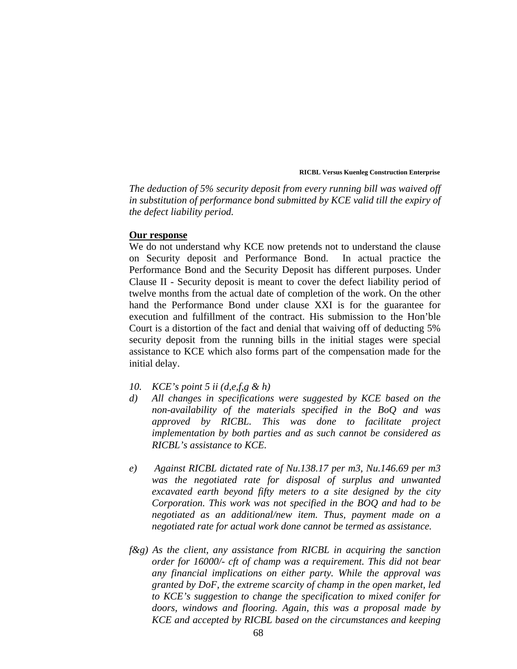*The deduction of 5% security deposit from every running bill was waived off in substitution of performance bond submitted by KCE valid till the expiry of the defect liability period.* 

### **Our response**

We do not understand why KCE now pretends not to understand the clause on Security deposit and Performance Bond. In actual practice the Performance Bond and the Security Deposit has different purposes. Under Clause II - Security deposit is meant to cover the defect liability period of twelve months from the actual date of completion of the work. On the other hand the Performance Bond under clause XXI is for the guarantee for execution and fulfillment of the contract. His submission to the Hon'ble Court is a distortion of the fact and denial that waiving off of deducting 5% security deposit from the running bills in the initial stages were special assistance to KCE which also forms part of the compensation made for the initial delay.

- *10. KCE's point 5 ii (d,e,f,g & h)*
- *d) All changes in specifications were suggested by KCE based on the non-availability of the materials specified in the BoQ and was approved by RICBL. This was done to facilitate project implementation by both parties and as such cannot be considered as RICBL's assistance to KCE.*
- *e) Against RICBL dictated rate of Nu.138.17 per m3, Nu.146.69 per m3 was the negotiated rate for disposal of surplus and unwanted excavated earth beyond fifty meters to a site designed by the city Corporation. This work was not specified in the BOQ and had to be negotiated as an additional/new item. Thus, payment made on a negotiated rate for actual work done cannot be termed as assistance.*
- *f&g) As the client, any assistance from RICBL in acquiring the sanction order for 16000/- cft of champ was a requirement. This did not bear any financial implications on either party. While the approval was granted by DoF, the extreme scarcity of champ in the open market, led to KCE's suggestion to change the specification to mixed conifer for doors, windows and flooring. Again, this was a proposal made by KCE and accepted by RICBL based on the circumstances and keeping*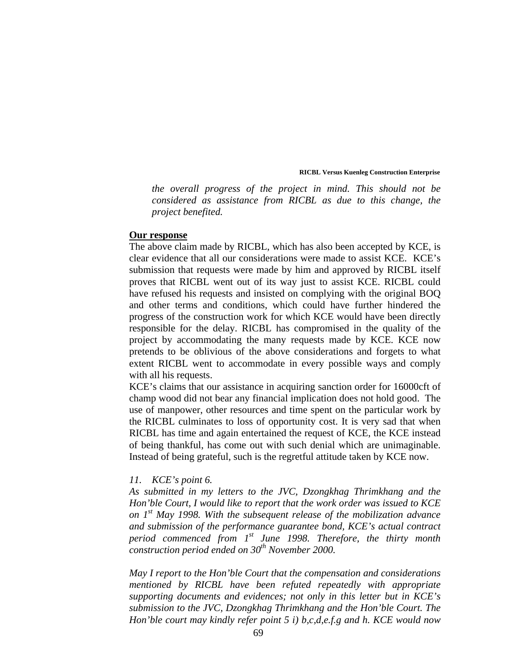*the overall progress of the project in mind. This should not be considered as assistance from RICBL as due to this change, the project benefited.* 

#### **Our response**

The above claim made by RICBL, which has also been accepted by KCE, is clear evidence that all our considerations were made to assist KCE. KCE's submission that requests were made by him and approved by RICBL itself proves that RICBL went out of its way just to assist KCE. RICBL could have refused his requests and insisted on complying with the original BOQ and other terms and conditions, which could have further hindered the progress of the construction work for which KCE would have been directly responsible for the delay. RICBL has compromised in the quality of the project by accommodating the many requests made by KCE. KCE now pretends to be oblivious of the above considerations and forgets to what extent RICBL went to accommodate in every possible ways and comply with all his requests.

KCE's claims that our assistance in acquiring sanction order for 16000cft of champ wood did not bear any financial implication does not hold good. The use of manpower, other resources and time spent on the particular work by the RICBL culminates to loss of opportunity cost. It is very sad that when RICBL has time and again entertained the request of KCE, the KCE instead of being thankful, has come out with such denial which are unimaginable. Instead of being grateful, such is the regretful attitude taken by KCE now.

## *11. KCE's point 6.*

*As submitted in my letters to the JVC, Dzongkhag Thrimkhang and the Hon'ble Court, I would like to report that the work order was issued to KCE on 1st May 1998. With the subsequent release of the mobilization advance and submission of the performance guarantee bond, KCE's actual contract period commenced from 1st June 1998. Therefore, the thirty month construction period ended on 30th November 2000.* 

*May I report to the Hon'ble Court that the compensation and considerations mentioned by RICBL have been refuted repeatedly with appropriate supporting documents and evidences; not only in this letter but in KCE's submission to the JVC, Dzongkhag Thrimkhang and the Hon'ble Court. The Hon'ble court may kindly refer point 5 i) b,c,d,e.f.g and h. KCE would now*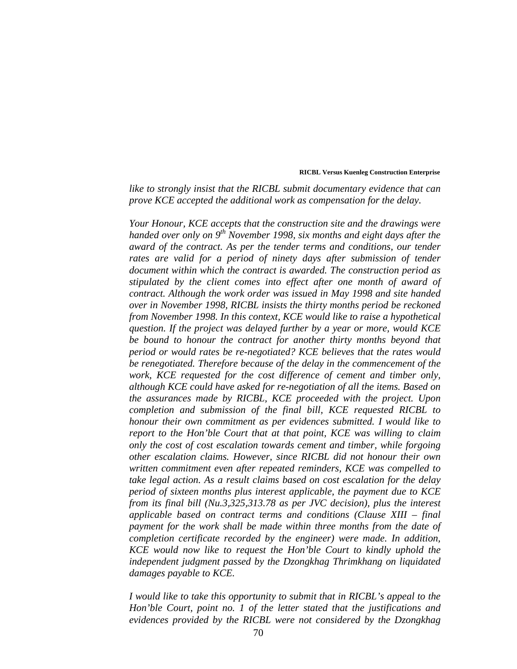*like to strongly insist that the RICBL submit documentary evidence that can prove KCE accepted the additional work as compensation for the delay.* 

*Your Honour, KCE accepts that the construction site and the drawings were handed over only on 9th November 1998, six months and eight days after the award of the contract. As per the tender terms and conditions, our tender*  rates are valid for a period of ninety days after submission of tender *document within which the contract is awarded. The construction period as stipulated by the client comes into effect after one month of award of contract. Although the work order was issued in May 1998 and site handed over in November 1998, RICBL insists the thirty months period be reckoned from November 1998. In this context, KCE would like to raise a hypothetical question. If the project was delayed further by a year or more, would KCE be bound to honour the contract for another thirty months beyond that period or would rates be re-negotiated? KCE believes that the rates would be renegotiated. Therefore because of the delay in the commencement of the work, KCE requested for the cost difference of cement and timber only, although KCE could have asked for re-negotiation of all the items. Based on the assurances made by RICBL, KCE proceeded with the project. Upon completion and submission of the final bill, KCE requested RICBL to honour their own commitment as per evidences submitted. I would like to report to the Hon'ble Court that at that point, KCE was willing to claim only the cost of cost escalation towards cement and timber, while forgoing other escalation claims. However, since RICBL did not honour their own written commitment even after repeated reminders, KCE was compelled to take legal action. As a result claims based on cost escalation for the delay period of sixteen months plus interest applicable, the payment due to KCE from its final bill (Nu.3,325,313.78 as per JVC decision), plus the interest applicable based on contract terms and conditions (Clause XIII – final payment for the work shall be made within three months from the date of completion certificate recorded by the engineer) were made. In addition, KCE would now like to request the Hon'ble Court to kindly uphold the independent judgment passed by the Dzongkhag Thrimkhang on liquidated damages payable to KCE.* 

*I would like to take this opportunity to submit that in RICBL's appeal to the Hon'ble Court, point no. 1 of the letter stated that the justifications and evidences provided by the RICBL were not considered by the Dzongkhag*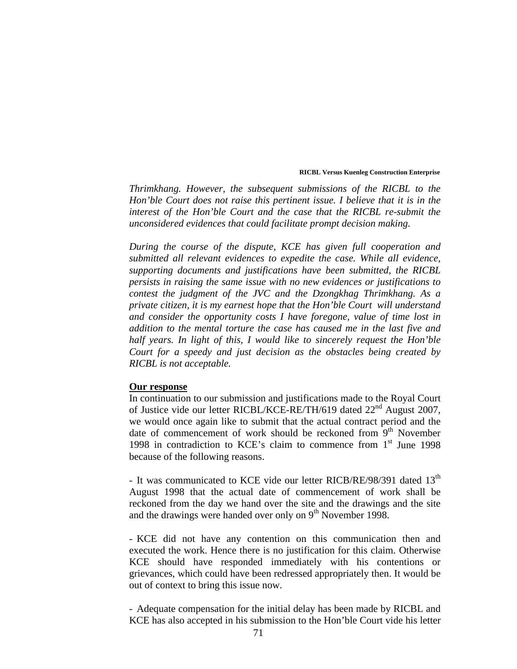*Thrimkhang. However, the subsequent submissions of the RICBL to the Hon'ble Court does not raise this pertinent issue. I believe that it is in the interest of the Hon'ble Court and the case that the RICBL re-submit the unconsidered evidences that could facilitate prompt decision making.* 

*During the course of the dispute, KCE has given full cooperation and submitted all relevant evidences to expedite the case. While all evidence, supporting documents and justifications have been submitted, the RICBL persists in raising the same issue with no new evidences or justifications to contest the judgment of the JVC and the Dzongkhag Thrimkhang. As a private citizen, it is my earnest hope that the Hon'ble Court will understand and consider the opportunity costs I have foregone, value of time lost in addition to the mental torture the case has caused me in the last five and half years. In light of this, I would like to sincerely request the Hon'ble Court for a speedy and just decision as the obstacles being created by RICBL is not acceptable.* 

## **Our response**

In continuation to our submission and justifications made to the Royal Court of Justice vide our letter RICBL/KCE-RE/TH/619 dated 22<sup>nd</sup> August 2007, we would once again like to submit that the actual contract period and the date of commencement of work should be reckoned from  $9<sup>th</sup>$  November 1998 in contradiction to KCE's claim to commence from  $1<sup>st</sup>$  June 1998 because of the following reasons.

- It was communicated to KCE vide our letter RICB/RE/98/391 dated  $13<sup>th</sup>$ August 1998 that the actual date of commencement of work shall be reckoned from the day we hand over the site and the drawings and the site and the drawings were handed over only on  $9<sup>th</sup>$  November 1998.

- KCE did not have any contention on this communication then and executed the work. Hence there is no justification for this claim. Otherwise KCE should have responded immediately with his contentions or grievances, which could have been redressed appropriately then. It would be out of context to bring this issue now.

- Adequate compensation for the initial delay has been made by RICBL and KCE has also accepted in his submission to the Hon'ble Court vide his letter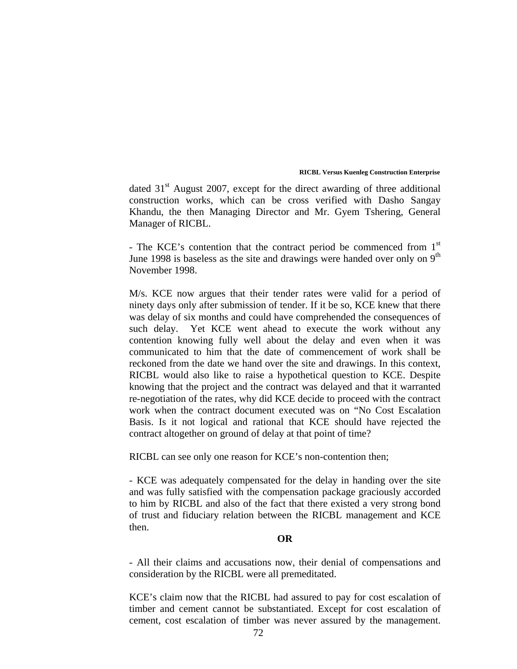dated  $31<sup>st</sup>$  August 2007, except for the direct awarding of three additional construction works, which can be cross verified with Dasho Sangay Khandu, the then Managing Director and Mr. Gyem Tshering, General Manager of RICBL.

- The KCE's contention that the contract period be commenced from  $1<sup>st</sup>$ June 1998 is baseless as the site and drawings were handed over only on  $9<sup>th</sup>$ November 1998.

M/s. KCE now argues that their tender rates were valid for a period of ninety days only after submission of tender. If it be so, KCE knew that there was delay of six months and could have comprehended the consequences of such delay. Yet KCE went ahead to execute the work without any contention knowing fully well about the delay and even when it was communicated to him that the date of commencement of work shall be reckoned from the date we hand over the site and drawings. In this context, RICBL would also like to raise a hypothetical question to KCE. Despite knowing that the project and the contract was delayed and that it warranted re-negotiation of the rates, why did KCE decide to proceed with the contract work when the contract document executed was on "No Cost Escalation Basis. Is it not logical and rational that KCE should have rejected the contract altogether on ground of delay at that point of time?

RICBL can see only one reason for KCE's non-contention then;

- KCE was adequately compensated for the delay in handing over the site and was fully satisfied with the compensation package graciously accorded to him by RICBL and also of the fact that there existed a very strong bond of trust and fiduciary relation between the RICBL management and KCE then.

# **OR**

- All their claims and accusations now, their denial of compensations and consideration by the RICBL were all premeditated.

KCE's claim now that the RICBL had assured to pay for cost escalation of timber and cement cannot be substantiated. Except for cost escalation of cement, cost escalation of timber was never assured by the management.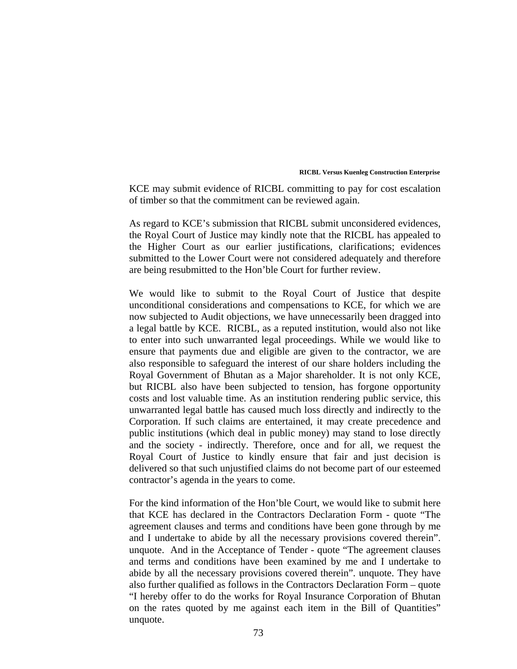KCE may submit evidence of RICBL committing to pay for cost escalation of timber so that the commitment can be reviewed again.

As regard to KCE's submission that RICBL submit unconsidered evidences, the Royal Court of Justice may kindly note that the RICBL has appealed to the Higher Court as our earlier justifications, clarifications; evidences submitted to the Lower Court were not considered adequately and therefore are being resubmitted to the Hon'ble Court for further review.

We would like to submit to the Royal Court of Justice that despite unconditional considerations and compensations to KCE, for which we are now subjected to Audit objections, we have unnecessarily been dragged into a legal battle by KCE. RICBL, as a reputed institution, would also not like to enter into such unwarranted legal proceedings. While we would like to ensure that payments due and eligible are given to the contractor, we are also responsible to safeguard the interest of our share holders including the Royal Government of Bhutan as a Major shareholder. It is not only KCE, but RICBL also have been subjected to tension, has forgone opportunity costs and lost valuable time. As an institution rendering public service, this unwarranted legal battle has caused much loss directly and indirectly to the Corporation. If such claims are entertained, it may create precedence and public institutions (which deal in public money) may stand to lose directly and the society - indirectly. Therefore, once and for all, we request the Royal Court of Justice to kindly ensure that fair and just decision is delivered so that such unjustified claims do not become part of our esteemed contractor's agenda in the years to come.

For the kind information of the Hon'ble Court, we would like to submit here that KCE has declared in the Contractors Declaration Form - quote "The agreement clauses and terms and conditions have been gone through by me and I undertake to abide by all the necessary provisions covered therein". unquote. And in the Acceptance of Tender - quote "The agreement clauses and terms and conditions have been examined by me and I undertake to abide by all the necessary provisions covered therein". unquote. They have also further qualified as follows in the Contractors Declaration Form – quote "I hereby offer to do the works for Royal Insurance Corporation of Bhutan on the rates quoted by me against each item in the Bill of Quantities" unquote.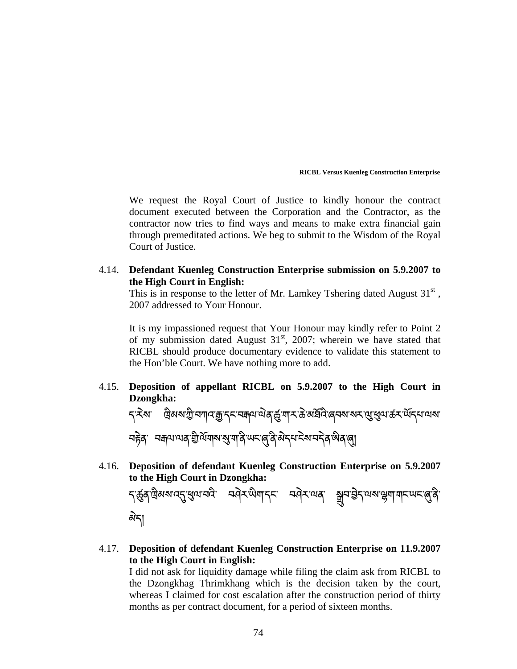We request the Royal Court of Justice to kindly honour the contract document executed between the Corporation and the Contractor, as the contractor now tries to find ways and means to make extra financial gain through premeditated actions. We beg to submit to the Wisdom of the Royal Court of Justice.

4.14. **Defendant Kuenleg Construction Enterprise submission on 5.9.2007 to the High Court in English:** 

This is in response to the letter of Mr. Lamkey Tshering dated August  $31<sup>st</sup>$ , 2007 addressed to Your Honour.

It is my impassioned request that Your Honour may kindly refer to Point 2 of my submission dated August  $31<sup>st</sup>$ , 2007; wherein we have stated that RICBL should produce documentary evidence to validate this statement to the Hon'ble Court. We have nothing more to add.

4.15. **Deposition of appellant RICBL on 5.9.2007 to the High Court in Dzongkha:** 

<mark>ད་རེས</mark>་ ལིམས་ཀྱི་བཀའ་རྒྱ་དང་བརྐལ་ལེན་རྱོ་ག་ར་৯ེ་མརོན་ནབས་སར་ལུ་ཕུལ་கོར་ལོདཔ་ལས་ নচ্টব্ ব্ৰক্ষাণ্যৰ খ্ৰীৰ্মশৰ্ম ৰাজ্য অন্তৰ্জীৰ বিদেশ বিৰুদ্ধে ব্ৰাৰ্জী ؚ<br>
<u>֡</u> ེ

4.16. **Deposition of defendant Kuenleg Construction Enterprise on 5.9.2007 to the High Court in Dzongkha:** 

*২ি*প্ৰুপ্*ৰা*ন্ত্ৰসভাৱে ব্ৰদ্বিক কৰি কৰি পৰি পৰি পৰি বিৰোধ কৰি কৰি ٔ<br>
ـ<br>
ـ<br>
ـ མེད།

4.17. **Deposition of defendant Kuenleg Construction Enterprise on 11.9.2007 to the High Court in English:** 

I did not ask for liquidity damage while filing the claim ask from RICBL to the Dzongkhag Thrimkhang which is the decision taken by the court, whereas I claimed for cost escalation after the construction period of thirty months as per contract document, for a period of sixteen months.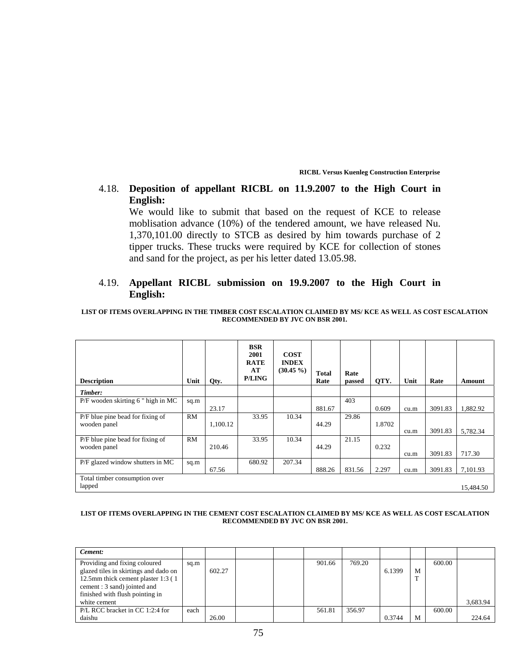# 4.18. **Deposition of appellant RICBL on 11.9.2007 to the High Court in English:**

We would like to submit that based on the request of KCE to release moblisation advance (10%) of the tendered amount, we have released Nu. 1,370,101.00 directly to STCB as desired by him towards purchase of 2 tipper trucks. These trucks were required by KCE for collection of stones and sand for the project, as per his letter dated 13.05.98.

# 4.19. **Appellant RICBL submission on 19.9.2007 to the High Court in English:**

### **LIST OF ITEMS OVERLAPPING IN THE TIMBER COST ESCALATION CLAIMED BY MS/ KCE AS WELL AS COST ESCALATION RECOMMENDED BY JVC ON BSR 2001.**

| <b>Description</b>                               | Unit      | Qty.     | <b>BSR</b><br>2001<br><b>RATE</b><br>AT<br><b>P/LING</b> | <b>COST</b><br><b>INDEX</b><br>$(30.45\% )$ | <b>Total</b><br>Rate | Rate<br>passed | QTY.   | Unit | Rate    | Amount    |
|--------------------------------------------------|-----------|----------|----------------------------------------------------------|---------------------------------------------|----------------------|----------------|--------|------|---------|-----------|
| Timber:                                          |           |          |                                                          |                                             |                      |                |        |      |         |           |
| P/F wooden skirting 6" high in MC                | sq.m      | 23.17    |                                                          |                                             | 881.67               | 403            | 0.609  | cu.m | 3091.83 | 1,882.92  |
| P/F blue pine bead for fixing of<br>wooden panel | RM        | 1,100.12 | 33.95                                                    | 10.34                                       | 44.29                | 29.86          | 1.8702 | cu.m | 3091.83 | 5,782.34  |
| P/F blue pine bead for fixing of<br>wooden panel | <b>RM</b> | 210.46   | 33.95                                                    | 10.34                                       | 44.29                | 21.15          | 0.232  | cu.m | 3091.83 | 717.30    |
| P/F glazed window shutters in MC                 | sq.m      | 67.56    | 680.92                                                   | 207.34                                      | 888.26               | 831.56         | 2.297  | cu.m | 3091.83 | 7,101.93  |
| Total timber consumption over<br>lapped          |           |          |                                                          |                                             |                      |                |        |      |         | 15,484.50 |

### **LIST OF ITEMS OVERLAPPING IN THE CEMENT COST ESCALATION CLAIMED BY MS/ KCE AS WELL AS COST ESCALATION RECOMMENDED BY JVC ON BSR 2001.**

| Cement:                               |      |        |  |        |        |        |   |        |          |
|---------------------------------------|------|--------|--|--------|--------|--------|---|--------|----------|
| Providing and fixing coloured         | sq.m |        |  | 901.66 | 769.20 |        |   | 600.00 |          |
| glazed tiles in skirtings and dado on |      | 602.27 |  |        |        | 6.1399 | M |        |          |
| 12.5mm thick cement plaster 1:3 (1)   |      |        |  |        |        |        | m |        |          |
| cement: 3 sand) jointed and           |      |        |  |        |        |        |   |        |          |
| finished with flush pointing in       |      |        |  |        |        |        |   |        |          |
| white cement                          |      |        |  |        |        |        |   |        | 3.683.94 |
| P/L RCC bracket in CC 1:2:4 for       | each |        |  | 561.81 | 356.97 |        |   | 600.00 |          |
| daishu                                |      | 26.00  |  |        |        | 0.3744 | M |        | 224.64   |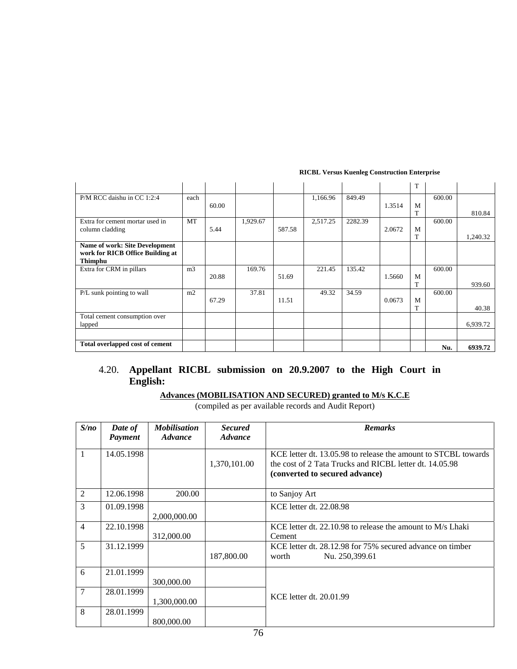|                                  |                |       |          |        |          |         |        | T |        |          |
|----------------------------------|----------------|-------|----------|--------|----------|---------|--------|---|--------|----------|
| P/M RCC daishu in CC 1:2:4       | each           |       |          |        | 1,166.96 | 849.49  |        |   | 600.00 |          |
|                                  |                | 60.00 |          |        |          |         | 1.3514 | M |        |          |
|                                  |                |       |          |        |          |         |        |   |        | 810.84   |
| Extra for cement mortar used in  | <b>MT</b>      |       | 1,929.67 |        | 2,517.25 | 2282.39 |        |   | 600.00 |          |
| column cladding                  |                | 5.44  |          | 587.58 |          |         | 2.0672 | M |        |          |
|                                  |                |       |          |        |          |         |        |   |        | 1.240.32 |
| Name of work: Site Development   |                |       |          |        |          |         |        |   |        |          |
| work for RICB Office Building at |                |       |          |        |          |         |        |   |        |          |
| Thimphu                          |                |       |          |        |          |         |        |   |        |          |
| Extra for CRM in pillars         | m <sub>3</sub> |       | 169.76   |        | 221.45   | 135.42  |        |   | 600.00 |          |
|                                  |                | 20.88 |          | 51.69  |          |         | 1.5660 | M |        |          |
|                                  |                |       |          |        |          |         |        | T |        | 939.60   |
| P/L sunk pointing to wall        | m2             | 67.29 | 37.81    | 11.51  | 49.32    | 34.59   | 0.0673 | M | 600.00 |          |
|                                  |                |       |          |        |          |         |        | T |        | 40.38    |
| Total cement consumption over    |                |       |          |        |          |         |        |   |        |          |
| lapped                           |                |       |          |        |          |         |        |   |        | 6,939.72 |
|                                  |                |       |          |        |          |         |        |   |        |          |
|                                  |                |       |          |        |          |         |        |   |        |          |
| Total overlapped cost of cement  |                |       |          |        |          |         |        |   | Nu.    | 6939.72  |

# 4.20. **Appellant RICBL submission on 20.9.2007 to the High Court in English:**

# **Advances (MOBILISATION AND SECURED) granted to M/s K.C.E**

(compiled as per available records and Audit Report)

| S/no           | Date of<br>Payment | <b>Mobilisation</b><br><i><b>Advance</b></i> | <b>Secured</b><br><i><b>Advance</b></i> | <b>Remarks</b>                                                                                                                                              |
|----------------|--------------------|----------------------------------------------|-----------------------------------------|-------------------------------------------------------------------------------------------------------------------------------------------------------------|
| $\mathbf{1}$   | 14.05.1998         |                                              | 1,370,101.00                            | KCE letter dt. 13.05.98 to release the amount to STCBL towards<br>the cost of 2 Tata Trucks and RICBL letter dt. 14.05.98<br>(converted to secured advance) |
| 2              | 12.06.1998         | 200.00                                       |                                         | to Sanjoy Art                                                                                                                                               |
| 3              | 01.09.1998         | 2,000,000.00                                 |                                         | KCE letter dt. 22.08.98                                                                                                                                     |
| $\overline{4}$ | 22.10.1998         | 312,000.00                                   |                                         | KCE letter dt. $22.10.98$ to release the amount to M/s Lhaki<br>Cement                                                                                      |
| 5              | 31.12.1999         |                                              | 187,800.00                              | KCE letter dt. 28.12.98 for 75% secured advance on timber<br>Nu. 250,399.61<br>worth                                                                        |
| 6              | 21.01.1999         | 300,000.00                                   |                                         |                                                                                                                                                             |
| $\overline{7}$ | 28.01.1999         | 1,300,000.00                                 |                                         | KCE letter dt. 20.01.99                                                                                                                                     |
| 8              | 28.01.1999         | 800,000.00                                   |                                         |                                                                                                                                                             |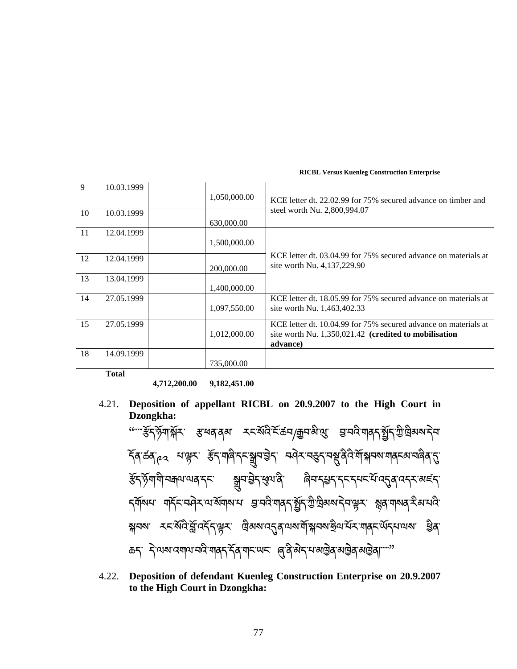| 9  | 10.03.1999  |              |                                                                 |
|----|-------------|--------------|-----------------------------------------------------------------|
|    |             | 1,050,000.00 | KCE letter dt. 22.02.99 for 75% secured advance on timber and   |
| 10 | 10.03.1999  |              | steel worth Nu. 2,800,994.07                                    |
|    |             | 630,000.00   |                                                                 |
| 11 | 12.04.1999  |              |                                                                 |
|    |             | 1,500,000.00 |                                                                 |
| 12 | 12.04.1999  |              | KCE letter dt. 03.04.99 for 75% secured advance on materials at |
|    |             | 200,000.00   | site worth Nu. 4,137,229.90                                     |
| 13 | 13.04.1999  |              |                                                                 |
|    |             | 1,400,000.00 |                                                                 |
| 14 | 27.05.1999  |              | KCE letter dt. 18.05.99 for 75% secured advance on materials at |
|    |             | 1,097,550.00 | site worth Nu. 1,463,402.33                                     |
| 15 | 27.05.1999  |              | KCE letter dt. 10.04.99 for 75% secured advance on materials at |
|    |             | 1,012,000.00 | site worth Nu. 1,350,021.42 (credited to mobilisation           |
|    |             |              | advance)                                                        |
| 18 | 14.09.1999  |              |                                                                 |
|    |             | 735,000.00   |                                                                 |
|    | $T = 4 - T$ |              |                                                                 |

**Total** 

**4,712,200.00 9,182,451.00** 

4.21. **Deposition of appellant RICBL on 20.9.2007 to the High Court in Dzongkha:** 

"་་་་་୶ོད་ཉོག་ೆོར་ ୶་ཕན་ནམ་ རང་སོའི་ངོ་ཚབ/ଳབ་མི་க་ ࣟ་བའི་གནད་ഓོད་ཀྱི་ཁྐྲིམས་ད བ་ ེ  $\check\tau$ สฺ ऊँक् $\gamma_{e2}$ ाः सूत्र्यः ﴿  $\check\tau_{\text{eq}}$ ाङ्क्ष्यः अप्रे $\tau_{\text{eq}}$ ः स्पे $\tau_{\text{eq}}$ रुप् $\tau_{\text{eq}}$ रुप् $\tau_{\text{eq}}$ ङ्केद्भेगमीयमयायवाद्या सूत्राञ्चेदाञ्जयात्रे बेत्ताद्यदाद्यात्रयुवाददराअहर དགོསཔ་ གརོང་བའེར་ལ་མོགས་པ་ བྱ་བའི་གནད་སྲོད་ཀྱི་ལྲིམས་དེབ་ལྱར་ སྱན་གསན་རིམ་པའི་ ক্সবমা རང་མོའི་བྱོ་འརོད་ལྱར་ ལུམས་འདུན་ལས་གོསྐབས་རྱིལ་པོར་གནང་ལོདཔ་ལས་ ᢃན་ ಹನ್, *ই*ণ্মম্যন্ত্ৰশাৰ্ত্ম শৰ্মন্ত্ৰ ৰাজ্যখন (ৰ্ত্ত্ত্বীজীৱ মন্ত্ৰী ৰাজ্যৰ সম্ভিৰ ৰাজ্যৰ কাৰ্য্য ؚ<br>ׇ֚<br>ׇ ེ

4.22. **Deposition of defendant Kuenleg Construction Enterprise on 20.9.2007 to the High Court in Dzongkha:**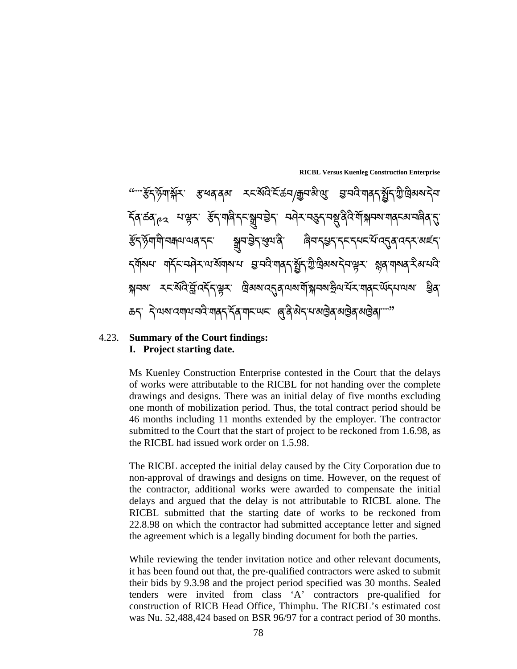**RICBL Versus Kuenleg Construction Enterprise**  ""¨ૻ¥ॅॸॱॶॕॴऄ॒॔ॸॱॱॱॱॱॱॱॾॱख़ॺॱॺॺॱॱॱॱॸड़ख़ख़ऄख़ख़ख़ख़ख़ख़ख़ख़ख़ख़ॵ ེ  $\check\gamma$ ৰ্তিক $\gamma$ ে মঞ্চম উন্মাণ্ড্ৰিন্দুম্ভীন নণ্ড্ৰম্বন্তুন্দম্ভ্ৰিণ্ট্ৰীসম্পৰ্যান্ত্ৰমৰ্শন্ত্ৰিন্ত ୶ོད་ཉོག་གི་བଵལ་ལན་དང་ ್བ་ེࣟད་࠘ལ་ནི་ ཞིབ་ད߸ད་དང་དཔང་པོ་འډན་འདར་མཛད་ ১মাঁমন মহিন্দ্ৰিসমাৰ্থাৰ ভ্ৰান্ত মাৰ্চ্ছিত্ৰী বিষ্যালীৰ স্বাস্থ্য কৰি আৰু ই নিশ্বন স্থাই বিদ্যালয়ৰ দুৰ্বী কৰিব বিদ্যালয়ৰ বিদ্যালয়ৰ বিদ্যালয়ৰ স্থাৱ ಹನ್, *ಸ್ವಿವ್ಯವಸ್ಥೆಗೂ* ಕಾರ್ತಿ ಸ್ಥಳವಾಗಿದ್ದು, ಅಂತ್ಯಪ್ರಮಾತ್ರ ಸ್ಥಳವಾಗಿ ಸ್ಥಳವಾಗಿ ಸ್ವಾಮ್ಯ ಸ್ಥಳವಾಗಿ ಸ್ವಾಮ್ಯ ಸ್ಥಳವಾಗಿ ಸ್ ེ ់<br> 

## 4.23. **Summary of the Court findings: I. Project starting date.**

Ms Kuenley Construction Enterprise contested in the Court that the delays of works were attributable to the RICBL for not handing over the complete drawings and designs. There was an initial delay of five months excluding one month of mobilization period. Thus, the total contract period should be 46 months including 11 months extended by the employer. The contractor submitted to the Court that the start of project to be reckoned from 1.6.98, as the RICBL had issued work order on 1.5.98.

The RICBL accepted the initial delay caused by the City Corporation due to non-approval of drawings and designs on time. However, on the request of the contractor, additional works were awarded to compensate the initial delays and argued that the delay is not attributable to RICBL alone. The RICBL submitted that the starting date of works to be reckoned from 22.8.98 on which the contractor had submitted acceptance letter and signed the agreement which is a legally binding document for both the parties.

While reviewing the tender invitation notice and other relevant documents, it has been found out that, the pre-qualified contractors were asked to submit their bids by 9.3.98 and the project period specified was 30 months. Sealed tenders were invited from class 'A' contractors pre-qualified for construction of RICB Head Office, Thimphu. The RICBL's estimated cost was Nu. 52,488,424 based on BSR 96/97 for a contract period of 30 months.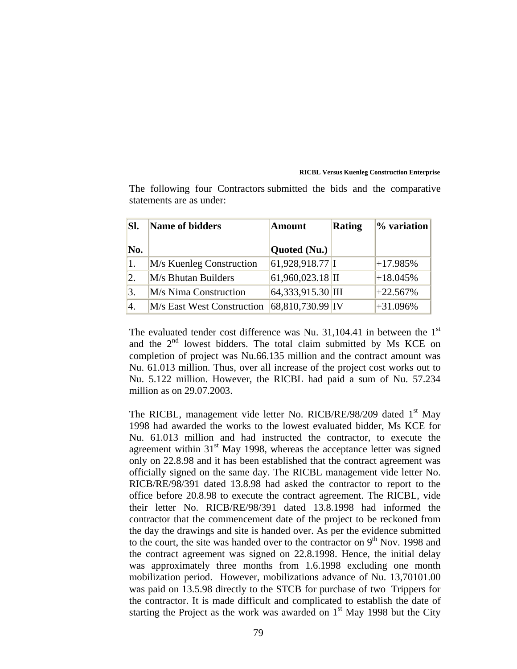| SI.              | Name of bidders            | <b>Amount</b>      | <b>Rating</b> | % variation |  |
|------------------|----------------------------|--------------------|---------------|-------------|--|
| No.              |                            | Quoted (Nu.)       |               |             |  |
| $\vert 1. \vert$ | M/s Kuenleg Construction   | 61,928,918.77 I    |               | $+17.985%$  |  |
| $\overline{2}$ . | M/s Bhutan Builders        | $61,960,023.18$ II |               | $+18.045%$  |  |
| 3.               | M/s Nima Construction      | 64,333,915.30 III  |               | $+22.567%$  |  |
| 4.               | M/s East West Construction | 68,810,730.99 IV   |               | $+31.096%$  |  |

The following four Contractors submitted the bids and the comparative statements are as under:

The evaluated tender cost difference was Nu. 31,104.41 in between the  $1<sup>st</sup>$ and the 2<sup>nd</sup> lowest bidders. The total claim submitted by Ms KCE on completion of project was Nu.66.135 million and the contract amount was Nu. 61.013 million. Thus, over all increase of the project cost works out to Nu. 5.122 million. However, the RICBL had paid a sum of Nu. 57.234 million as on 29.07.2003.

The RICBL, management vide letter No. RICB/RE/98/209 dated 1<sup>st</sup> May 1998 had awarded the works to the lowest evaluated bidder, Ms KCE for Nu. 61.013 million and had instructed the contractor, to execute the agreement within  $31<sup>st</sup>$  May 1998, whereas the acceptance letter was signed only on 22.8.98 and it has been established that the contract agreement was officially signed on the same day. The RICBL management vide letter No. RICB/RE/98/391 dated 13.8.98 had asked the contractor to report to the office before 20.8.98 to execute the contract agreement. The RICBL, vide their letter No. RICB/RE/98/391 dated 13.8.1998 had informed the contractor that the commencement date of the project to be reckoned from the day the drawings and site is handed over. As per the evidence submitted to the court, the site was handed over to the contractor on  $9<sup>th</sup>$  Nov. 1998 and the contract agreement was signed on 22.8.1998. Hence, the initial delay was approximately three months from 1.6.1998 excluding one month mobilization period. However, mobilizations advance of Nu. 13,70101.00 was paid on 13.5.98 directly to the STCB for purchase of two Trippers for the contractor. It is made difficult and complicated to establish the date of starting the Project as the work was awarded on  $1<sup>st</sup>$  May 1998 but the City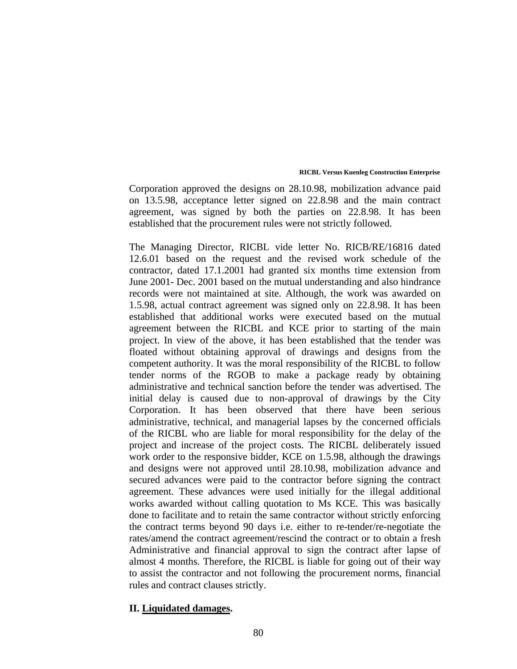Corporation approved the designs on 28.10.98, mobilization advance paid on 13.5.98, acceptance letter signed on 22.8.98 and the main contract agreement, was signed by both the parties on 22.8.98. It has been established that the procurement rules were not strictly followed.

The Managing Director, RICBL vide letter No. RICB/RE/16816 dated 12.6.01 based on the request and the revised work schedule of the contractor, dated 17.1.2001 had granted six months time extension from June 2001- Dec. 2001 based on the mutual understanding and also hindrance records were not maintained at site. Although, the work was awarded on 1.5.98, actual contract agreement was signed only on 22.8.98. It has been established that additional works were executed based on the mutual agreement between the RICBL and KCE prior to starting of the main project. In view of the above, it has been established that the tender was floated without obtaining approval of drawings and designs from the competent authority. It was the moral responsibility of the RICBL to follow tender norms of the RGOB to make a package ready by obtaining administrative and technical sanction before the tender was advertised. The initial delay is caused due to non-approval of drawings by the City Corporation. It has been observed that there have been serious administrative, technical, and managerial lapses by the concerned officials of the RICBL who are liable for moral responsibility for the delay of the project and increase of the project costs. The RICBL deliberately issued work order to the responsive bidder, KCE on 1.5.98, although the drawings and designs were not approved until 28.10.98, mobilization advance and secured advances were paid to the contractor before signing the contract agreement. These advances were used initially for the illegal additional works awarded without calling quotation to Ms KCE. This was basically done to facilitate and to retain the same contractor without strictly enforcing the contract terms beyond 90 days i.e. either to re-tender/re-negotiate the rates/amend the contract agreement/rescind the contract or to obtain a fresh Administrative and financial approval to sign the contract after lapse of almost 4 months. Therefore, the RICBL is liable for going out of their way to assist the contractor and not following the procurement norms, financial rules and contract clauses strictly.

### **II. Liquidated damages.**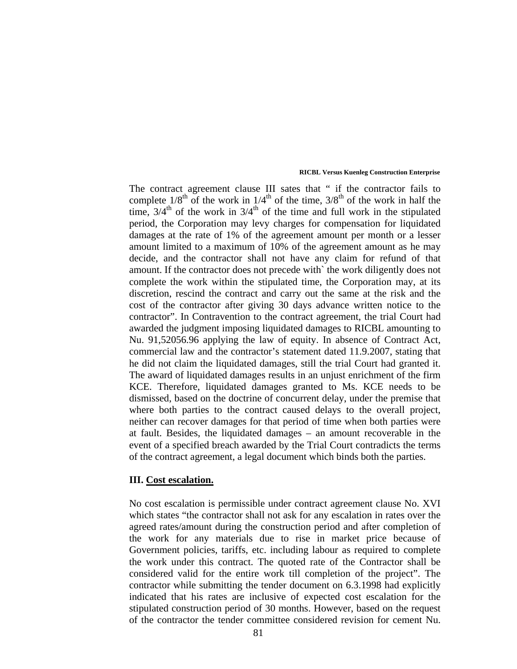The contract agreement clause III sates that " if the contractor fails to complete  $1/8^{th}$  of the work in  $1/4^{th}$  of the time,  $3/8^{th}$  of the work in half the time,  $3/4<sup>th</sup>$  of the work in  $3/4<sup>th</sup>$  of the time and full work in the stipulated period, the Corporation may levy charges for compensation for liquidated damages at the rate of 1% of the agreement amount per month or a lesser amount limited to a maximum of 10% of the agreement amount as he may decide, and the contractor shall not have any claim for refund of that amount. If the contractor does not precede with` the work diligently does not complete the work within the stipulated time, the Corporation may, at its discretion, rescind the contract and carry out the same at the risk and the cost of the contractor after giving 30 days advance written notice to the contractor". In Contravention to the contract agreement, the trial Court had awarded the judgment imposing liquidated damages to RICBL amounting to Nu. 91,52056.96 applying the law of equity. In absence of Contract Act, commercial law and the contractor's statement dated 11.9.2007, stating that he did not claim the liquidated damages, still the trial Court had granted it. The award of liquidated damages results in an unjust enrichment of the firm KCE. Therefore, liquidated damages granted to Ms. KCE needs to be dismissed, based on the doctrine of concurrent delay, under the premise that where both parties to the contract caused delays to the overall project, neither can recover damages for that period of time when both parties were at fault. Besides, the liquidated damages – an amount recoverable in the event of a specified breach awarded by the Trial Court contradicts the terms of the contract agreement, a legal document which binds both the parties.

### **III. Cost escalation.**

No cost escalation is permissible under contract agreement clause No. XVI which states "the contractor shall not ask for any escalation in rates over the agreed rates/amount during the construction period and after completion of the work for any materials due to rise in market price because of Government policies, tariffs, etc. including labour as required to complete the work under this contract. The quoted rate of the Contractor shall be considered valid for the entire work till completion of the project". The contractor while submitting the tender document on 6.3.1998 had explicitly indicated that his rates are inclusive of expected cost escalation for the stipulated construction period of 30 months. However, based on the request of the contractor the tender committee considered revision for cement Nu.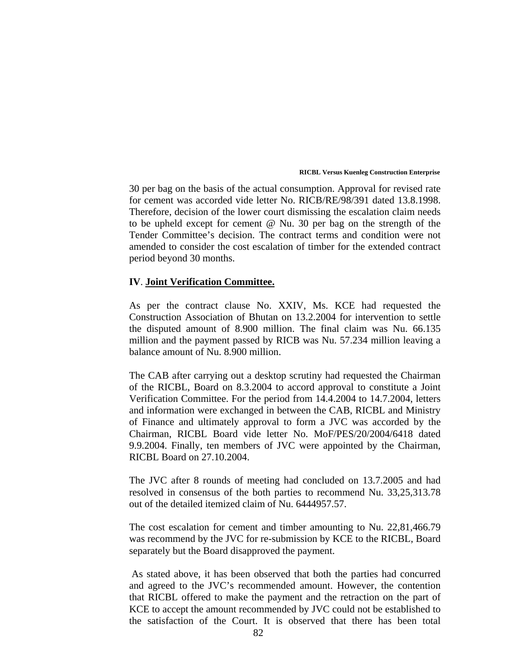30 per bag on the basis of the actual consumption. Approval for revised rate for cement was accorded vide letter No. RICB/RE/98/391 dated 13.8.1998. Therefore, decision of the lower court dismissing the escalation claim needs to be upheld except for cement @ Nu. 30 per bag on the strength of the Tender Committee's decision. The contract terms and condition were not amended to consider the cost escalation of timber for the extended contract period beyond 30 months.

### **IV**. **Joint Verification Committee.**

As per the contract clause No. XXIV, Ms. KCE had requested the Construction Association of Bhutan on 13.2.2004 for intervention to settle the disputed amount of 8.900 million. The final claim was Nu. 66.135 million and the payment passed by RICB was Nu. 57.234 million leaving a balance amount of Nu. 8.900 million.

The CAB after carrying out a desktop scrutiny had requested the Chairman of the RICBL, Board on 8.3.2004 to accord approval to constitute a Joint Verification Committee. For the period from 14.4.2004 to 14.7.2004, letters and information were exchanged in between the CAB, RICBL and Ministry of Finance and ultimately approval to form a JVC was accorded by the Chairman, RICBL Board vide letter No. MoF/PES/20/2004/6418 dated 9.9.2004. Finally, ten members of JVC were appointed by the Chairman, RICBL Board on 27.10.2004.

The JVC after 8 rounds of meeting had concluded on 13.7.2005 and had resolved in consensus of the both parties to recommend Nu. 33,25,313.78 out of the detailed itemized claim of Nu. 6444957.57.

The cost escalation for cement and timber amounting to Nu. 22,81,466.79 was recommend by the JVC for re-submission by KCE to the RICBL, Board separately but the Board disapproved the payment.

 As stated above, it has been observed that both the parties had concurred and agreed to the JVC's recommended amount. However, the contention that RICBL offered to make the payment and the retraction on the part of KCE to accept the amount recommended by JVC could not be established to the satisfaction of the Court. It is observed that there has been total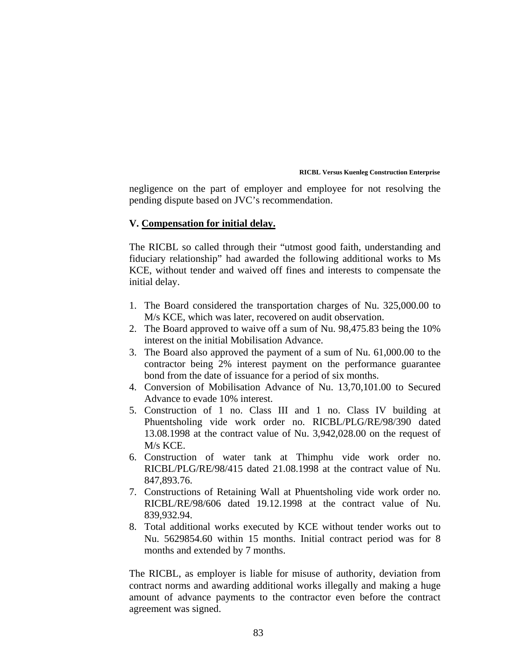negligence on the part of employer and employee for not resolving the pending dispute based on JVC's recommendation.

### **V. Compensation for initial delay.**

The RICBL so called through their "utmost good faith, understanding and fiduciary relationship" had awarded the following additional works to Ms KCE, without tender and waived off fines and interests to compensate the initial delay.

- 1. The Board considered the transportation charges of Nu. 325,000.00 to M/s KCE, which was later, recovered on audit observation.
- 2. The Board approved to waive off a sum of Nu. 98,475.83 being the 10% interest on the initial Mobilisation Advance.
- 3. The Board also approved the payment of a sum of Nu. 61,000.00 to the contractor being 2% interest payment on the performance guarantee bond from the date of issuance for a period of six months.
- 4. Conversion of Mobilisation Advance of Nu. 13,70,101.00 to Secured Advance to evade 10% interest.
- 5. Construction of 1 no. Class III and 1 no. Class IV building at Phuentsholing vide work order no. RICBL/PLG/RE/98/390 dated 13.08.1998 at the contract value of Nu. 3,942,028.00 on the request of M/s KCE.
- 6. Construction of water tank at Thimphu vide work order no. RICBL/PLG/RE/98/415 dated 21.08.1998 at the contract value of Nu. 847,893.76.
- 7. Constructions of Retaining Wall at Phuentsholing vide work order no. RICBL/RE/98/606 dated 19.12.1998 at the contract value of Nu. 839,932.94.
- 8. Total additional works executed by KCE without tender works out to Nu. 5629854.60 within 15 months. Initial contract period was for 8 months and extended by 7 months.

The RICBL, as employer is liable for misuse of authority, deviation from contract norms and awarding additional works illegally and making a huge amount of advance payments to the contractor even before the contract agreement was signed.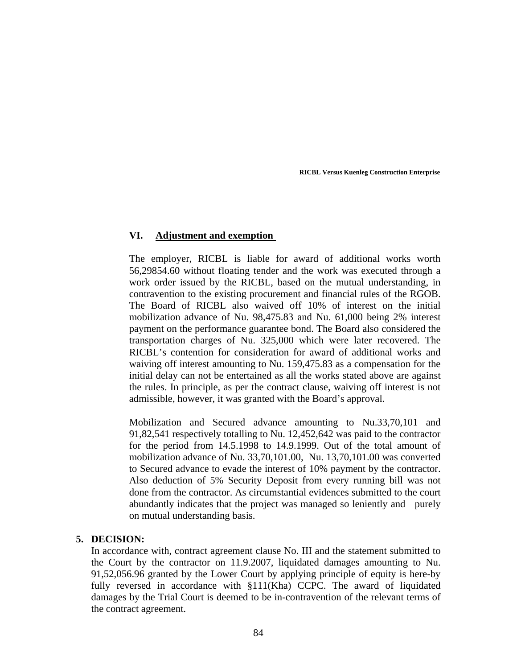## **VI. Adjustment and exemption**

The employer, RICBL is liable for award of additional works worth 56,29854.60 without floating tender and the work was executed through a work order issued by the RICBL, based on the mutual understanding, in contravention to the existing procurement and financial rules of the RGOB. The Board of RICBL also waived off 10% of interest on the initial mobilization advance of Nu. 98,475.83 and Nu. 61,000 being 2% interest payment on the performance guarantee bond. The Board also considered the transportation charges of Nu. 325,000 which were later recovered. The RICBL's contention for consideration for award of additional works and waiving off interest amounting to Nu. 159,475.83 as a compensation for the initial delay can not be entertained as all the works stated above are against the rules. In principle, as per the contract clause, waiving off interest is not admissible, however, it was granted with the Board's approval.

Mobilization and Secured advance amounting to Nu.33,70,101 and 91,82,541 respectively totalling to Nu. 12,452,642 was paid to the contractor for the period from 14.5.1998 to 14.9.1999. Out of the total amount of mobilization advance of Nu. 33,70,101.00, Nu. 13,70,101.00 was converted to Secured advance to evade the interest of 10% payment by the contractor. Also deduction of 5% Security Deposit from every running bill was not done from the contractor. As circumstantial evidences submitted to the court abundantly indicates that the project was managed so leniently and purely on mutual understanding basis.

# **5. DECISION:**

In accordance with, contract agreement clause No. III and the statement submitted to the Court by the contractor on 11.9.2007, liquidated damages amounting to Nu. 91,52,056.96 granted by the Lower Court by applying principle of equity is here-by fully reversed in accordance with §111(Kha) CCPC. The award of liquidated damages by the Trial Court is deemed to be in-contravention of the relevant terms of the contract agreement.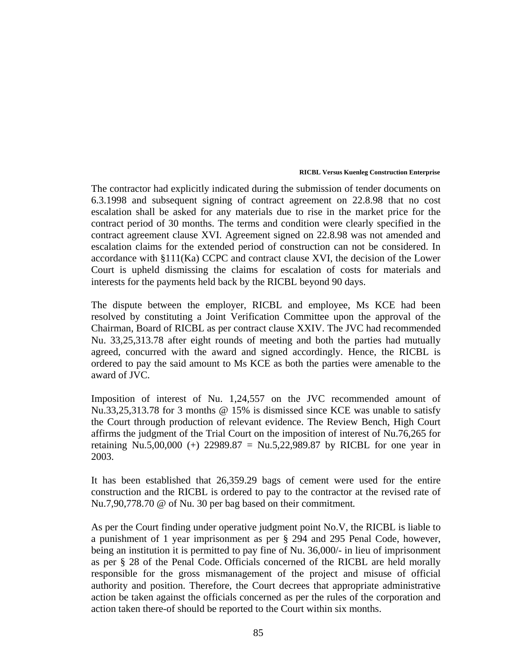The contractor had explicitly indicated during the submission of tender documents on 6.3.1998 and subsequent signing of contract agreement on 22.8.98 that no cost escalation shall be asked for any materials due to rise in the market price for the contract period of 30 months. The terms and condition were clearly specified in the contract agreement clause XVI. Agreement signed on 22.8.98 was not amended and escalation claims for the extended period of construction can not be considered. In accordance with §111(Ka) CCPC and contract clause XVI, the decision of the Lower Court is upheld dismissing the claims for escalation of costs for materials and interests for the payments held back by the RICBL beyond 90 days.

The dispute between the employer, RICBL and employee, Ms KCE had been resolved by constituting a Joint Verification Committee upon the approval of the Chairman, Board of RICBL as per contract clause XXIV. The JVC had recommended Nu. 33,25,313.78 after eight rounds of meeting and both the parties had mutually agreed, concurred with the award and signed accordingly. Hence, the RICBL is ordered to pay the said amount to Ms KCE as both the parties were amenable to the award of JVC.

Imposition of interest of Nu. 1,24,557 on the JVC recommended amount of Nu.33,25,313.78 for 3 months @ 15% is dismissed since KCE was unable to satisfy the Court through production of relevant evidence. The Review Bench, High Court affirms the judgment of the Trial Court on the imposition of interest of Nu.76,265 for retaining Nu.5,00,000 (+) 22989.87 = Nu.5,22,989.87 by RICBL for one year in 2003.

It has been established that 26,359.29 bags of cement were used for the entire construction and the RICBL is ordered to pay to the contractor at the revised rate of Nu.7,90,778.70 @ of Nu. 30 per bag based on their commitment*.*

As per the Court finding under operative judgment point No.V, the RICBL is liable to a punishment of 1 year imprisonment as per § 294 and 295 Penal Code, however, being an institution it is permitted to pay fine of Nu. 36,000/- in lieu of imprisonment as per § 28 of the Penal Code. Officials concerned of the RICBL are held morally responsible for the gross mismanagement of the project and misuse of official authority and position. Therefore, the Court decrees that appropriate administrative action be taken against the officials concerned as per the rules of the corporation and action taken there-of should be reported to the Court within six months.